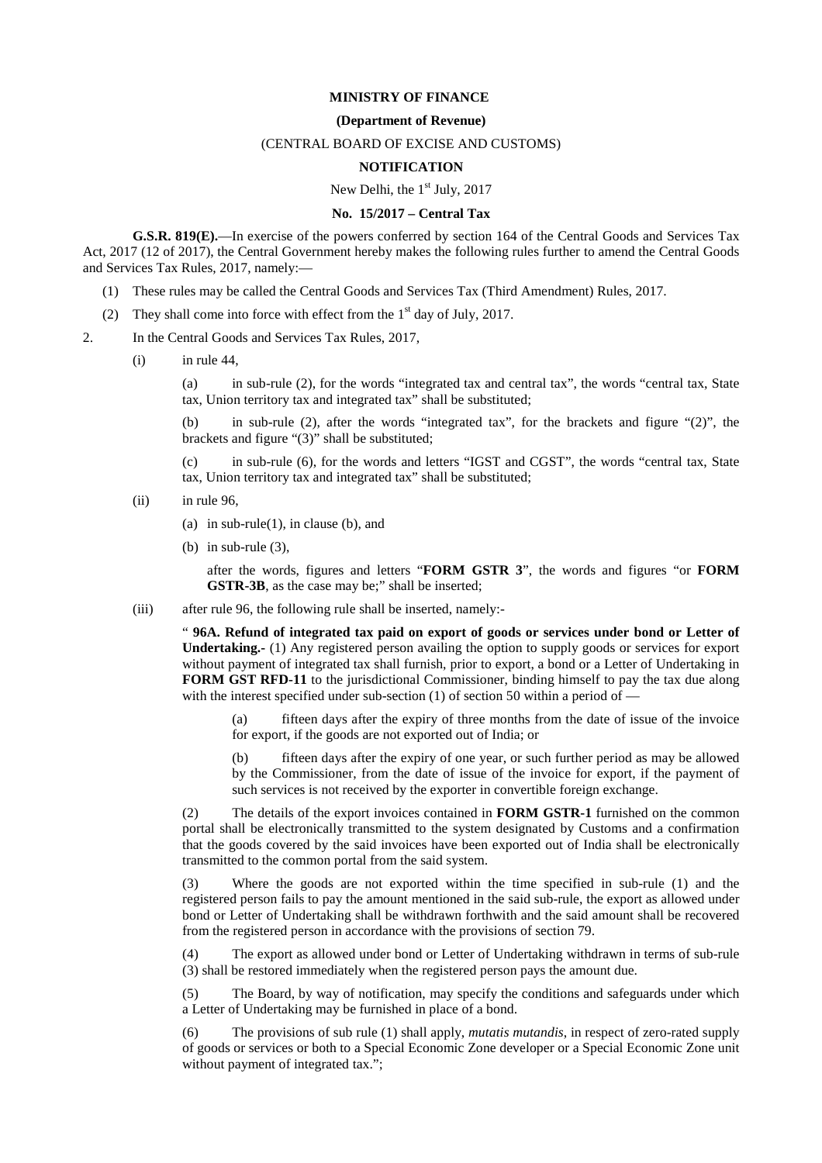## **MINISTRY OF FINANCE**

## **(Department of Revenue)**

## (CENTRAL BOARD OF EXCISE AND CUSTOMS)

## **NOTIFICATION**

#### New Delhi, the  $1<sup>st</sup>$  July, 2017

#### **No. 15/2017 – Central Tax**

**G.S.R. 819(E).**—In exercise of the powers conferred by section 164 of the Central Goods and Services Tax Act, 2017 (12 of 2017), the Central Government hereby makes the following rules further to amend the Central Goods and Services Tax Rules, 2017, namely:—

- (1) These rules may be called the Central Goods and Services Tax (Third Amendment) Rules, 2017.
- (2) They shall come into force with effect from the  $1<sup>st</sup>$  day of July, 2017.
- 2. In the Central Goods and Services Tax Rules, 2017,
	- $(i)$  in rule 44.

(a) in sub-rule (2), for the words "integrated tax and central tax", the words "central tax, State tax, Union territory tax and integrated tax" shall be substituted;

(b) in sub-rule (2), after the words "integrated tax", for the brackets and figure "(2)", the brackets and figure "(3)" shall be substituted;

(c) in sub-rule (6), for the words and letters "IGST and CGST", the words "central tax, State tax, Union territory tax and integrated tax" shall be substituted;

- (ii) in rule 96,
	- (a) in sub-rule(1), in clause (b), and
	- (b) in sub-rule (3),

after the words, figures and letters "**FORM GSTR 3**", the words and figures "or **FORM GSTR-3B**, as the case may be;" shall be inserted;

(iii) after rule 96, the following rule shall be inserted, namely:-

" **96A. Refund of integrated tax paid on export of goods or services under bond or Letter of Undertaking.-** (1) Any registered person availing the option to supply goods or services for export without payment of integrated tax shall furnish, prior to export, a bond or a Letter of Undertaking in **FORM GST RFD-11** to the jurisdictional Commissioner, binding himself to pay the tax due along with the interest specified under sub-section (1) of section 50 within a period of -

(a) fifteen days after the expiry of three months from the date of issue of the invoice for export, if the goods are not exported out of India; or

(b) fifteen days after the expiry of one year, or such further period as may be allowed by the Commissioner, from the date of issue of the invoice for export, if the payment of such services is not received by the exporter in convertible foreign exchange.

(2) The details of the export invoices contained in **FORM GSTR-1** furnished on the common portal shall be electronically transmitted to the system designated by Customs and a confirmation that the goods covered by the said invoices have been exported out of India shall be electronically transmitted to the common portal from the said system.

(3) Where the goods are not exported within the time specified in sub-rule (1) and the registered person fails to pay the amount mentioned in the said sub-rule, the export as allowed under bond or Letter of Undertaking shall be withdrawn forthwith and the said amount shall be recovered from the registered person in accordance with the provisions of section 79.

(4) The export as allowed under bond or Letter of Undertaking withdrawn in terms of sub-rule (3) shall be restored immediately when the registered person pays the amount due.

(5) The Board, by way of notification, may specify the conditions and safeguards under which a Letter of Undertaking may be furnished in place of a bond.

(6) The provisions of sub rule (1) shall apply, *mutatis mutandis*, in respect of zero-rated supply of goods or services or both to a Special Economic Zone developer or a Special Economic Zone unit without payment of integrated tax.";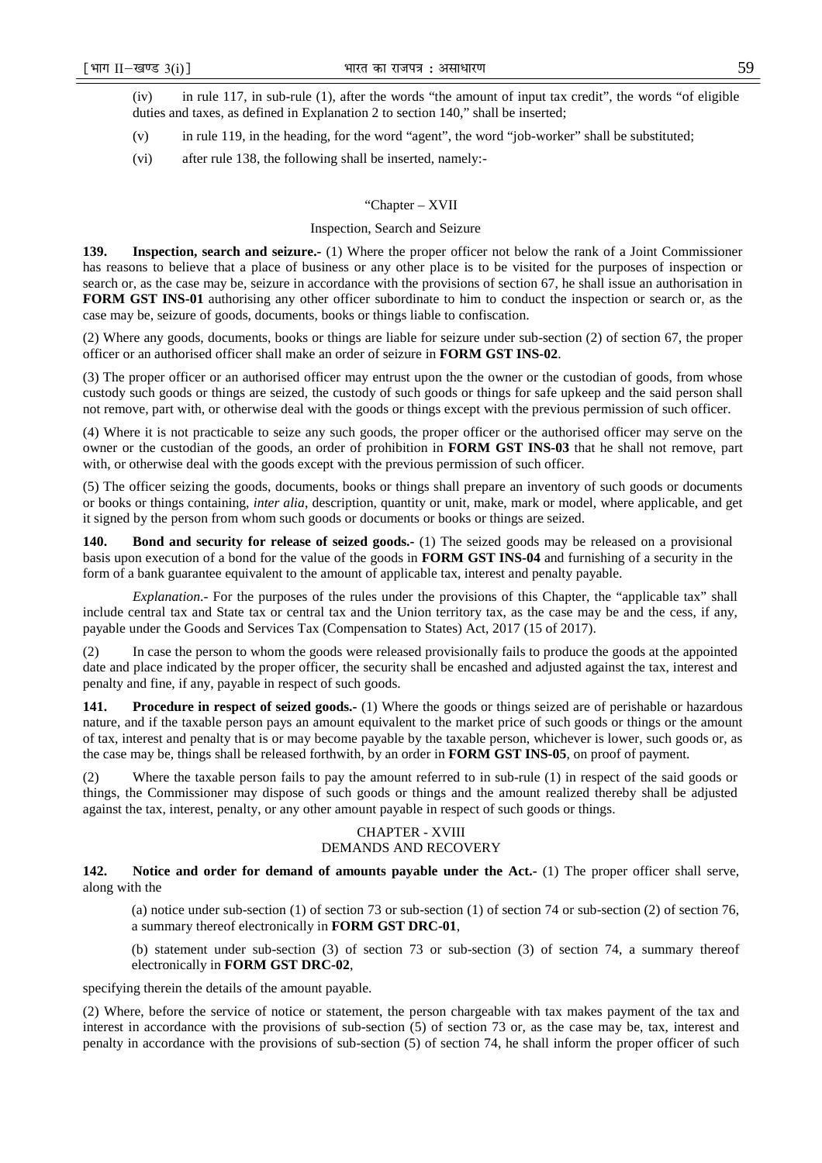(iv) in rule 117, in sub-rule (1), after the words "the amount of input tax credit", the words "of eligible duties and taxes, as defined in Explanation 2 to section 140," shall be inserted;

- (v) in rule 119, in the heading, for the word "agent", the word "job-worker" shall be substituted;
- (vi) after rule 138, the following shall be inserted, namely:-

#### "Chapter – XVII

#### Inspection, Search and Seizure

**139. Inspection, search and seizure.-** (1) Where the proper officer not below the rank of a Joint Commissioner has reasons to believe that a place of business or any other place is to be visited for the purposes of inspection or search or, as the case may be, seizure in accordance with the provisions of section 67, he shall issue an authorisation in **FORM GST INS-01** authorising any other officer subordinate to him to conduct the inspection or search or, as the case may be, seizure of goods, documents, books or things liable to confiscation.

(2) Where any goods, documents, books or things are liable for seizure under sub-section (2) of section 67, the proper officer or an authorised officer shall make an order of seizure in **FORM GST INS-02**.

(3) The proper officer or an authorised officer may entrust upon the the owner or the custodian of goods, from whose custody such goods or things are seized, the custody of such goods or things for safe upkeep and the said person shall not remove, part with, or otherwise deal with the goods or things except with the previous permission of such officer.

(4) Where it is not practicable to seize any such goods, the proper officer or the authorised officer may serve on the owner or the custodian of the goods, an order of prohibition in **FORM GST INS-03** that he shall not remove, part with, or otherwise deal with the goods except with the previous permission of such officer.

(5) The officer seizing the goods, documents, books or things shall prepare an inventory of such goods or documents or books or things containing, *inter alia*, description, quantity or unit, make, mark or model, where applicable, and get it signed by the person from whom such goods or documents or books or things are seized.

**140.** Bond and security for release of seized goods.- (1) The seized goods may be released on a provisional basis upon execution of a bond for the value of the goods in **FORM GST INS-04** and furnishing of a security in the form of a bank guarantee equivalent to the amount of applicable tax, interest and penalty payable.

*Explanation*.- For the purposes of the rules under the provisions of this Chapter, the "applicable tax" shall include central tax and State tax or central tax and the Union territory tax, as the case may be and the cess, if any, payable under the Goods and Services Tax (Compensation to States) Act, 2017 (15 of 2017).

(2) In case the person to whom the goods were released provisionally fails to produce the goods at the appointed date and place indicated by the proper officer, the security shall be encashed and adjusted against the tax, interest and penalty and fine, if any, payable in respect of such goods.

**141.** Procedure in respect of seized goods.- (1) Where the goods or things seized are of perishable or hazardous nature, and if the taxable person pays an amount equivalent to the market price of such goods or things or the amount of tax, interest and penalty that is or may become payable by the taxable person, whichever is lower, such goods or, as the case may be, things shall be released forthwith, by an order in **FORM GST INS-05**, on proof of payment.

(2) Where the taxable person fails to pay the amount referred to in sub-rule (1) in respect of the said goods or things, the Commissioner may dispose of such goods or things and the amount realized thereby shall be adjusted against the tax, interest, penalty, or any other amount payable in respect of such goods or things.

# CHAPTER - XVIII

## DEMANDS AND RECOVERY

**142.** Notice and order for demand of amounts payable under the Act.- (1) The proper officer shall serve, along with the

(a) notice under sub-section (1) of section 73 or sub-section (1) of section 74 or sub-section (2) of section 76, a summary thereof electronically in **FORM GST DRC-01**,

(b) statement under sub-section (3) of section 73 or sub-section (3) of section 74, a summary thereof electronically in **FORM GST DRC-02**,

specifying therein the details of the amount payable.

(2) Where, before the service of notice or statement, the person chargeable with tax makes payment of the tax and interest in accordance with the provisions of sub-section (5) of section 73 or, as the case may be, tax, interest and penalty in accordance with the provisions of sub-section (5) of section 74, he shall inform the proper officer of such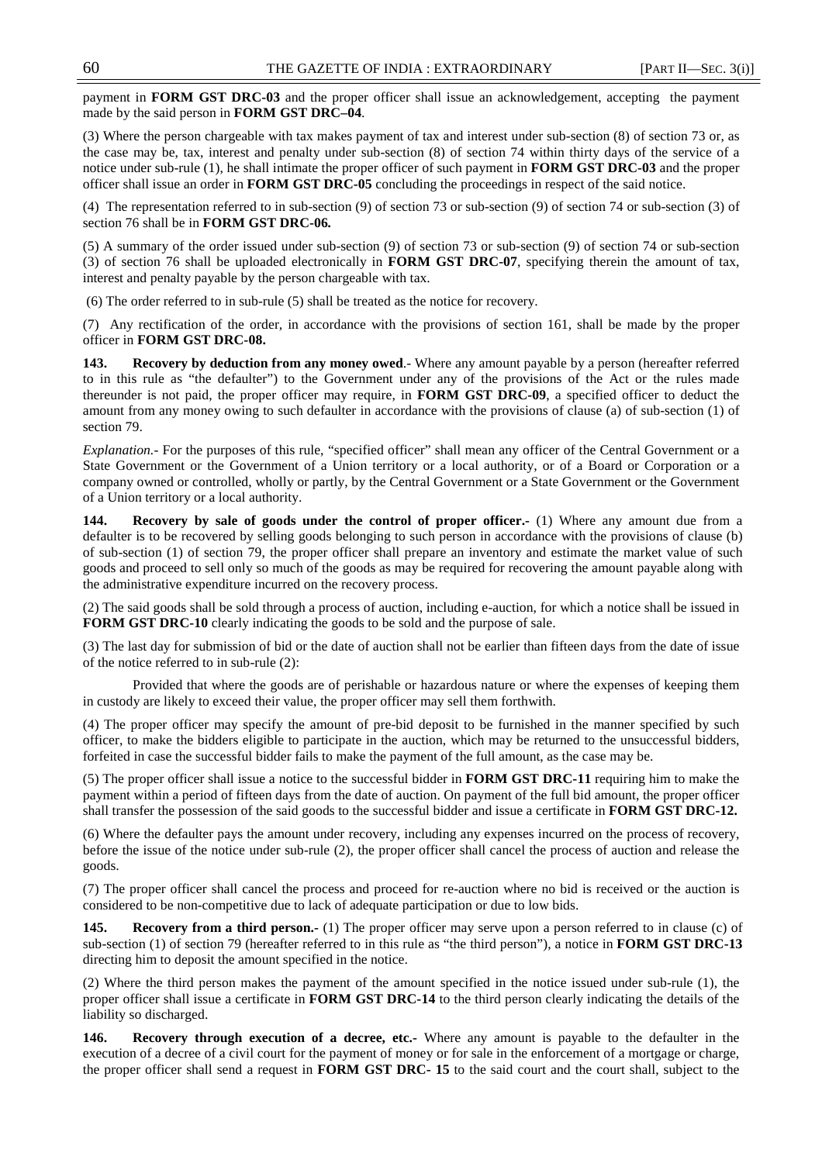payment in **FORM GST DRC-03** and the proper officer shall issue an acknowledgement, accepting the payment made by the said person in **FORM GST DRC–04**.

(3) Where the person chargeable with tax makes payment of tax and interest under sub-section (8) of section 73 or, as the case may be, tax, interest and penalty under sub-section (8) of section 74 within thirty days of the service of a notice under sub-rule (1), he shall intimate the proper officer of such payment in **FORM GST DRC-03** and the proper officer shall issue an order in **FORM GST DRC-05** concluding the proceedings in respect of the said notice.

(4) The representation referred to in sub-section (9) of section 73 or sub-section (9) of section 74 or sub-section (3) of section 76 shall be in **FORM GST DRC-06***.*

(5) A summary of the order issued under sub-section (9) of section 73 or sub-section (9) of section 74 or sub-section (3) of section 76 shall be uploaded electronically in **FORM GST DRC-07**, specifying therein the amount of tax, interest and penalty payable by the person chargeable with tax.

(6) The order referred to in sub-rule (5) shall be treated as the notice for recovery.

(7) Any rectification of the order, in accordance with the provisions of section 161, shall be made by the proper officer in **FORM GST DRC-08.**

**143.** Recovery by deduction from any money owed.- Where any amount payable by a person (hereafter referred to in this rule as "the defaulter") to the Government under any of the provisions of the Act or the rules made thereunder is not paid, the proper officer may require, in **FORM GST DRC-09**, a specified officer to deduct the amount from any money owing to such defaulter in accordance with the provisions of clause (a) of sub-section (1) of section 79.

*Explanation.-* For the purposes of this rule, "specified officer" shall mean any officer of the Central Government or a State Government or the Government of a Union territory or a local authority, or of a Board or Corporation or a company owned or controlled, wholly or partly, by the Central Government or a State Government or the Government of a Union territory or a local authority.

**144.** Recovery by sale of goods under the control of proper officer.- (1) Where any amount due from a defaulter is to be recovered by selling goods belonging to such person in accordance with the provisions of clause (b) of sub-section (1) of section 79, the proper officer shall prepare an inventory and estimate the market value of such goods and proceed to sell only so much of the goods as may be required for recovering the amount payable along with the administrative expenditure incurred on the recovery process.

(2) The said goods shall be sold through a process of auction, including e-auction, for which a notice shall be issued in **FORM GST DRC-10** clearly indicating the goods to be sold and the purpose of sale.

(3) The last day for submission of bid or the date of auction shall not be earlier than fifteen days from the date of issue of the notice referred to in sub-rule (2):

 Provided that where the goods are of perishable or hazardous nature or where the expenses of keeping them in custody are likely to exceed their value, the proper officer may sell them forthwith.

(4) The proper officer may specify the amount of pre-bid deposit to be furnished in the manner specified by such officer, to make the bidders eligible to participate in the auction, which may be returned to the unsuccessful bidders, forfeited in case the successful bidder fails to make the payment of the full amount, as the case may be.

(5) The proper officer shall issue a notice to the successful bidder in **FORM GST DRC-11** requiring him to make the payment within a period of fifteen days from the date of auction. On payment of the full bid amount, the proper officer shall transfer the possession of the said goods to the successful bidder and issue a certificate in **FORM GST DRC-12.**

(6) Where the defaulter pays the amount under recovery, including any expenses incurred on the process of recovery, before the issue of the notice under sub-rule (2), the proper officer shall cancel the process of auction and release the goods.

(7) The proper officer shall cancel the process and proceed for re-auction where no bid is received or the auction is considered to be non-competitive due to lack of adequate participation or due to low bids.

**145. Recovery from a third person.-** (1) The proper officer may serve upon a person referred to in clause (c) of sub-section (1) of section 79 (hereafter referred to in this rule as "the third person"), a notice in **FORM GST DRC-13** directing him to deposit the amount specified in the notice.

(2) Where the third person makes the payment of the amount specified in the notice issued under sub-rule (1), the proper officer shall issue a certificate in **FORM GST DRC-14** to the third person clearly indicating the details of the liability so discharged.

**146. Recovery through execution of a decree, etc.-** Where any amount is payable to the defaulter in the execution of a decree of a civil court for the payment of money or for sale in the enforcement of a mortgage or charge, the proper officer shall send a request in **FORM GST DRC- 15** to the said court and the court shall, subject to the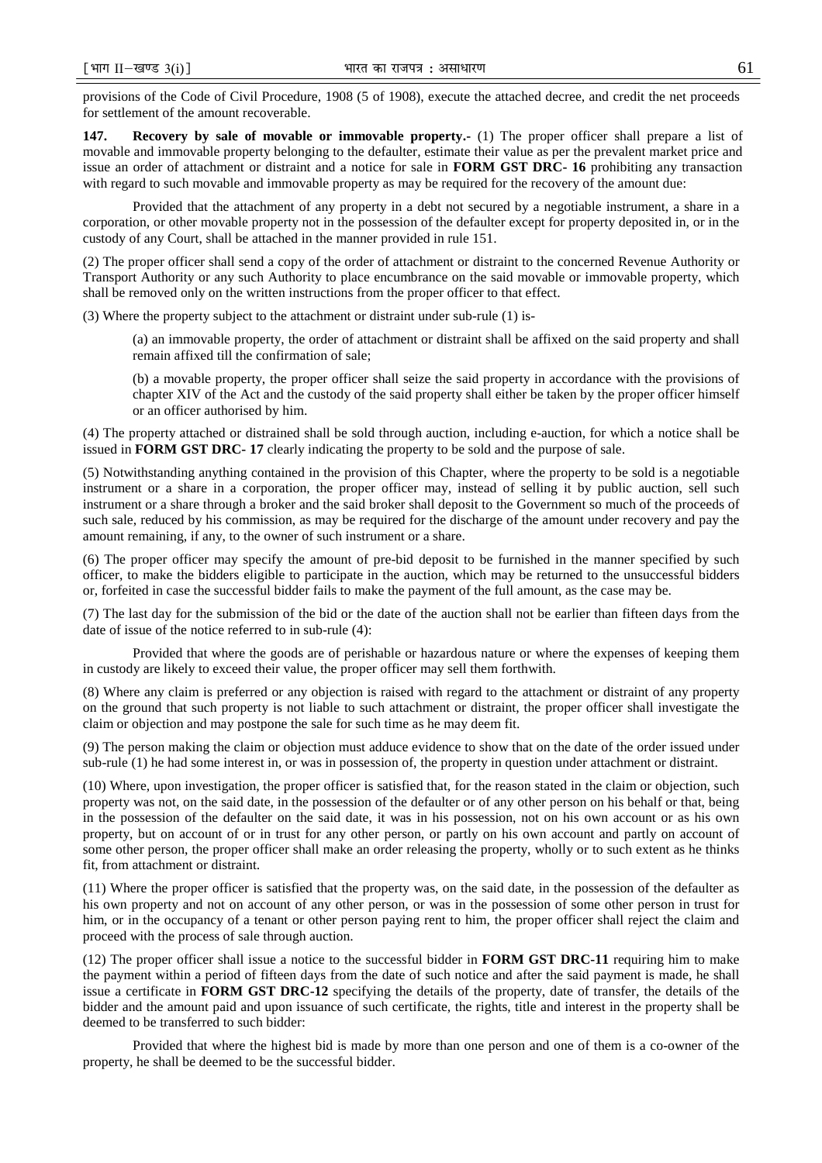provisions of the Code of Civil Procedure, 1908 (5 of 1908), execute the attached decree, and credit the net proceeds for settlement of the amount recoverable.

**147.** Recovery by sale of movable or immovable property. (1) The proper officer shall prepare a list of movable and immovable property belonging to the defaulter, estimate their value as per the prevalent market price and issue an order of attachment or distraint and a notice for sale in **FORM GST DRC- 16** prohibiting any transaction with regard to such movable and immovable property as may be required for the recovery of the amount due:

Provided that the attachment of any property in a debt not secured by a negotiable instrument, a share in a corporation, or other movable property not in the possession of the defaulter except for property deposited in, or in the custody of any Court, shall be attached in the manner provided in rule 151.

(2) The proper officer shall send a copy of the order of attachment or distraint to the concerned Revenue Authority or Transport Authority or any such Authority to place encumbrance on the said movable or immovable property, which shall be removed only on the written instructions from the proper officer to that effect.

(3) Where the property subject to the attachment or distraint under sub-rule (1) is-

(a) an immovable property, the order of attachment or distraint shall be affixed on the said property and shall remain affixed till the confirmation of sale;

(b) a movable property, the proper officer shall seize the said property in accordance with the provisions of chapter XIV of the Act and the custody of the said property shall either be taken by the proper officer himself or an officer authorised by him.

(4) The property attached or distrained shall be sold through auction, including e-auction, for which a notice shall be issued in **FORM GST DRC- 17** clearly indicating the property to be sold and the purpose of sale.

(5) Notwithstanding anything contained in the provision of this Chapter, where the property to be sold is a negotiable instrument or a share in a corporation, the proper officer may, instead of selling it by public auction, sell such instrument or a share through a broker and the said broker shall deposit to the Government so much of the proceeds of such sale, reduced by his commission, as may be required for the discharge of the amount under recovery and pay the amount remaining, if any, to the owner of such instrument or a share.

(6) The proper officer may specify the amount of pre-bid deposit to be furnished in the manner specified by such officer, to make the bidders eligible to participate in the auction, which may be returned to the unsuccessful bidders or, forfeited in case the successful bidder fails to make the payment of the full amount, as the case may be.

(7) The last day for the submission of the bid or the date of the auction shall not be earlier than fifteen days from the date of issue of the notice referred to in sub-rule (4):

Provided that where the goods are of perishable or hazardous nature or where the expenses of keeping them in custody are likely to exceed their value, the proper officer may sell them forthwith.

(8) Where any claim is preferred or any objection is raised with regard to the attachment or distraint of any property on the ground that such property is not liable to such attachment or distraint, the proper officer shall investigate the claim or objection and may postpone the sale for such time as he may deem fit.

(9) The person making the claim or objection must adduce evidence to show that on the date of the order issued under sub-rule (1) he had some interest in, or was in possession of, the property in question under attachment or distraint.

(10) Where, upon investigation, the proper officer is satisfied that, for the reason stated in the claim or objection, such property was not, on the said date, in the possession of the defaulter or of any other person on his behalf or that, being in the possession of the defaulter on the said date, it was in his possession, not on his own account or as his own property, but on account of or in trust for any other person, or partly on his own account and partly on account of some other person, the proper officer shall make an order releasing the property, wholly or to such extent as he thinks fit, from attachment or distraint.

(11) Where the proper officer is satisfied that the property was, on the said date, in the possession of the defaulter as his own property and not on account of any other person, or was in the possession of some other person in trust for him, or in the occupancy of a tenant or other person paying rent to him, the proper officer shall reject the claim and proceed with the process of sale through auction.

(12) The proper officer shall issue a notice to the successful bidder in **FORM GST DRC-11** requiring him to make the payment within a period of fifteen days from the date of such notice and after the said payment is made, he shall issue a certificate in **FORM GST DRC-12** specifying the details of the property, date of transfer, the details of the bidder and the amount paid and upon issuance of such certificate, the rights, title and interest in the property shall be deemed to be transferred to such bidder:

Provided that where the highest bid is made by more than one person and one of them is a co-owner of the property, he shall be deemed to be the successful bidder.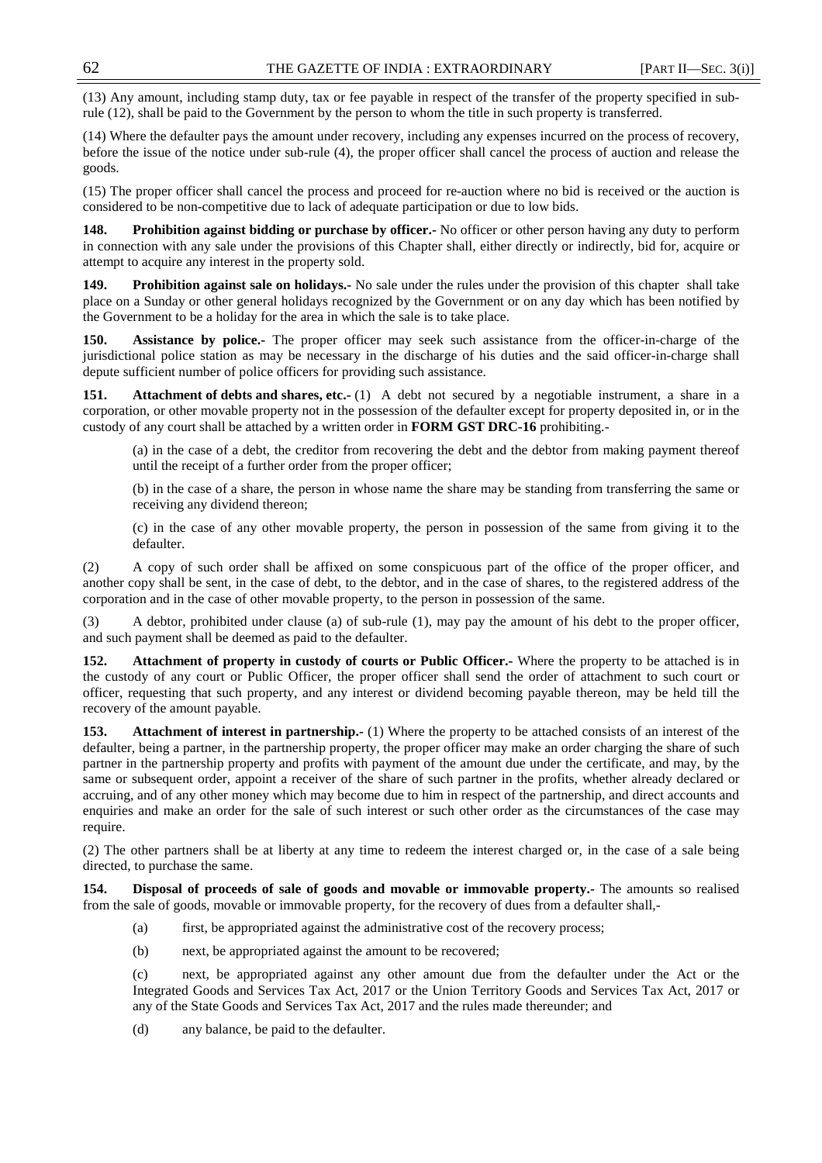(13) Any amount, including stamp duty, tax or fee payable in respect of the transfer of the property specified in subrule (12), shall be paid to the Government by the person to whom the title in such property is transferred.

(14) Where the defaulter pays the amount under recovery, including any expenses incurred on the process of recovery, before the issue of the notice under sub-rule (4), the proper officer shall cancel the process of auction and release the goods.

(15) The proper officer shall cancel the process and proceed for re-auction where no bid is received or the auction is considered to be non-competitive due to lack of adequate participation or due to low bids.

**148. Prohibition against bidding or purchase by officer.-** No officer or other person having any duty to perform in connection with any sale under the provisions of this Chapter shall, either directly or indirectly, bid for, acquire or attempt to acquire any interest in the property sold.

**149. Prohibition against sale on holidays.-** No sale under the rules under the provision of this chapter shall take place on a Sunday or other general holidays recognized by the Government or on any day which has been notified by the Government to be a holiday for the area in which the sale is to take place.

**150. Assistance by police.-** The proper officer may seek such assistance from the officer-in-charge of the jurisdictional police station as may be necessary in the discharge of his duties and the said officer-in-charge shall depute sufficient number of police officers for providing such assistance.

**Attachment of debts and shares, etc.-** (1) A debt not secured by a negotiable instrument, a share in a corporation, or other movable property not in the possession of the defaulter except for property deposited in, or in the custody of any court shall be attached by a written order in **FORM GST DRC-16** prohibiting.-

(a) in the case of a debt, the creditor from recovering the debt and the debtor from making payment thereof until the receipt of a further order from the proper officer;

(b) in the case of a share, the person in whose name the share may be standing from transferring the same or receiving any dividend thereon;

(c) in the case of any other movable property, the person in possession of the same from giving it to the defaulter.

(2) A copy of such order shall be affixed on some conspicuous part of the office of the proper officer, and another copy shall be sent, in the case of debt, to the debtor, and in the case of shares, to the registered address of the corporation and in the case of other movable property, to the person in possession of the same.

(3) A debtor, prohibited under clause (a) of sub-rule (1), may pay the amount of his debt to the proper officer, and such payment shall be deemed as paid to the defaulter.

**152.** Attachment of property in custody of courts or Public Officer.- Where the property to be attached is in the custody of any court or Public Officer, the proper officer shall send the order of attachment to such court or officer, requesting that such property, and any interest or dividend becoming payable thereon, may be held till the recovery of the amount payable.

**153. Attachment of interest in partnership.-** (1) Where the property to be attached consists of an interest of the defaulter, being a partner, in the partnership property, the proper officer may make an order charging the share of such partner in the partnership property and profits with payment of the amount due under the certificate, and may, by the same or subsequent order, appoint a receiver of the share of such partner in the profits, whether already declared or accruing, and of any other money which may become due to him in respect of the partnership, and direct accounts and enquiries and make an order for the sale of such interest or such other order as the circumstances of the case may require.

(2) The other partners shall be at liberty at any time to redeem the interest charged or, in the case of a sale being directed, to purchase the same.

**154. Disposal of proceeds of sale of goods and movable or immovable property.-** The amounts so realised from the sale of goods, movable or immovable property, for the recovery of dues from a defaulter shall,-

- (a) first, be appropriated against the administrative cost of the recovery process;
- (b) next, be appropriated against the amount to be recovered;

(c) next, be appropriated against any other amount due from the defaulter under the Act or the Integrated Goods and Services Tax Act, 2017 or the Union Territory Goods and Services Tax Act, 2017 or any of the State Goods and Services Tax Act, 2017 and the rules made thereunder; and

(d) any balance, be paid to the defaulter.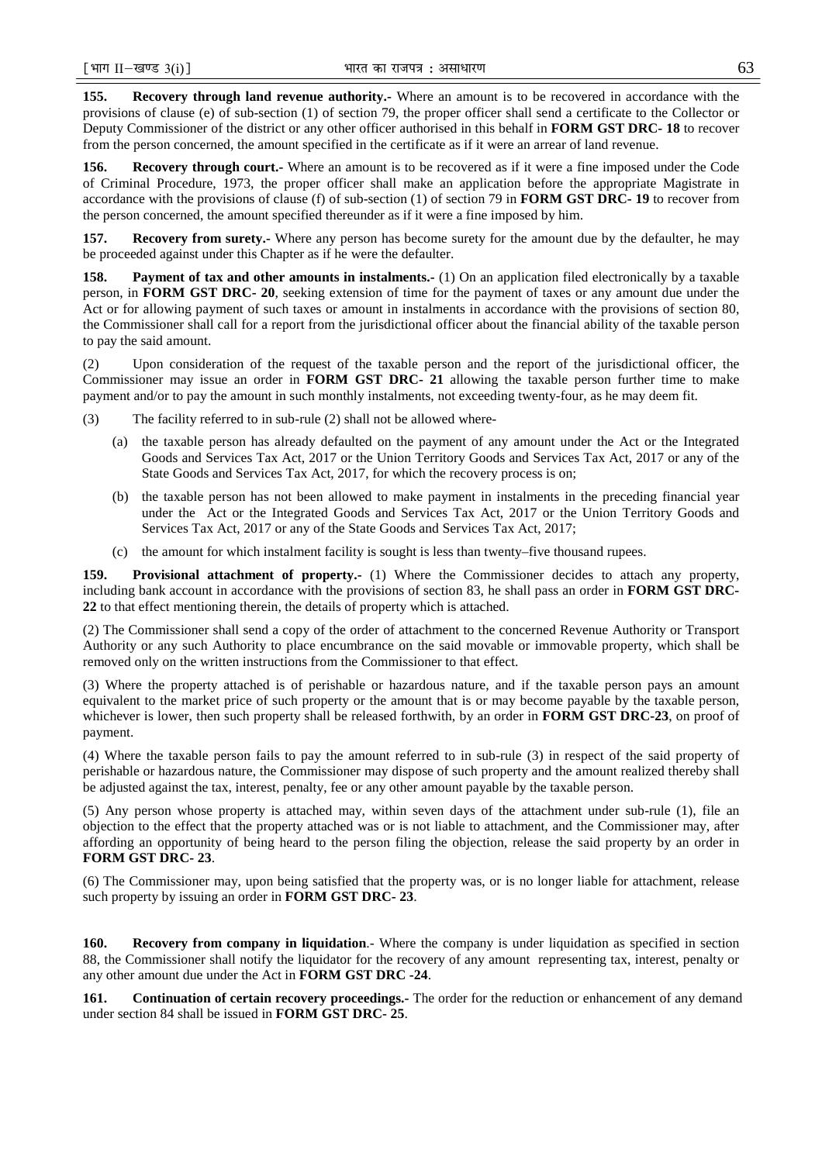**155. Recovery through land revenue authority.-** Where an amount is to be recovered in accordance with the provisions of clause (e) of sub-section (1) of section 79, the proper officer shall send a certificate to the Collector or Deputy Commissioner of the district or any other officer authorised in this behalf in **FORM GST DRC- 18** to recover from the person concerned, the amount specified in the certificate as if it were an arrear of land revenue.

**156. Recovery through court.-** Where an amount is to be recovered as if it were a fine imposed under the Code of Criminal Procedure, 1973, the proper officer shall make an application before the appropriate Magistrate in accordance with the provisions of clause (f) of sub-section (1) of section 79 in **FORM GST DRC- 19** to recover from the person concerned, the amount specified thereunder as if it were a fine imposed by him.

**157. Recovery from surety.-** Where any person has become surety for the amount due by the defaulter, he may be proceeded against under this Chapter as if he were the defaulter.

**158.** Payment of tax and other amounts in instalments.- (1) On an application filed electronically by a taxable person, in **FORM GST DRC- 20**, seeking extension of time for the payment of taxes or any amount due under the Act or for allowing payment of such taxes or amount in instalments in accordance with the provisions of section 80, the Commissioner shall call for a report from the jurisdictional officer about the financial ability of the taxable person to pay the said amount.

(2) Upon consideration of the request of the taxable person and the report of the jurisdictional officer, the Commissioner may issue an order in **FORM GST DRC- 21** allowing the taxable person further time to make payment and/or to pay the amount in such monthly instalments, not exceeding twenty-four, as he may deem fit.

(3) The facility referred to in sub-rule (2) shall not be allowed where-

- (a) the taxable person has already defaulted on the payment of any amount under the Act or the Integrated Goods and Services Tax Act, 2017 or the Union Territory Goods and Services Tax Act, 2017 or any of the State Goods and Services Tax Act, 2017, for which the recovery process is on;
- (b) the taxable person has not been allowed to make payment in instalments in the preceding financial year under the Act or the Integrated Goods and Services Tax Act, 2017 or the Union Territory Goods and Services Tax Act, 2017 or any of the State Goods and Services Tax Act, 2017;
- (c) the amount for which instalment facility is sought is less than twenty–five thousand rupees.

**159. Provisional attachment of property.-** (1) Where the Commissioner decides to attach any property, including bank account in accordance with the provisions of section 83, he shall pass an order in **FORM GST DRC-22** to that effect mentioning therein, the details of property which is attached.

(2) The Commissioner shall send a copy of the order of attachment to the concerned Revenue Authority or Transport Authority or any such Authority to place encumbrance on the said movable or immovable property, which shall be removed only on the written instructions from the Commissioner to that effect.

(3) Where the property attached is of perishable or hazardous nature, and if the taxable person pays an amount equivalent to the market price of such property or the amount that is or may become payable by the taxable person, whichever is lower, then such property shall be released forthwith, by an order in **FORM GST DRC-23**, on proof of payment.

(4) Where the taxable person fails to pay the amount referred to in sub-rule (3) in respect of the said property of perishable or hazardous nature, the Commissioner may dispose of such property and the amount realized thereby shall be adjusted against the tax, interest, penalty, fee or any other amount payable by the taxable person.

(5) Any person whose property is attached may, within seven days of the attachment under sub-rule (1), file an objection to the effect that the property attached was or is not liable to attachment, and the Commissioner may, after affording an opportunity of being heard to the person filing the objection, release the said property by an order in **FORM GST DRC- 23**.

(6) The Commissioner may, upon being satisfied that the property was, or is no longer liable for attachment, release such property by issuing an order in **FORM GST DRC- 23**.

**160. Recovery from company in liquidation**.- Where the company is under liquidation as specified in section 88, the Commissioner shall notify the liquidator for the recovery of any amount representing tax, interest, penalty or any other amount due under the Act in **FORM GST DRC -24**.

**161. Continuation of certain recovery proceedings.-** The order for the reduction or enhancement of any demand under section 84 shall be issued in **FORM GST DRC- 25**.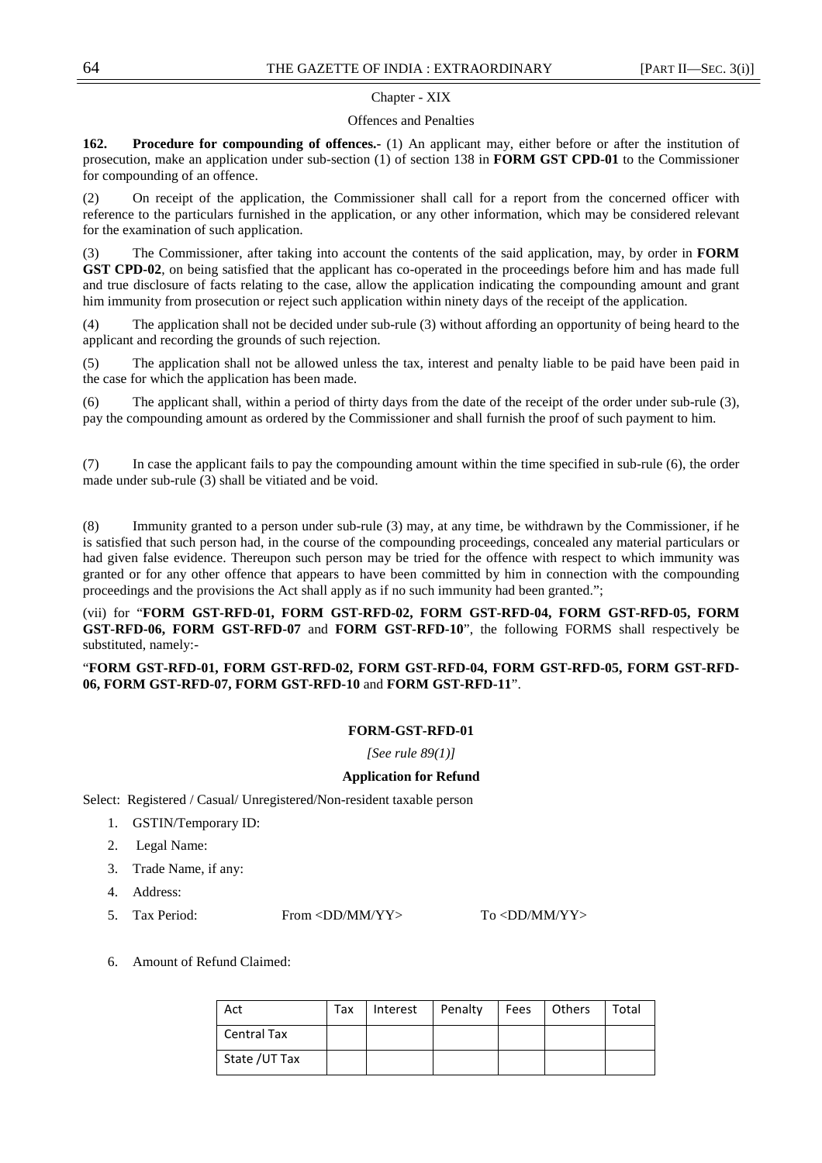#### Chapter - XIX

#### Offences and Penalties

**162. Procedure for compounding of offences.-** (1) An applicant may, either before or after the institution of prosecution, make an application under sub-section (1) of section 138 in **FORM GST CPD-01** to the Commissioner for compounding of an offence.

(2) On receipt of the application, the Commissioner shall call for a report from the concerned officer with reference to the particulars furnished in the application, or any other information, which may be considered relevant for the examination of such application.

(3) The Commissioner, after taking into account the contents of the said application, may, by order in **FORM GST CPD-02**, on being satisfied that the applicant has co-operated in the proceedings before him and has made full and true disclosure of facts relating to the case, allow the application indicating the compounding amount and grant him immunity from prosecution or reject such application within ninety days of the receipt of the application.

(4) The application shall not be decided under sub-rule (3) without affording an opportunity of being heard to the applicant and recording the grounds of such rejection.

(5) The application shall not be allowed unless the tax, interest and penalty liable to be paid have been paid in the case for which the application has been made.

(6) The applicant shall, within a period of thirty days from the date of the receipt of the order under sub-rule (3), pay the compounding amount as ordered by the Commissioner and shall furnish the proof of such payment to him.

(7) In case the applicant fails to pay the compounding amount within the time specified in sub-rule (6), the order made under sub-rule (3) shall be vitiated and be void.

(8) Immunity granted to a person under sub-rule (3) may, at any time, be withdrawn by the Commissioner, if he is satisfied that such person had, in the course of the compounding proceedings, concealed any material particulars or had given false evidence. Thereupon such person may be tried for the offence with respect to which immunity was granted or for any other offence that appears to have been committed by him in connection with the compounding proceedings and the provisions the Act shall apply as if no such immunity had been granted.";

(vii) for "**FORM GST-RFD-01, FORM GST-RFD-02, FORM GST-RFD-04, FORM GST-RFD-05, FORM GST-RFD-06, FORM GST-RFD-07** and **FORM GST-RFD-10**", the following FORMS shall respectively be substituted, namely:-

## "**FORM GST-RFD-01, FORM GST-RFD-02, FORM GST-RFD-04, FORM GST-RFD-05, FORM GST-RFD-06, FORM GST-RFD-07, FORM GST-RFD-10** and **FORM GST-RFD-11**".

#### **FORM-GST-RFD-01**

*[See rule 89(1)]*

#### **Application for Refund**

Select: Registered / Casual/ Unregistered/Non-resident taxable person

- 1. GSTIN/Temporary ID:
- 2. Legal Name:
- 3. Trade Name, if any:
- 4. Address:
- 5. Tax Period: From <DD/MM/YY> To <DD/MM/YY>

6. Amount of Refund Claimed:

| Act                | Tax | Interest | Penalty | Fees   Others | Total |
|--------------------|-----|----------|---------|---------------|-------|
| <b>Central Tax</b> |     |          |         |               |       |
| State /UT Tax      |     |          |         |               |       |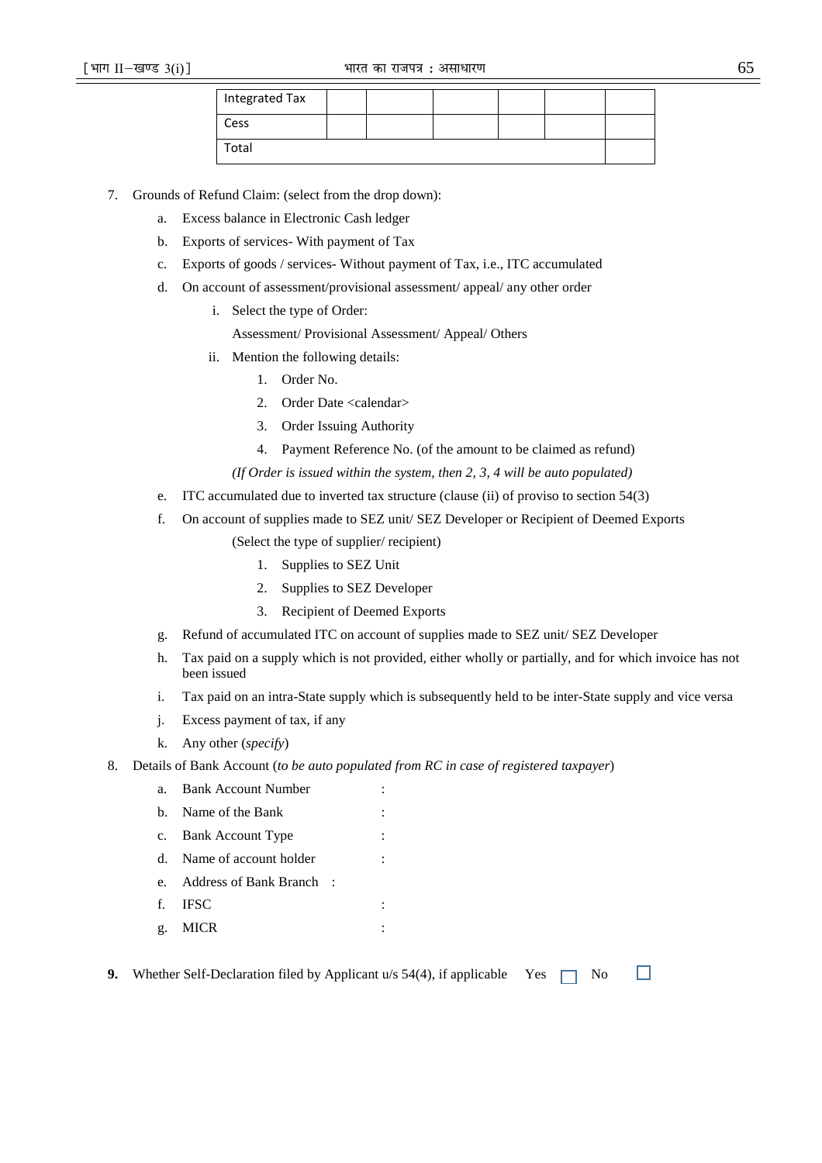| Integrated Tax |  |  |  |
|----------------|--|--|--|
| Cess           |  |  |  |
| Total          |  |  |  |

7. Grounds of Refund Claim: (select from the drop down):

- a. Excess balance in Electronic Cash ledger
- b. Exports of services- With payment of Tax
- c. Exports of goods / services- Without payment of Tax, i.e., ITC accumulated
- d. On account of assessment/provisional assessment/ appeal/ any other order
	- i. Select the type of Order:
		- Assessment/ Provisional Assessment/ Appeal/ Others
	- ii. Mention the following details:
		- 1. Order No.
		- 2. Order Date <calendar>
		- 3. Order Issuing Authority
		- 4. Payment Reference No. (of the amount to be claimed as refund)

*(If Order is issued within the system, then 2, 3, 4 will be auto populated)* 

- e. ITC accumulated due to inverted tax structure (clause (ii) of proviso to section 54(3)
- f. On account of supplies made to SEZ unit/ SEZ Developer or Recipient of Deemed Exports

(Select the type of supplier/ recipient)

- 1. Supplies to SEZ Unit
- 2. Supplies to SEZ Developer
- 3. Recipient of Deemed Exports
- g. Refund of accumulated ITC on account of supplies made to SEZ unit/ SEZ Developer
- h. Tax paid on a supply which is not provided, either wholly or partially, and for which invoice has not been issued
- i. Tax paid on an intra-State supply which is subsequently held to be inter-State supply and vice versa
- j. Excess payment of tax, if any
- k. Any other (*specify*)
- 8. Details of Bank Account (*to be auto populated from RC in case of registered taxpayer*)
	- a. Bank Account Number
	- b. Name of the Bank
	- c. Bank Account Type
	- d. Name of account holder
	- e. Address of Bank Branch :
	- f. IFSC :
	- g. MICR :
- П **9.** Whether Self-Declaration filed by Applicant u/s  $54(4)$ , if applicable Yes  $\Box$  No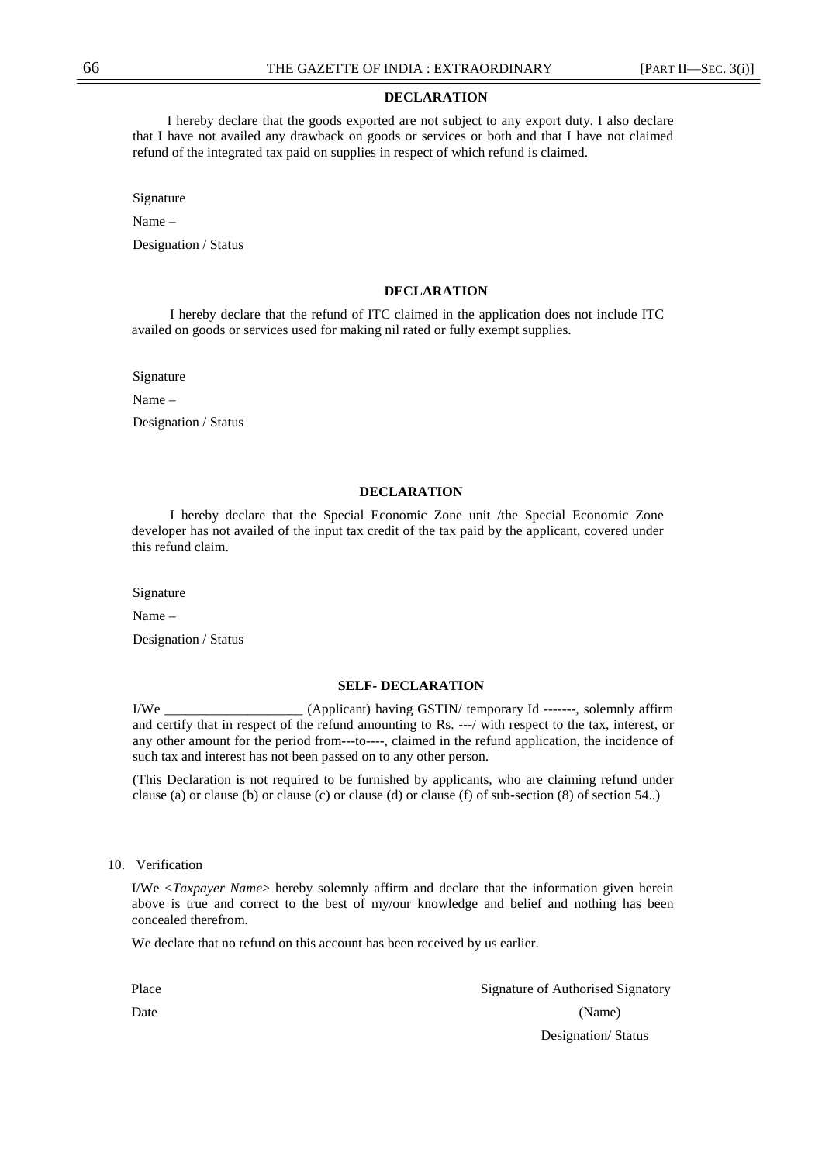#### **DECLARATION**

 I hereby declare that the goods exported are not subject to any export duty. I also declare that I have not availed any drawback on goods or services or both and that I have not claimed refund of the integrated tax paid on supplies in respect of which refund is claimed.

Signature

Name –

Designation / Status

#### **DECLARATION**

 I hereby declare that the refund of ITC claimed in the application does not include ITC availed on goods or services used for making nil rated or fully exempt supplies.

Signature

Name –

Designation / Status

#### **DECLARATION**

 I hereby declare that the Special Economic Zone unit /the Special Economic Zone developer has not availed of the input tax credit of the tax paid by the applicant, covered under this refund claim.

Signature

Name –

Designation / Status

#### **SELF- DECLARATION**

I/We \_\_\_\_\_\_\_\_\_\_\_\_\_\_\_\_\_\_\_\_ (Applicant) having GSTIN/ temporary Id -------, solemnly affirm and certify that in respect of the refund amounting to Rs. ---/ with respect to the tax, interest, or any other amount for the period from---to----, claimed in the refund application, the incidence of such tax and interest has not been passed on to any other person.

(This Declaration is not required to be furnished by applicants, who are claiming refund under clause (a) or clause (b) or clause (c) or clause (d) or clause (f) of sub-section (8) of section 54..)

#### 10. Verification

I/We <*Taxpayer Name*> hereby solemnly affirm and declare that the information given herein above is true and correct to the best of my/our knowledge and belief and nothing has been concealed therefrom.

We declare that no refund on this account has been received by us earlier.

| Place | Signature of Authorised Signatory |
|-------|-----------------------------------|
| Date  | (Name)                            |
|       | Designation/Status                |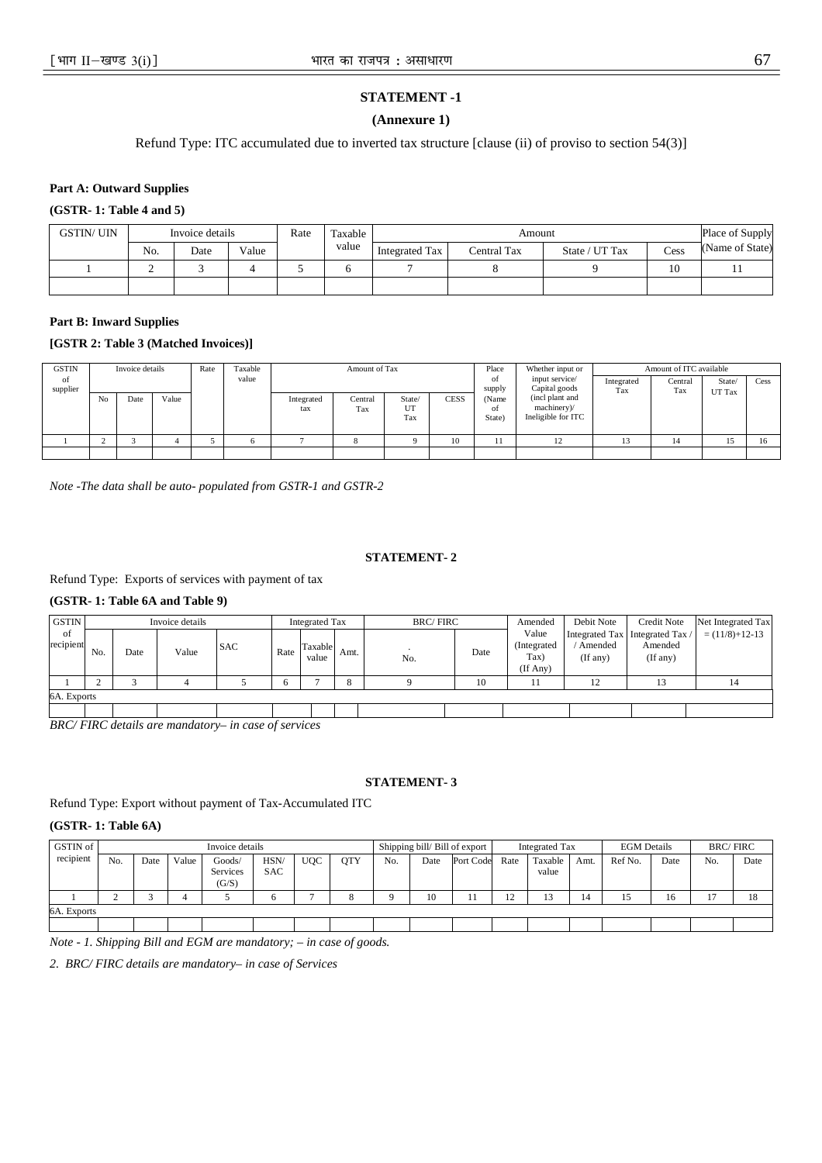# **STATEMENT -1**

#### **(Annexure 1)**

Refund Type: ITC accumulated due to inverted tax structure [clause (ii) of proviso to section 54(3)]

**Part A: Outward Supplies** 

**(GSTR- 1: Table 4 and 5)** 

| GSTIN/ UIN |     | Invoice details |       | Rate | Taxable. |                       | Place of Supply |                |      |                 |
|------------|-----|-----------------|-------|------|----------|-----------------------|-----------------|----------------|------|-----------------|
|            | No. | Date            | Value |      | value    | <b>Integrated Tax</b> | Central Tax     | State / UT Tax | Cess | (Name of State) |
|            | ∸   |                 |       |      |          |                       |                 |                | 10   |                 |
|            |     |                 |       |      |          |                       |                 |                |      |                 |

#### **Part B: Inward Supplies**

## **[GSTR 2: Table 3 (Matched Invoices)]**

| <b>GSTIN</b>   |                | Invoice details |       | Rate | Taxable |                   | Amount of Tax  |                     |      | Place                 | Whether input or                                     |                   | Amount of ITC available |         |      |
|----------------|----------------|-----------------|-------|------|---------|-------------------|----------------|---------------------|------|-----------------------|------------------------------------------------------|-------------------|-------------------------|---------|------|
| of<br>supplier |                |                 |       |      | value   |                   |                |                     |      | οf<br>supply          | input service/<br>Capital goods                      | Integrated<br>Tax | Central<br>Tax          | State/  | Cess |
|                | N <sub>o</sub> | Date            | Value |      |         | Integrated<br>tax | Central<br>Tax | State/<br>UT<br>Tax | CESS | (Name<br>οf<br>State) | (incl plant and<br>machinery)/<br>Ineligible for ITC |                   |                         | UT Tax  |      |
|                |                |                 |       |      |         |                   |                |                     | 10   |                       | 12                                                   |                   | 14                      | $\cdot$ |      |
|                |                |                 |       |      |         |                   |                |                     |      |                       |                                                      |                   |                         |         |      |

*Note -The data shall be auto- populated from GSTR-1 and GSTR-2*

#### **STATEMENT- 2**

Refund Type: Exports of services with payment of tax

## **(GSTR- 1: Table 6A and Table 9)**

| <b>GSTIN</b>      |     |      | Invoice details |            |      | <b>Integrated Tax</b> |      | <b>BRC/FIRC</b> |      | Amended                                   | Debit Note          | Credit Note                                              | Net Integrated Tax   |
|-------------------|-----|------|-----------------|------------|------|-----------------------|------|-----------------|------|-------------------------------------------|---------------------|----------------------------------------------------------|----------------------|
| - of<br>recipient | No. | Date | Value           | <b>SAC</b> | Rate | Taxable<br>value      | Amt. | No.             | Date | Value<br>(Integrated)<br>Tax)<br>(If Any) | Amended<br>(If any) | Integrated Tax   Integrated Tax /<br>Amended<br>(If any) | $= (11/8) + 12 - 13$ |
|                   |     |      |                 |            | 6    |                       |      |                 | 10   |                                           | 12                  |                                                          |                      |
| 6A. Exports       |     |      |                 |            |      |                       |      |                 |      |                                           |                     |                                                          |                      |
|                   |     |      |                 |            |      |                       |      |                 |      |                                           |                     |                                                          |                      |

*BRC/ FIRC details are mandatory– in case of services* 

#### **STATEMENT- 3**

Refund Type: Export without payment of Tax-Accumulated ITC

## **(GSTR- 1: Table 6A)**

| GSTIN of    |     |      |       | Invoice details             |                    |            |            |     |      | Shipping bill/Bill of export |      | <b>Integrated Tax</b> |      | <b>EGM</b> Details |      | <b>BRC/FIRC</b> |      |
|-------------|-----|------|-------|-----------------------------|--------------------|------------|------------|-----|------|------------------------------|------|-----------------------|------|--------------------|------|-----------------|------|
| recipient   | No. | Date | Value | Goods/<br>Services<br>(G/S) | HSN/<br><b>SAC</b> | <b>UQC</b> | <b>OTY</b> | No. | Date | Port Code                    | Rate | Taxable 1<br>value    | Amt. | Ref No.            | Date | No.             | Date |
|             |     |      |       |                             |                    |            |            |     | 10   |                              |      | 13                    | 14   |                    | 16   | л.              | 10   |
| 6A. Exports |     |      |       |                             |                    |            |            |     |      |                              |      |                       |      |                    |      |                 |      |
|             |     |      |       |                             |                    |            |            |     |      |                              |      |                       |      |                    |      |                 |      |

*Note - 1. Shipping Bill and EGM are mandatory; – in case of goods.* 

*2. BRC/ FIRC details are mandatory– in case of Services*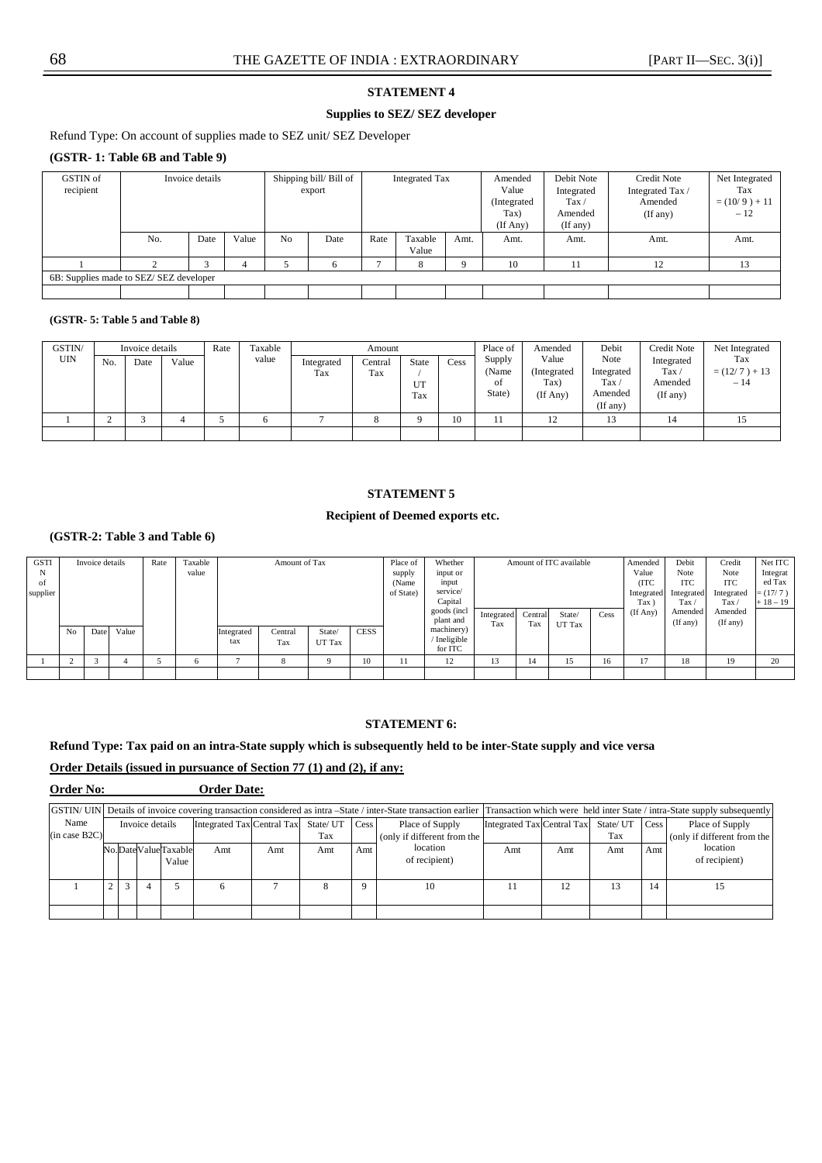#### **STATEMENT 4**

## **Supplies to SEZ/ SEZ developer**

Refund Type: On account of supplies made to SEZ unit/ SEZ Developer

## **(GSTR- 1: Table 6B and Table 9)**

| GSTIN of<br>recipient                  |     | Invoice details |                |      | Shipping bill/Bill of<br>export |                  | <b>Integrated Tax</b> |          | Amended<br>Value<br>(Integrated<br>Tax)<br>$($ If Any $)$ | Debit Note<br>Integrated<br>$\text{Tax}$<br>Amended<br>(If any) | <b>Credit Note</b><br>Integrated Tax /<br>Amended<br>(If any) | Net Integrated<br>Tax<br>$=(10/9) + 11$<br>$-12$ |
|----------------------------------------|-----|-----------------|----------------|------|---------------------------------|------------------|-----------------------|----------|-----------------------------------------------------------|-----------------------------------------------------------------|---------------------------------------------------------------|--------------------------------------------------|
|                                        | No. | Value           | N <sub>0</sub> | Date | Rate                            | Taxable<br>Value | Amt.                  | Amt.     | Amt.                                                      | Amt.                                                            | Amt.                                                          |                                                  |
|                                        | Δ   |                 |                |      |                                 |                  | 8                     | $\Omega$ | 10                                                        |                                                                 | 12                                                            | 13                                               |
| 6B: Supplies made to SEZ/SEZ developer |     |                 |                |      |                                 |                  |                       |          |                                                           |                                                                 |                                                               |                                                  |
|                                        |     |                 |                |      |                                 |                  |                       |          |                                                           |                                                                 |                                                               |                                                  |

#### **(GSTR- 5: Table 5 and Table 8)**

| GSTIN/<br><b>UIN</b> | No. | Invoice details<br>Date | Value | Rate | Taxable<br>value | Integrated<br>Tax | Amount<br>Central<br>Tax | State<br>UT<br>Tax | Cess | Place of<br>Supply<br>(Name<br>οf<br>State) | Amended<br>Value<br>(Integrated)<br>Tax)<br>(If Any) | Debit<br>Note<br>Integrated<br>Tax<br>Amended<br>(If any) | <b>Credit Note</b><br>Integrated<br>Tax $\prime$<br>Amended<br>(If any) | Net Integrated<br>Tax<br>$=(12/7) + 13$<br>$-14$ |
|----------------------|-----|-------------------------|-------|------|------------------|-------------------|--------------------------|--------------------|------|---------------------------------------------|------------------------------------------------------|-----------------------------------------------------------|-------------------------------------------------------------------------|--------------------------------------------------|
|                      |     |                         |       |      |                  |                   |                          | $\Omega$           | 10   | . .                                         | ∸                                                    |                                                           |                                                                         |                                                  |
|                      |     |                         |       |      |                  |                   |                          |                    |      |                                             |                                                      |                                                           |                                                                         |                                                  |

## **STATEMENT 5**

#### **Recipient of Deemed exports etc.**

## **(GSTR-2: Table 3 and Table 6)**

| <b>GSTI</b> |    | Invoice details |       | Rate | Taxable |            | Amount of Tax |        |             | Place of     | Whether    |         |        | Amount of ITC available |          | Amended      | Debit          | Credit     | Net ITC   |
|-------------|----|-----------------|-------|------|---------|------------|---------------|--------|-------------|--------------|------------|---------|--------|-------------------------|----------|--------------|----------------|------------|-----------|
| N           |    |                 |       |      | value   |            |               |        |             | supply       | input or   |         |        |                         |          | Value        | Note           | Note       | Integrat  |
| -of         |    |                 |       |      |         |            |               |        |             | (Name        | input      |         |        |                         |          | (ITC         | <b>ITC</b>     | <b>ITC</b> | ed Tax    |
| supplier    |    |                 |       |      |         |            |               |        |             | of State)    | service/   |         |        |                         |          | Integrated   | Integrated     | Integrated | $=(17/7)$ |
|             |    |                 |       |      |         |            |               |        |             | Capital      |            |         |        |                         | Tax `    | $\text{Tax}$ | $\text{Tax}$ / | $+18-19$   |           |
|             |    |                 |       |      |         |            |               |        |             | goods (incl. | Integrated | Central | State/ | Cess                    | (If Any) | Amended      | Amended        |            |           |
|             |    |                 |       |      |         |            |               |        | plant and   | Tax          | Tax        | UT Tax  |        |                         | (If any) | (If any)     |                |            |           |
|             | No | Date            | Value |      |         | Integrated | Central       | State/ | <b>CESS</b> |              | machinery) |         |        |                         |          |              |                |            |           |
|             |    |                 |       |      |         | tax        | Tax           | UT Tax |             |              | Ineligible |         |        |                         |          |              |                |            |           |
|             |    |                 |       |      |         |            |               |        |             |              | for ITC    |         |        |                         |          |              |                |            |           |
|             |    |                 |       |      | O       |            | 8             |        | 10          |              | 12         | 13      | 14     | 15                      | 16       | 17           | 18             | 19         | 20        |
|             |    |                 |       |      |         |            |               |        |             |              |            |         |        |                         |          |              |                |            |           |

## **STATEMENT 6:**

## **Refund Type: Tax paid on an intra-State supply which is subsequently held to be inter-State supply and vice versa**

## **Order Details (issued in pursuance of Section 77 (1) and (2), if any:**

**Order No: Order Date:** 

|               |                     |  |                 |       |                                      |     |     |                  |                             |                            |     |               |          | GSTIN/ UIN Details of invoice covering transaction considered as intra -State / inter-State transaction earlier  Transaction which were held inter State / intra-State supply subsequently |
|---------------|---------------------|--|-----------------|-------|--------------------------------------|-----|-----|------------------|-----------------------------|----------------------------|-----|---------------|----------|--------------------------------------------------------------------------------------------------------------------------------------------------------------------------------------------|
| Name          |                     |  | Invoice details |       | Integrated Tax Central Tax State/ UT |     |     | $\mathbf{C}$ ess | Place of Supply             | Integrated Tax Central Tax |     | State/UT Cess |          | Place of Supply                                                                                                                                                                            |
| (in case B2C) |                     |  |                 |       |                                      |     | Tax |                  | (only if different from the |                            |     | Tax           |          | (only if different from the                                                                                                                                                                |
|               | No.DateValueTaxable |  |                 | Amt   | Amt                                  | Amt | Amt | location         | Amt                         | Amt                        | Amt | Amt           | location |                                                                                                                                                                                            |
|               |                     |  |                 | Value |                                      |     |     |                  | of recipient)               |                            |     |               |          | of recipient)                                                                                                                                                                              |
|               |                     |  |                 |       |                                      |     |     |                  |                             |                            |     |               |          |                                                                                                                                                                                            |
|               |                     |  |                 |       |                                      |     |     | $\Omega$         | 10                          |                            | 12  | 13            | 14       |                                                                                                                                                                                            |
|               |                     |  |                 |       |                                      |     |     |                  |                             |                            |     |               |          |                                                                                                                                                                                            |
|               |                     |  |                 |       |                                      |     |     |                  |                             |                            |     |               |          |                                                                                                                                                                                            |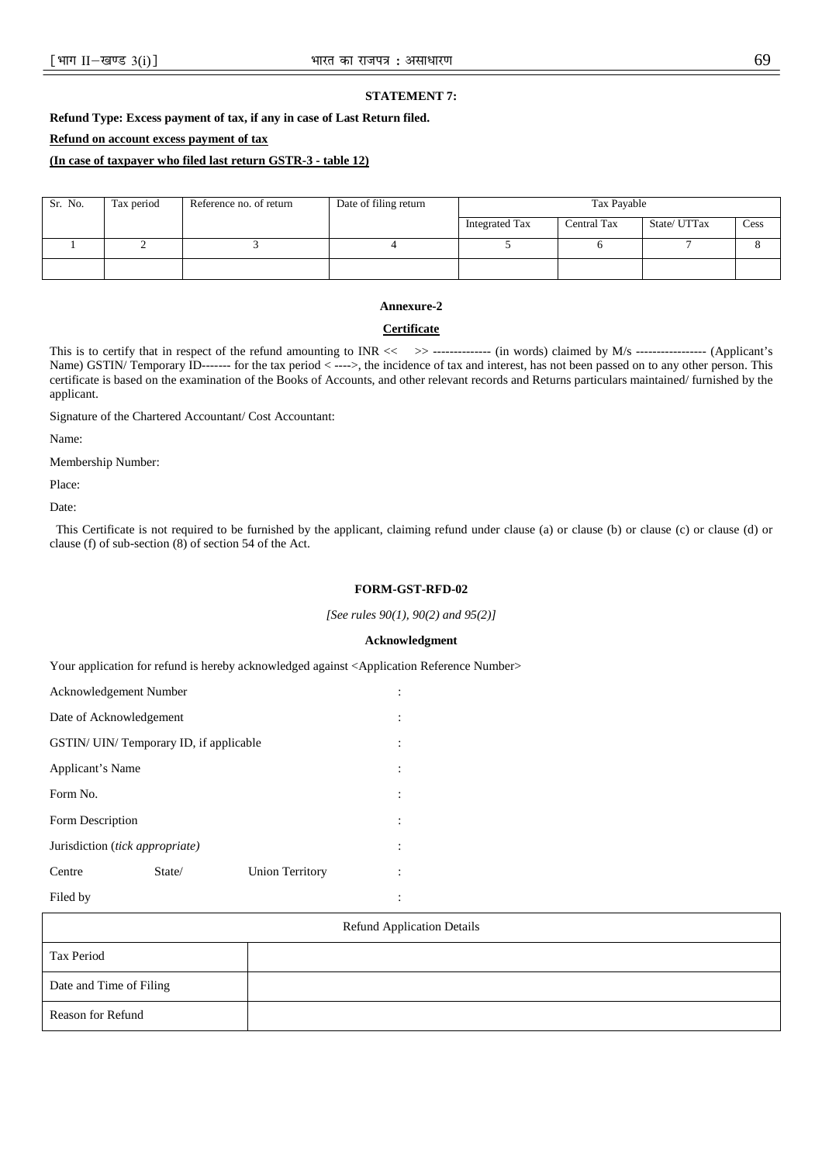### **STATEMENT 7:**

**Refund Type: Excess payment of tax, if any in case of Last Return filed.** 

## **Refund on account excess payment of tax**

## **(In case of taxpayer who filed last return GSTR-3 - table 12)**

| Sr. No. | Tax period | Reference no. of return | Date of filing return | Tax Payable    |             |              |      |  |  |
|---------|------------|-------------------------|-----------------------|----------------|-------------|--------------|------|--|--|
|         |            |                         |                       | Integrated Tax | Central Tax | State/ UTTax | Cess |  |  |
|         |            |                         |                       |                |             |              |      |  |  |
|         |            |                         |                       |                |             |              |      |  |  |

#### **Annexure-2**

#### **Certificate**

This is to certify that in respect of the refund amounting to INR << > > --------------- (in words) claimed by M/s ---------------- (Applicant's Name) GSTIN/ Temporary ID------- for the tax period < ---->, the incidence of tax and interest, has not been passed on to any other person. This certificate is based on the examination of the Books of Accounts, and other relevant records and Returns particulars maintained/ furnished by the applicant.

Signature of the Chartered Accountant/ Cost Accountant:

Name:

Membership Number:

Place:

Date:

 This Certificate is not required to be furnished by the applicant, claiming refund under clause (a) or clause (b) or clause (c) or clause (d) or clause (f) of sub-section (8) of section 54 of the Act.

#### **FORM-GST-RFD-02**

*[See rules 90(1), 90(2) and 95(2)]*

#### **Acknowledgment**

Your application for refund is hereby acknowledged against <Application Reference Number>

| Acknowledgement Number                 |                                         |                        |                |
|----------------------------------------|-----------------------------------------|------------------------|----------------|
| Date of Acknowledgement                |                                         |                        | ٠              |
|                                        | GSTIN/ UIN/ Temporary ID, if applicable |                        |                |
| Applicant's Name                       |                                         |                        | ٠              |
| Form No.                               |                                         |                        | $\ddot{\cdot}$ |
| Form Description                       |                                         |                        |                |
| Jurisdiction <i>(tick appropriate)</i> |                                         |                        | ٠              |
| Centre                                 | State/                                  | <b>Union Territory</b> | ٠              |
| Filed by                               |                                         |                        |                |

| <b>Refund Application Details</b> |  |  |  |  |  |  |  |  |
|-----------------------------------|--|--|--|--|--|--|--|--|
| Tax Period                        |  |  |  |  |  |  |  |  |
| Date and Time of Filing           |  |  |  |  |  |  |  |  |
| Reason for Refund                 |  |  |  |  |  |  |  |  |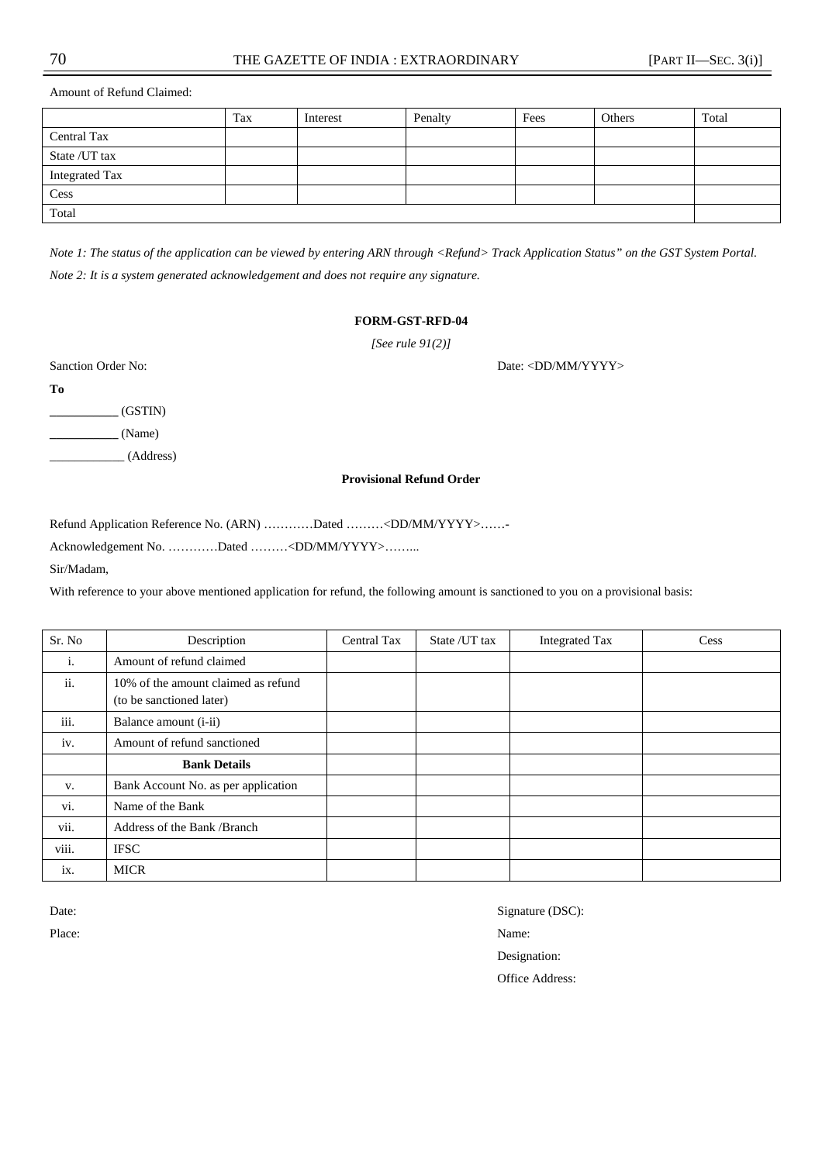Amount of Refund Claimed:

|                | Tax | Interest | Penalty | Fees | Others | Total |
|----------------|-----|----------|---------|------|--------|-------|
| Central Tax    |     |          |         |      |        |       |
| State / UT tax |     |          |         |      |        |       |
| Integrated Tax |     |          |         |      |        |       |
| Cess           |     |          |         |      |        |       |
| Total          |     |          |         |      |        |       |

*Note 1: The status of the application can be viewed by entering ARN through <Refund> Track Application Status" on the GST System Portal. Note 2: It is a system generated acknowledgement and does not require any signature.* 

#### **FORM-GST-RFD-04**

*[See rule 91(2)]*

Sanction Order No: Date: <DD/MM/YYYY>

**To** 

**\_\_\_\_\_\_\_\_\_\_\_** (GSTIN)

**\_\_\_\_\_\_\_\_\_\_\_** (Name)

\_\_\_\_\_\_\_\_\_\_\_\_ (Address)

#### **Provisional Refund Order**

Refund Application Reference No. (ARN) …………Dated ………<DD/MM/YYYY>……-

Acknowledgement No. …………Dated ………<DD/MM/YYYY>……...

Sir/Madam,

With reference to your above mentioned application for refund, the following amount is sanctioned to you on a provisional basis:

| Sr. No | Description                                                     | Central Tax | State / UT tax | <b>Integrated Tax</b> | Cess |
|--------|-----------------------------------------------------------------|-------------|----------------|-----------------------|------|
| i.     | Amount of refund claimed                                        |             |                |                       |      |
| ii.    | 10% of the amount claimed as refund<br>(to be sanctioned later) |             |                |                       |      |
| iii.   | Balance amount ( <i>i</i> - <i>ii</i> )                         |             |                |                       |      |
| iv.    | Amount of refund sanctioned                                     |             |                |                       |      |
|        | <b>Bank Details</b>                                             |             |                |                       |      |
| V.     | Bank Account No. as per application                             |             |                |                       |      |
| vi.    | Name of the Bank                                                |             |                |                       |      |
| vii.   | Address of the Bank /Branch                                     |             |                |                       |      |
| viii.  | <b>IFSC</b>                                                     |             |                |                       |      |
| ix.    | <b>MICR</b>                                                     |             |                |                       |      |

Place: Name: Name: Name: Name: Name: Name: Name: Name: Name: Name: Name: Name: Name: Name: Name: Name: Name: Name: Name: Name: Name: Name: Name: Name: Name: Name: Name: Name: Name: Name: Name: Name: Name: Name: Name: Name:

Date: Signature (DSC):

Designation:

Office Address: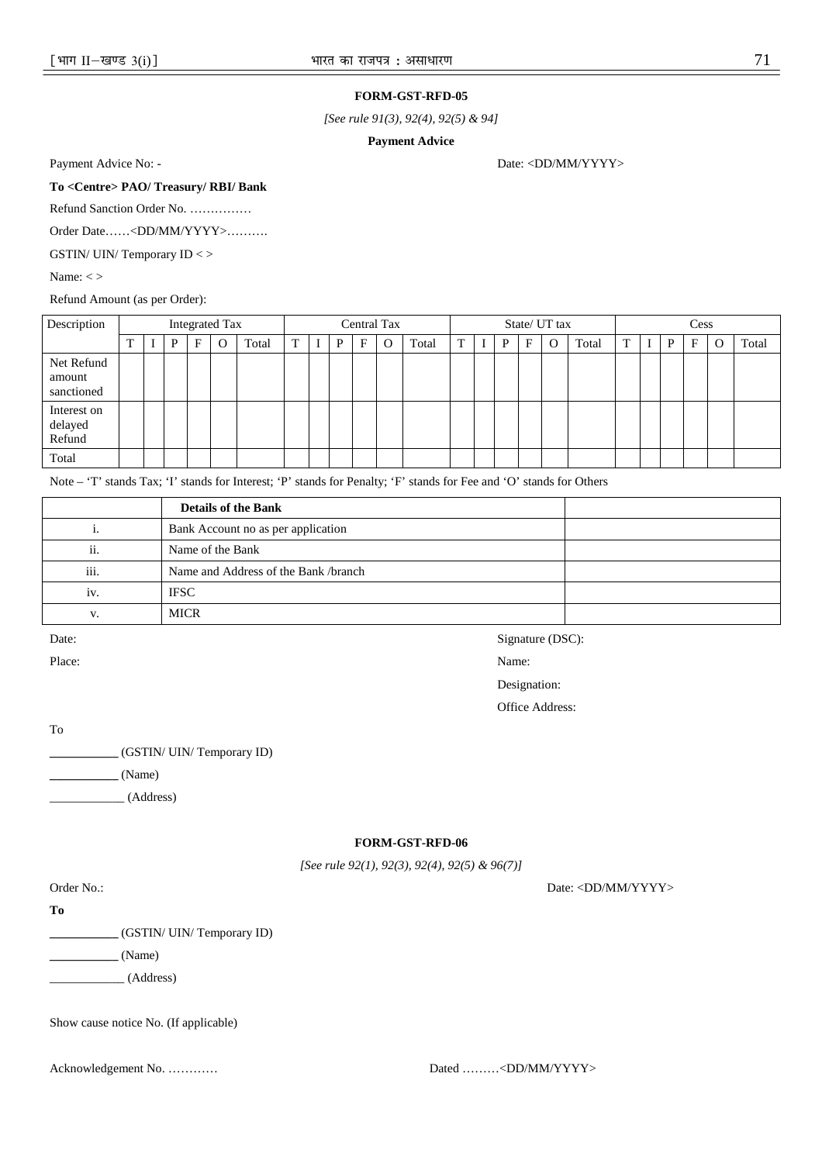#### **FORM-GST-RFD-05**

*[See rule 91(3), 92(4), 92(5) & 94]*

**Payment Advice** 

Payment Advice No: - Date: <DD/MM/YYYY>

**To <Centre> PAO/ Treasury/ RBI/ Bank** 

Refund Sanction Order No. ……………

Order Date……<DD/MM/YYYY>……….

GSTIN/ UIN/ Temporary ID < >

Name: <>

Refund Amount (as per Order):

| Description                                       |  |   |   | <b>Integrated Tax</b> |       |   |   |            | Central Tax |       |   |   |   | State/ UT tax |       |   | Cess |   |   |   |       |
|---------------------------------------------------|--|---|---|-----------------------|-------|---|---|------------|-------------|-------|---|---|---|---------------|-------|---|------|---|---|---|-------|
|                                                   |  | P | E | O                     | Total | m | P | $_{\rm F}$ | O           | Total | T | P | F |               | Total | т |      | D | F | O | Total |
| Net Refund<br>amount<br>sanctioned                |  |   |   |                       |       |   |   |            |             |       |   |   |   |               |       |   |      |   |   |   |       |
| Interest on<br>$\operatorname{delayed}$<br>Refund |  |   |   |                       |       |   |   |            |             |       |   |   |   |               |       |   |      |   |   |   |       |
| Total                                             |  |   |   |                       |       |   |   |            |             |       |   |   |   |               |       |   |      |   |   |   |       |

Note – 'T' stands Tax; 'I' stands for Interest; 'P' stands for Penalty; 'F' stands for Fee and 'O' stands for Others

|      | <b>Details of the Bank</b>           |  |
|------|--------------------------------------|--|
|      | Bank Account no as per application   |  |
| ii.  | Name of the Bank                     |  |
| iii. | Name and Address of the Bank /branch |  |
| 1V.  | <b>IFSC</b>                          |  |
| V.   | <b>MICR</b>                          |  |

Place: Name: Name: Name: Name: Name: Name: Name: Name: Name: Name: Name: Name: Name: Name: Name: Name: Name: Name: Name: Name: Name: Name: Name: Name: Name: Name: Name: Name: Name: Name: Name: Name: Name: Name: Name: Name:

Date: Signature (DSC):

Designation:

Office Address:

To

**\_\_\_\_\_\_\_\_\_\_\_** (GSTIN/ UIN/ Temporary ID)

**\_\_\_\_\_\_\_\_\_\_\_** (Name)

\_\_\_\_\_\_\_\_\_\_\_\_ (Address)

## **FORM-GST-RFD-06**

*[See rule 92(1), 92(3), 92(4), 92(5) & 96(7)]*

Order No.: Date: <DD/MM/YYYY>

**To** 

**\_\_\_\_\_\_\_\_\_\_\_** (GSTIN/ UIN/ Temporary ID)

**\_\_\_\_\_\_\_\_\_\_\_** (Name)

\_\_\_\_\_\_\_\_\_\_\_\_ (Address)

| Show cause notice No. (If applicable) |  |  |  |
|---------------------------------------|--|--|--|
|---------------------------------------|--|--|--|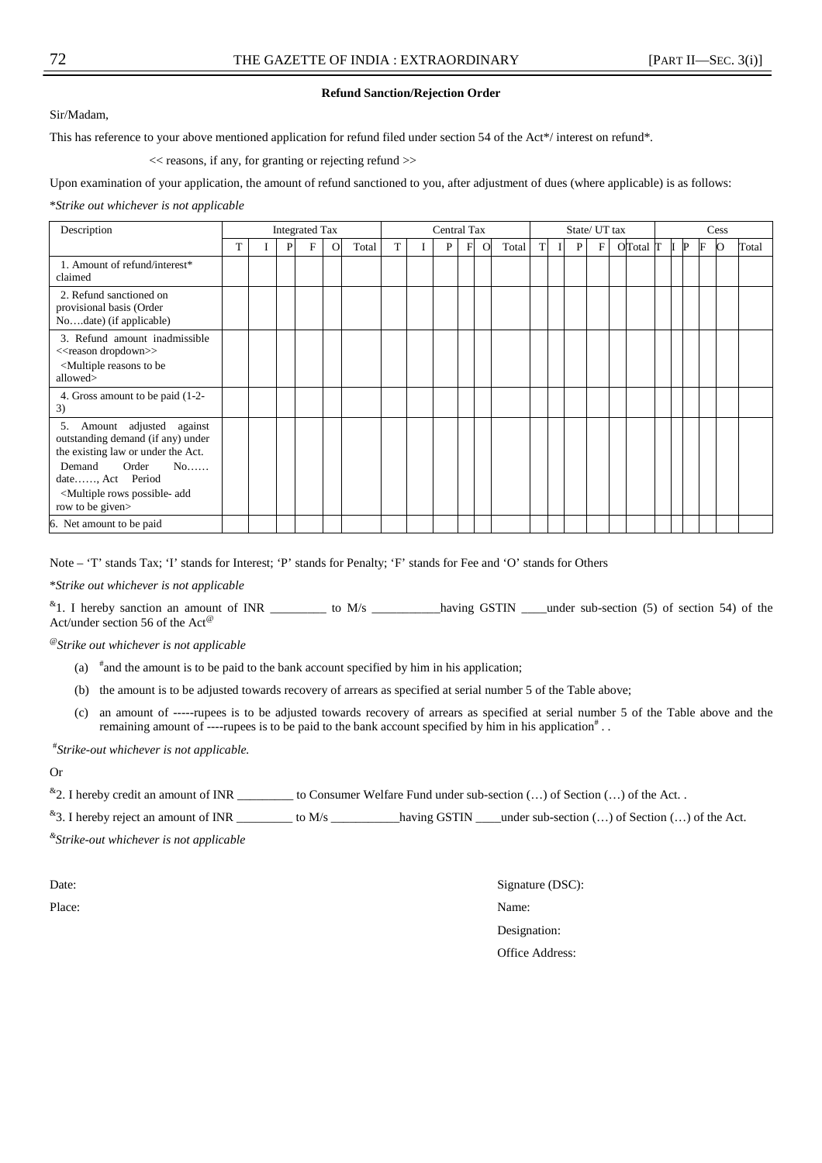### **Refund Sanction/Rejection Order**

Sir/Madam,

This has reference to your above mentioned application for refund filed under section 54 of the Act\*/ interest on refund\*.

 $<<$  reasons, if any, for granting or rejecting refund  $>>$ 

Upon examination of your application, the amount of refund sanctioned to you, after adjustment of dues (where applicable) is as follows:

\**Strike out whichever is not applicable*

| Description                                                                                                                                                                                                                      |  |   | <b>Integrated Tax</b> |          |       |   | Central Tax |             |          |       |   |   | State/ UT tax |                    | Cess |   |              |   |   |       |
|----------------------------------------------------------------------------------------------------------------------------------------------------------------------------------------------------------------------------------|--|---|-----------------------|----------|-------|---|-------------|-------------|----------|-------|---|---|---------------|--------------------|------|---|--------------|---|---|-------|
|                                                                                                                                                                                                                                  |  | P | F                     | $\Omega$ | Total | T | P           | $\mathbf F$ | $\Omega$ | Total | T | P | $\mathbf{F}$  | $O$ Total $\Gamma$ |      | I | $\mathbb{P}$ | F | Ю | Total |
| 1. Amount of refund/interest*<br>claimed                                                                                                                                                                                         |  |   |                       |          |       |   |             |             |          |       |   |   |               |                    |      |   |              |   |   |       |
| 2. Refund sanctioned on<br>provisional basis (Order<br>Nodate) (if applicable)                                                                                                                                                   |  |   |                       |          |       |   |             |             |          |       |   |   |               |                    |      |   |              |   |   |       |
| 3. Refund amount inadmissible<br>< <reason dropdown="">&gt;<br/><multiple be<br="" reasons="" to="">allowed&gt;</multiple></reason>                                                                                              |  |   |                       |          |       |   |             |             |          |       |   |   |               |                    |      |   |              |   |   |       |
| 4. Gross amount to be paid (1-2-<br>3)                                                                                                                                                                                           |  |   |                       |          |       |   |             |             |          |       |   |   |               |                    |      |   |              |   |   |       |
| Amount adjusted against<br>5.<br>outstanding demand (if any) under<br>the existing law or under the Act.<br>Demand<br>Order<br>No<br>date, Act Period<br><multiple add<br="" possible-="" rows="">row to be given&gt;</multiple> |  |   |                       |          |       |   |             |             |          |       |   |   |               |                    |      |   |              |   |   |       |
| 6. Net amount to be paid                                                                                                                                                                                                         |  |   |                       |          |       |   |             |             |          |       |   |   |               |                    |      |   |              |   |   |       |

Note – 'T' stands Tax; 'I' stands for Interest; 'P' stands for Penalty; 'F' stands for Fee and 'O' stands for Others

\**Strike out whichever is not applicable*

 $*1$ . I hereby sanction an amount of INR \_\_\_\_\_\_\_\_\_\_ to M/s \_\_\_\_\_\_\_\_\_having GSTIN \_\_\_under sub-section (5) of section 54) of the Act/under section 56 of the Act<sup>®</sup>

@*Strike out whichever is not applicable*

- (a)  $*$  and the amount is to be paid to the bank account specified by him in his application;
- (b) the amount is to be adjusted towards recovery of arrears as specified at serial number 5 of the Table above;
- (c) an amount of -----rupees is to be adjusted towards recovery of arrears as specified at serial number 5 of the Table above and the remaining amount of ----rupees is to be paid to the bank account specified by him in his application<sup>#</sup>...

# *Strike-out whichever is not applicable.*

Or

 $*$ 2. I hereby credit an amount of INR \_\_\_\_\_\_\_\_\_ to Consumer Welfare Fund under sub-section  $(...)$  of Section  $(...)$  of the Act.

<sup>&</sup>3. I hereby reject an amount of INR \_\_  $\frac{1}{\sqrt{3}}$  to M/s \_\_\_\_\_\_\_\_\_\_\_\_ having GSTIN \_\_\_\_under sub-section (...) of Section (...) of the Act.

*& Strike-out whichever is not applicable* 

Date: Signature (DSC): Place: Name: Name: Name: Name: Name: Name: Name: Name: Name: Name: Name: Name: Name: Name: Name: Name: Name: Name: Name: Name: Name: Name: Name: Name: Name: Name: Name: Name: Name: Name: Name: Name: Name: Name: Name: Name: Designation: Office Address: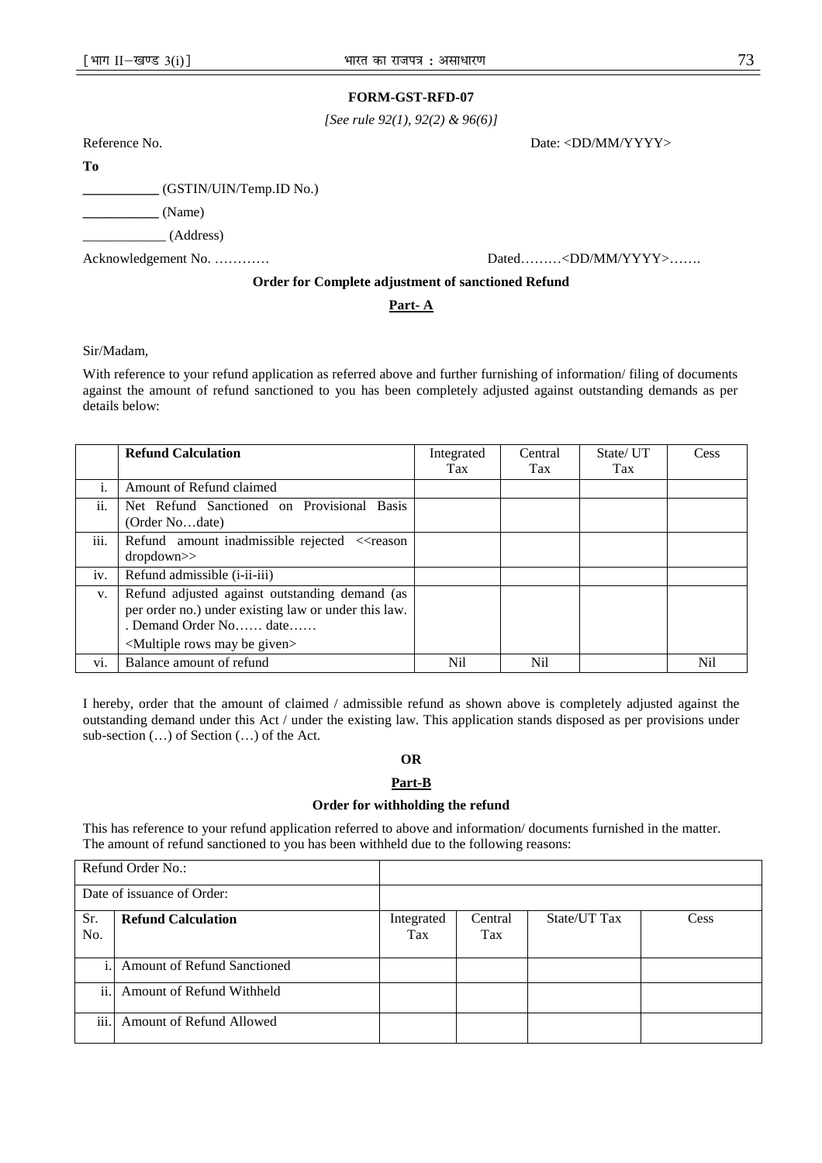## **FORM-GST-RFD-07**

*[See rule 92(1), 92(2) & 96(6)]* 

Reference No. Date: <DD/MM/YYYY>

**To** 

**\_\_\_\_\_\_\_\_\_\_\_** (GSTIN/UIN/Temp.ID No.)

**\_\_\_\_\_\_\_\_\_\_\_** (Name)

\_\_\_\_\_\_\_\_\_\_\_\_ (Address)

Acknowledgement No. ………… Dated………<DD/MM/YYYY>……

## **Order for Complete adjustment of sanctioned Refund**

## **Part- A**

Sir/Madam,

With reference to your refund application as referred above and further furnishing of information/ filing of documents against the amount of refund sanctioned to you has been completely adjusted against outstanding demands as per details below:

|      | <b>Refund Calculation</b>                                                                                                                                                               | Integrated | Central    | State/UT | Cess |
|------|-----------------------------------------------------------------------------------------------------------------------------------------------------------------------------------------|------------|------------|----------|------|
|      |                                                                                                                                                                                         | Tax        | <b>Tax</b> | Tax      |      |
| 1.   | Amount of Refund claimed                                                                                                                                                                |            |            |          |      |
| ii.  | Net Refund Sanctioned on Provisional Basis<br>(Order Nodate)                                                                                                                            |            |            |          |      |
| iii. | Refund amount inadmissible rejected < <reason<br>dropdown&gt;&gt;</reason<br>                                                                                                           |            |            |          |      |
| iv.  | Refund admissible ( <i>i</i> -ii-iii)                                                                                                                                                   |            |            |          |      |
| V.   | Refund adjusted against outstanding demand (as<br>per order no.) under existing law or under this law.<br>. Demand Order No date<br><multiple be="" given="" may="" rows=""></multiple> |            |            |          |      |
| Vİ.  | Balance amount of refund                                                                                                                                                                | Nil.       | Nil        |          | Nil  |

I hereby, order that the amount of claimed / admissible refund as shown above is completely adjusted against the outstanding demand under this Act / under the existing law. This application stands disposed as per provisions under sub-section (…) of Section (…) of the Act.

## **OR**

## **Part-B**

#### **Order for withholding the refund**

This has reference to your refund application referred to above and information/ documents furnished in the matter. The amount of refund sanctioned to you has been withheld due to the following reasons:

|            | Refund Order No.:                  |                   |                |              |      |
|------------|------------------------------------|-------------------|----------------|--------------|------|
|            | Date of issuance of Order:         |                   |                |              |      |
| Sr.<br>No. | <b>Refund Calculation</b>          | Integrated<br>Tax | Central<br>Tax | State/UT Tax | Cess |
| i.1        | <b>Amount of Refund Sanctioned</b> |                   |                |              |      |
| ii.        | Amount of Refund Withheld          |                   |                |              |      |
| iii.       | Amount of Refund Allowed           |                   |                |              |      |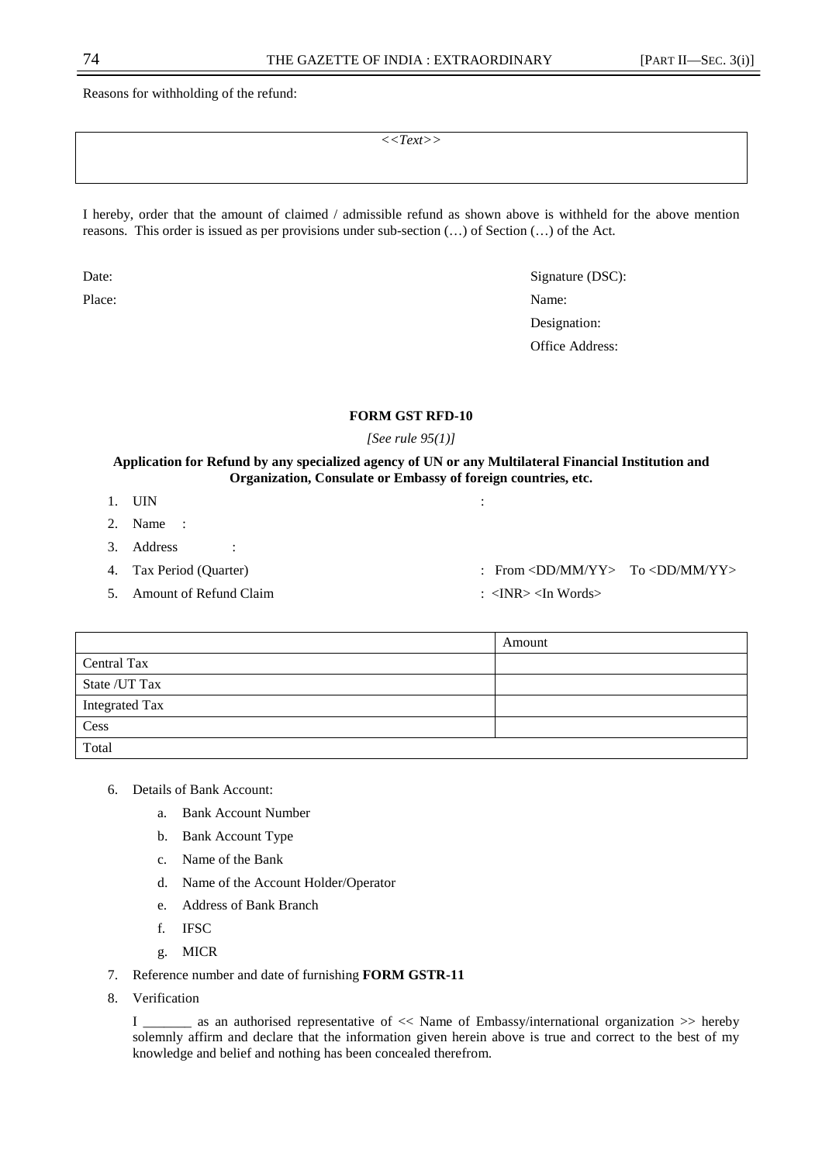Reasons for withholding of the refund:

*<<Text>>* 

I hereby, order that the amount of claimed / admissible refund as shown above is withheld for the above mention reasons. This order is issued as per provisions under sub-section (…) of Section (…) of the Act.

Date: Signature (DSC): Place: Name: Name: Name: Name: Name: Name: Name: Name: Name: Name: Name: Name: Name: Name: Name: Name: Name: Name: Name: Name: Name: Name: Name: Name: Name: Name: Name: Name: Name: Name: Name: Name: Name: Name: Name: Name: Designation: Office Address:

## **FORM GST RFD-10**

*[See rule 95(1)]* 

## **Application for Refund by any specialized agency of UN or any Multilateral Financial Institution and Organization, Consulate or Embassy of foreign countries, etc.**

- 1. UIN :
- 2. Name :
- 3. Address :
- 
- 5. Amount of Refund Claim : <INR> <In Words>
- 4. Tax Period (Quarter) : From <DD/MM/YY> To <DD/MM/YY>
	-

|                | Amount |
|----------------|--------|
| Central Tax    |        |
| State / UT Tax |        |
| Integrated Tax |        |
| Cess           |        |
| Total          |        |

- 6. Details of Bank Account:
	- a. Bank Account Number
	- b. Bank Account Type
	- c. Name of the Bank
	- d. Name of the Account Holder/Operator
	- e. Address of Bank Branch
	- f. IFSC
	- g. MICR
- 7. Reference number and date of furnishing **FORM GSTR-11**
- 8. Verification

I \_\_\_\_\_\_\_ as an authorised representative of << Name of Embassy/international organization >> hereby solemnly affirm and declare that the information given herein above is true and correct to the best of my knowledge and belief and nothing has been concealed therefrom.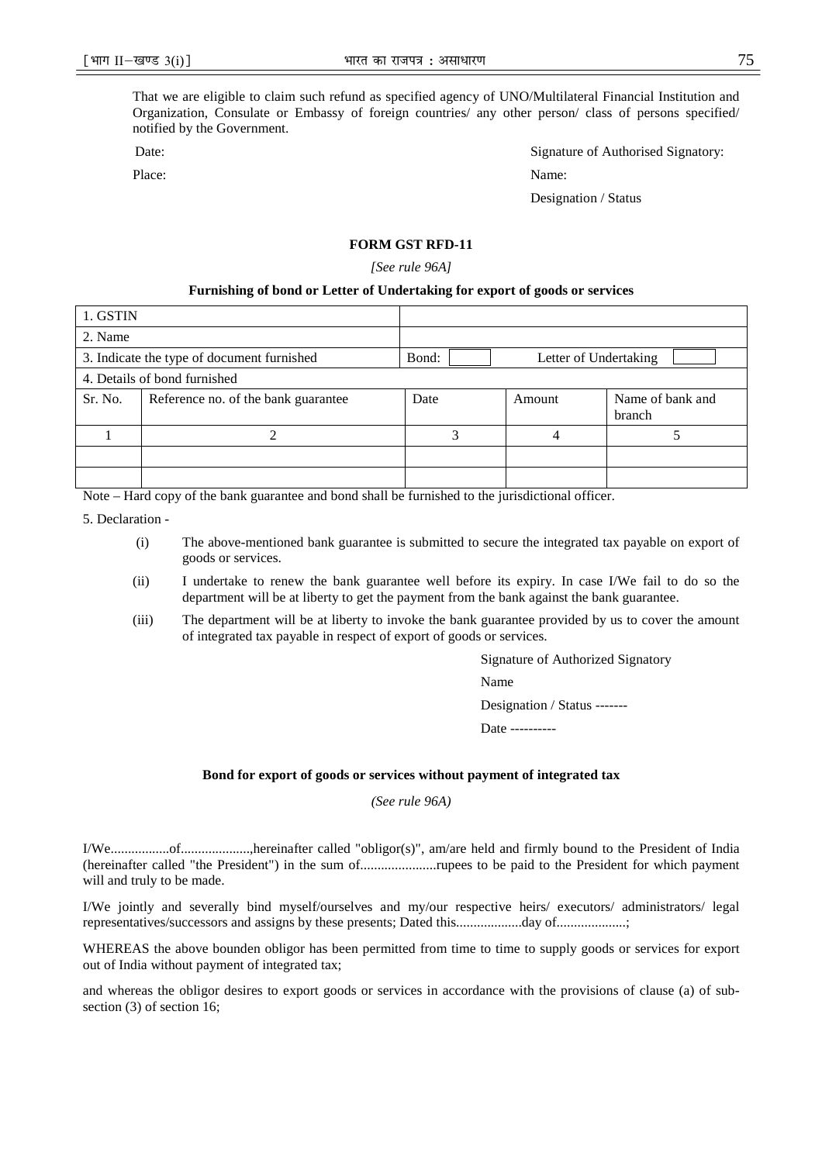That we are eligible to claim such refund as specified agency of UNO/Multilateral Financial Institution and Organization, Consulate or Embassy of foreign countries/ any other person/ class of persons specified/ notified by the Government.

Place: Name:

Date: Signature of Authorised Signatory:

Designation / Status

## **FORM GST RFD-11**

*[See rule 96A]* 

#### **Furnishing of bond or Letter of Undertaking for export of goods or services**

| 1. GSTIN |                                            |       |                       |                            |
|----------|--------------------------------------------|-------|-----------------------|----------------------------|
| 2. Name  |                                            |       |                       |                            |
|          | 3. Indicate the type of document furnished | Bond: | Letter of Undertaking |                            |
|          | 4. Details of bond furnished               |       |                       |                            |
| Sr. No.  | Reference no. of the bank guarantee        | Date  | Amount                | Name of bank and<br>branch |
|          |                                            | 2     |                       |                            |
|          |                                            |       |                       |                            |
|          |                                            |       |                       |                            |

Note – Hard copy of the bank guarantee and bond shall be furnished to the jurisdictional officer.

5. Declaration -

- (i) The above-mentioned bank guarantee is submitted to secure the integrated tax payable on export of goods or services.
- (ii) I undertake to renew the bank guarantee well before its expiry. In case I/We fail to do so the department will be at liberty to get the payment from the bank against the bank guarantee.
- (iii) The department will be at liberty to invoke the bank guarantee provided by us to cover the amount of integrated tax payable in respect of export of goods or services.

Signature of Authorized Signatory Name Designation / Status -------

Date ----------

#### **Bond for export of goods or services without payment of integrated tax**

*(See rule 96A)* 

I/We.................of....................,hereinafter called "obligor(s)", am/are held and firmly bound to the President of India (hereinafter called "the President") in the sum of......................rupees to be paid to the President for which payment will and truly to be made.

I/We jointly and severally bind myself/ourselves and my/our respective heirs/ executors/ administrators/ legal representatives/successors and assigns by these presents; Dated this...................day of....................;

WHEREAS the above bounden obligor has been permitted from time to time to supply goods or services for export out of India without payment of integrated tax;

and whereas the obligor desires to export goods or services in accordance with the provisions of clause (a) of subsection (3) of section 16;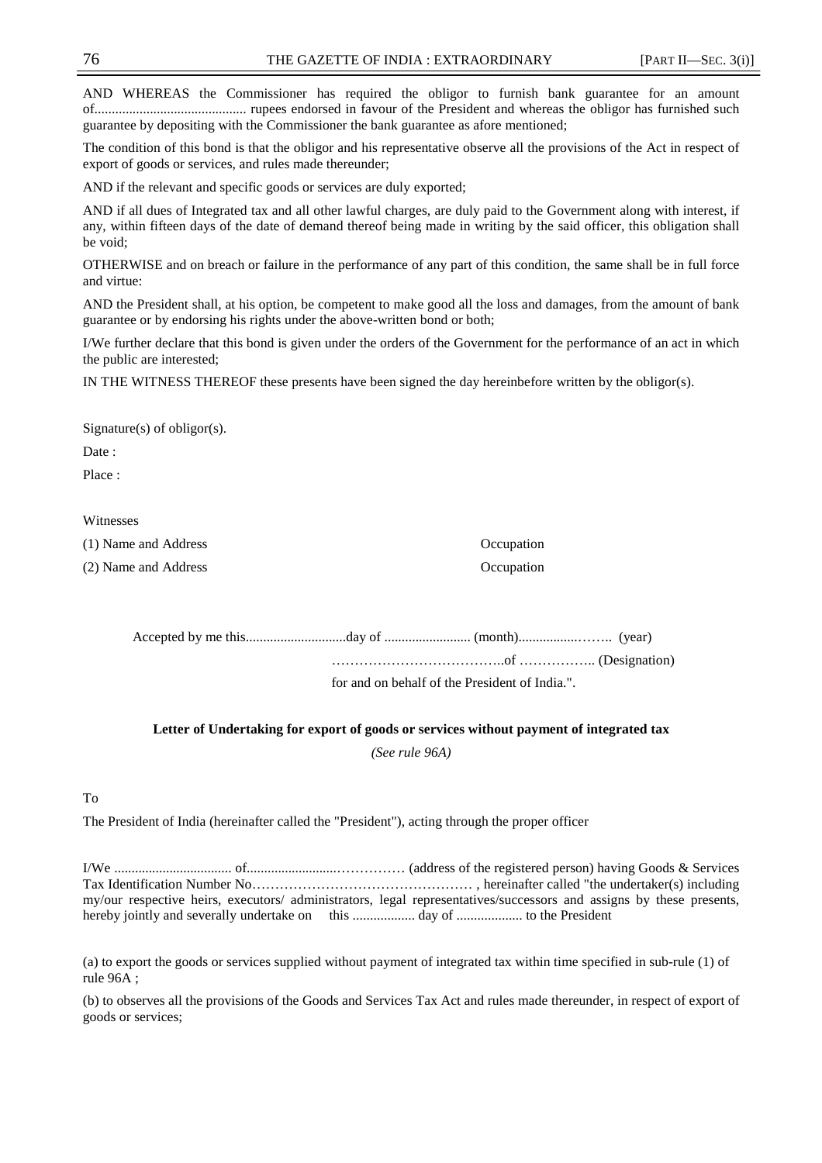AND WHEREAS the Commissioner has required the obligor to furnish bank guarantee for an amount of............................................ rupees endorsed in favour of the President and whereas the obligor has furnished such guarantee by depositing with the Commissioner the bank guarantee as afore mentioned;

The condition of this bond is that the obligor and his representative observe all the provisions of the Act in respect of export of goods or services, and rules made thereunder;

AND if the relevant and specific goods or services are duly exported;

AND if all dues of Integrated tax and all other lawful charges, are duly paid to the Government along with interest, if any, within fifteen days of the date of demand thereof being made in writing by the said officer, this obligation shall be void;

OTHERWISE and on breach or failure in the performance of any part of this condition, the same shall be in full force and virtue:

AND the President shall, at his option, be competent to make good all the loss and damages, from the amount of bank guarantee or by endorsing his rights under the above-written bond or both;

I/We further declare that this bond is given under the orders of the Government for the performance of an act in which the public are interested;

IN THE WITNESS THEREOF these presents have been signed the day hereinbefore written by the obligor(s).

Signature(s) of obligor(s).

Date:

Place ·

#### Witnesses

(1) Name and Address Occupation (2) Name and Address Occupation

|  | for and on behalf of the President of India.". |  |
|--|------------------------------------------------|--|

**Letter of Undertaking for export of goods or services without payment of integrated tax** 

*(See rule 96A)* 

#### To

The President of India (hereinafter called the "President"), acting through the proper officer

I/We .................................. of..........................…………… (address of the registered person) having Goods & Services Tax Identification Number No………………………………………… , hereinafter called "the undertaker(s) including my/our respective heirs, executors/ administrators, legal representatives/successors and assigns by these presents, hereby jointly and severally undertake on this .................. day of ................... to the President

(a) to export the goods or services supplied without payment of integrated tax within time specified in sub-rule (1) of rule 96A ;

(b) to observes all the provisions of the Goods and Services Tax Act and rules made thereunder, in respect of export of goods or services;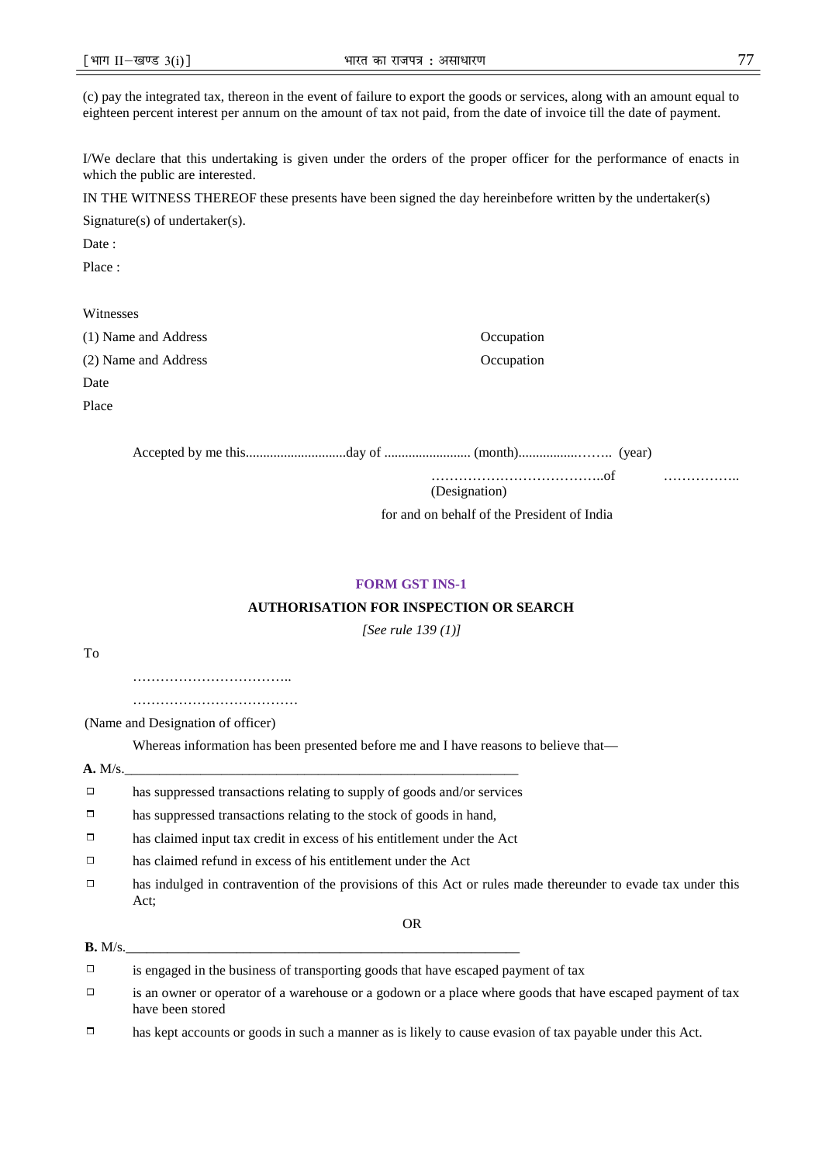(c) pay the integrated tax, thereon in the event of failure to export the goods or services, along with an amount equal to eighteen percent interest per annum on the amount of tax not paid, from the date of invoice till the date of payment.

I/We declare that this undertaking is given under the orders of the proper officer for the performance of enacts in which the public are interested.

IN THE WITNESS THEREOF these presents have been signed the day hereinbefore written by the undertaker(s)

Signature(s) of undertaker(s).

Date:

Place :

## Witnesses

(1) Name and Address Occupation (2) Name and Address Occupation Date

Place

Accepted by me this.............................day of ......................... (month).................…….. (year)

………………………………..of ……………..

(Designation)

for and on behalf of the President of India

## **FORM GST INS-1**

## **AUTHORISATION FOR INSPECTION OR SEARCH**

*[See rule 139 (1)]*

To

………………………………………… ……………………………………

(Name and Designation of officer)

Whereas information has been presented before me and I have reasons to believe that—

#### **A.** M/s.\_\_\_\_\_\_\_\_\_\_\_\_\_\_\_\_\_\_\_\_\_\_\_\_\_\_\_\_\_\_\_\_\_\_\_\_\_\_\_\_\_\_\_\_\_\_\_\_\_\_\_\_\_\_\_\_\_

- $\Box$ has suppressed transactions relating to supply of goods and/or services
- $\Box$ has suppressed transactions relating to the stock of goods in hand,
- $\Box$ has claimed input tax credit in excess of his entitlement under the Act
- $\Box$ has claimed refund in excess of his entitlement under the Act
- $\Box$ has indulged in contravention of the provisions of this Act or rules made thereunder to evade tax under this Act;

OR

#### **B.** M/s.\_\_\_\_\_\_\_\_\_\_\_\_\_\_\_\_\_\_\_\_\_\_\_\_\_\_\_\_\_\_\_\_\_\_\_\_\_\_\_\_\_\_\_\_\_\_\_\_\_\_\_\_\_\_\_\_\_

 $\Box$ is engaged in the business of transporting goods that have escaped payment of tax

 $\Box$ is an owner or operator of a warehouse or a godown or a place where goods that have escaped payment of tax have been stored

 $\Box$ has kept accounts or goods in such a manner as is likely to cause evasion of tax payable under this Act.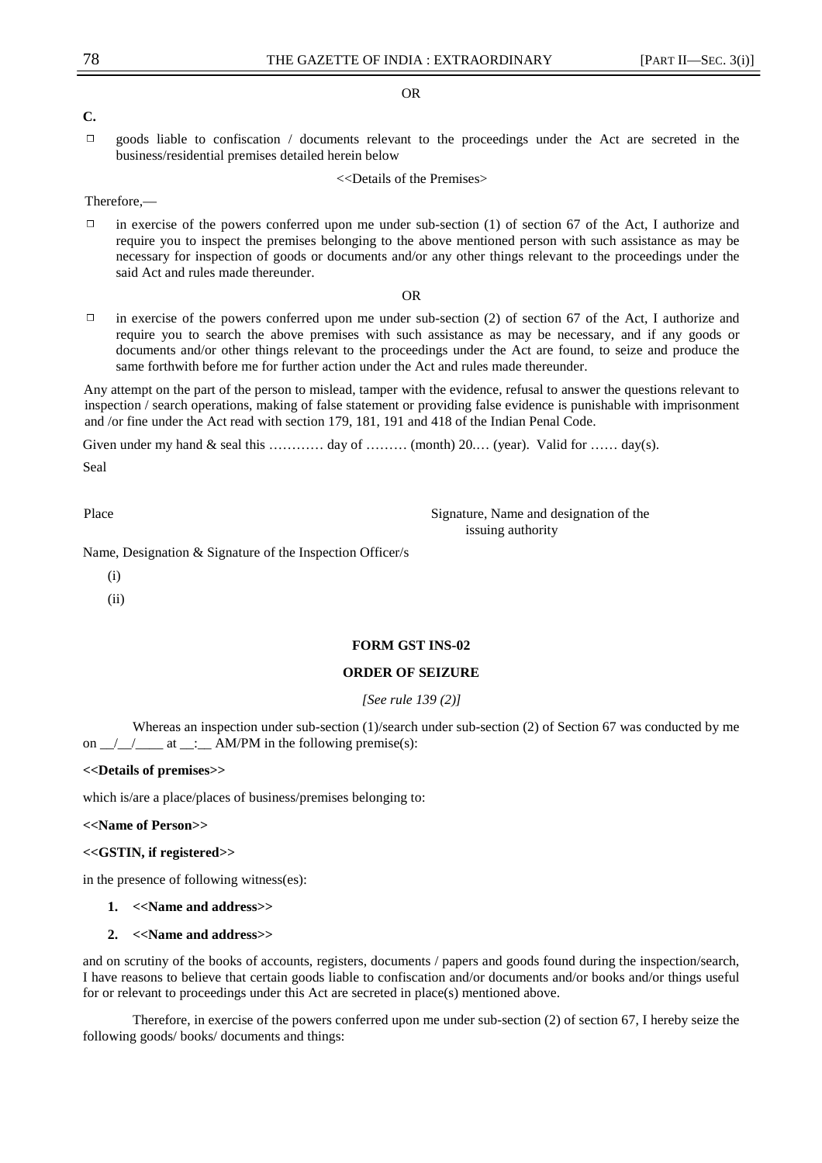#### OR

## **C.**

 $\Box$ goods liable to confiscation / documents relevant to the proceedings under the Act are secreted in the business/residential premises detailed herein below

<<Details of the Premises>

Therefore,—

 $\Box$ in exercise of the powers conferred upon me under sub-section (1) of section 67 of the Act, I authorize and require you to inspect the premises belonging to the above mentioned person with such assistance as may be necessary for inspection of goods or documents and/or any other things relevant to the proceedings under the said Act and rules made thereunder.

OR

 $\Box$ in exercise of the powers conferred upon me under sub-section (2) of section 67 of the Act, I authorize and require you to search the above premises with such assistance as may be necessary, and if any goods or documents and/or other things relevant to the proceedings under the Act are found, to seize and produce the same forthwith before me for further action under the Act and rules made thereunder.

Any attempt on the part of the person to mislead, tamper with the evidence, refusal to answer the questions relevant to inspection / search operations, making of false statement or providing false evidence is punishable with imprisonment and /or fine under the Act read with section 179, 181, 191 and 418 of the Indian Penal Code.

Given under my hand & seal this ………… day of ……… (month) 20…. (year). Valid for …… day(s).

Seal

Place Signature, Name and designation of the Signature. issuing authority

Name, Designation & Signature of the Inspection Officer/s

- (i)
- (ii)

#### **FORM GST INS-02**

## **ORDER OF SEIZURE**

*[See rule 139 (2)]*

Whereas an inspection under sub-section (1)/search under sub-section (2) of Section 67 was conducted by me on  $\angle$   $\angle$   $\angle$   $\angle$  at  $\angle$   $\therefore$  AM/PM in the following premise(s):

#### **<<Details of premises>>**

which is/are a place/places of business/premises belonging to:

**<<Name of Person>>** 

## **<<GSTIN, if registered>>**

in the presence of following witness(es):

- **1. <<Name and address>>**
- **2. <<Name and address>>**

and on scrutiny of the books of accounts, registers, documents / papers and goods found during the inspection/search, I have reasons to believe that certain goods liable to confiscation and/or documents and/or books and/or things useful for or relevant to proceedings under this Act are secreted in place(s) mentioned above.

Therefore, in exercise of the powers conferred upon me under sub-section (2) of section 67, I hereby seize the following goods/ books/ documents and things: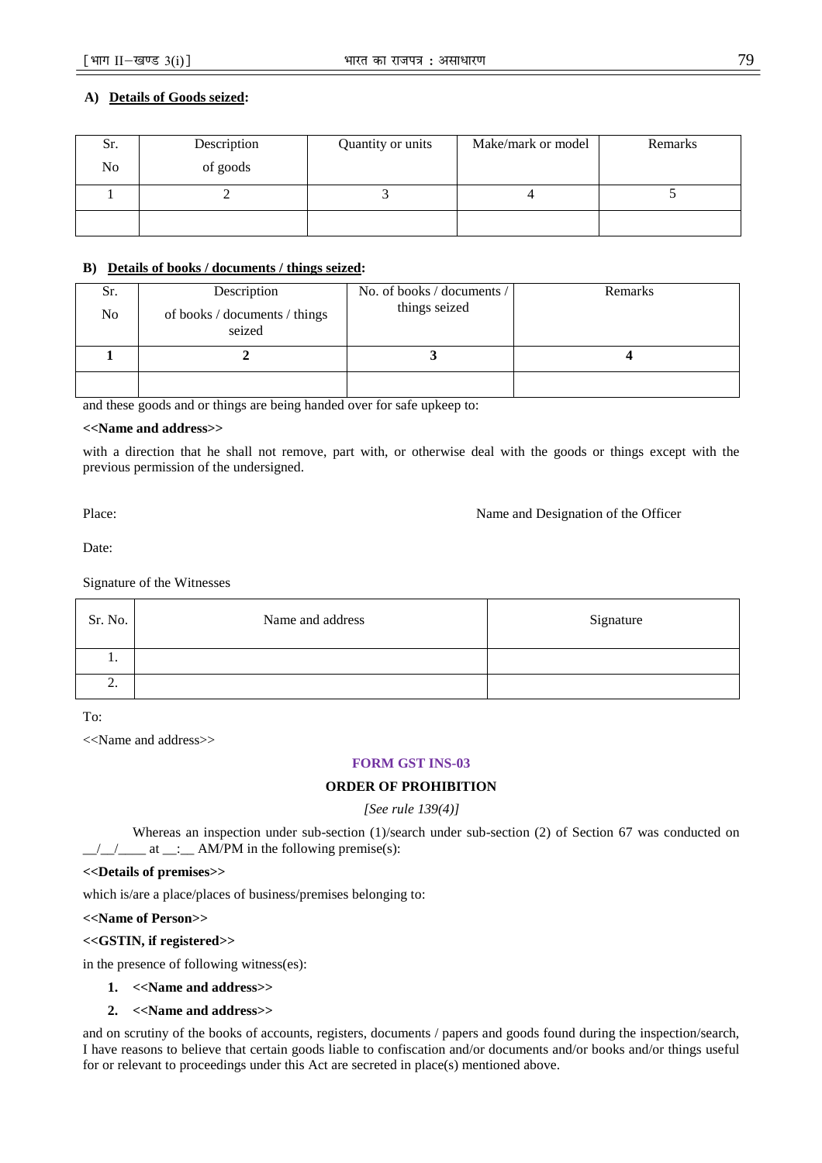## **A) Details of Goods seized:**

| Sr. | Description | Quantity or units | Make/mark or model | Remarks |
|-----|-------------|-------------------|--------------------|---------|
| No  | of goods    |                   |                    |         |
|     |             |                   |                    |         |
|     |             |                   |                    |         |

## **B) Details of books / documents / things seized:**

| Sr.<br>No. | Description<br>of books / documents / things<br>seized | No. of books / documents /<br>things seized | Remarks |  |
|------------|--------------------------------------------------------|---------------------------------------------|---------|--|
|            |                                                        |                                             |         |  |
|            |                                                        |                                             |         |  |

and these goods and or things are being handed over for safe upkeep to:

#### **<<Name and address>>**

with a direction that he shall not remove, part with, or otherwise deal with the goods or things except with the previous permission of the undersigned.

Place: Name and Designation of the Officer

Date:

Signature of the Witnesses

| Sr. No.  | Name and address | Signature |
|----------|------------------|-----------|
| . .      |                  |           |
| <u>.</u> |                  |           |

To:

<<Name and address>>

## **FORM GST INS-03**

## **ORDER OF PROHIBITION**

*[See rule 139(4)]*

Whereas an inspection under sub-section (1)/search under sub-section (2) of Section 67 was conducted on  $\frac{1}{2}$  at  $\frac{1}{2}$  at  $\frac{1}{2}$  AM/PM in the following premise(s):

#### **<<Details of premises>>**

which is/are a place/places of business/premises belonging to:

## **<<Name of Person>>**

**<<GSTIN, if registered>>** 

in the presence of following witness(es):

- **1. <<Name and address>>**
- **2. <<Name and address>>**

and on scrutiny of the books of accounts, registers, documents / papers and goods found during the inspection/search, I have reasons to believe that certain goods liable to confiscation and/or documents and/or books and/or things useful for or relevant to proceedings under this Act are secreted in place(s) mentioned above.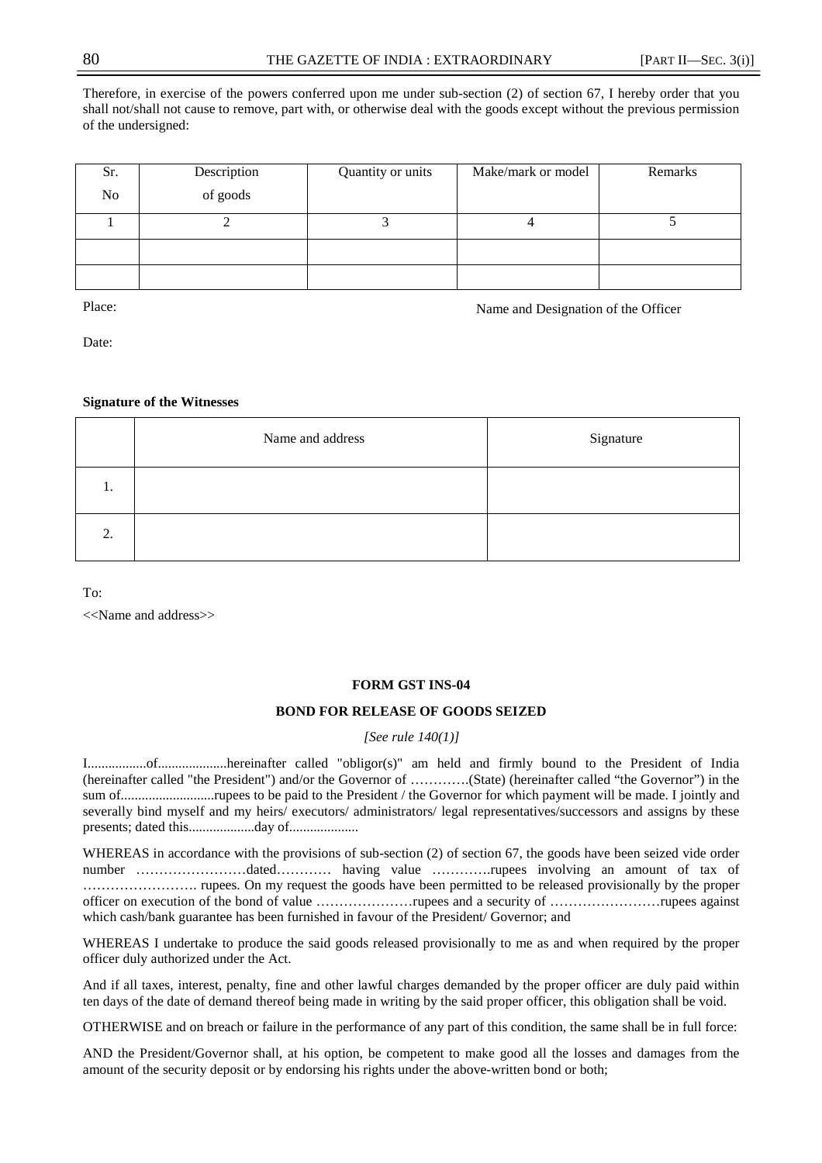Therefore, in exercise of the powers conferred upon me under sub-section (2) of section 67, I hereby order that you shall not/shall not cause to remove, part with, or otherwise deal with the goods except without the previous permission of the undersigned:

| Sr. | Description | Make/mark or model<br>Quantity or units |  | Remarks |  |
|-----|-------------|-----------------------------------------|--|---------|--|
| No  | of goods    |                                         |  |         |  |
|     |             |                                         |  |         |  |
|     |             |                                         |  |         |  |
|     |             |                                         |  |         |  |

Place: Name and Designation of the Officer

Date:

## **Signature of the Witnesses**

|    | Name and address | Signature |
|----|------------------|-----------|
| 1. |                  |           |
| 2. |                  |           |

To:

<<Name and address>>

#### **FORM GST INS-04**

## **BOND FOR RELEASE OF GOODS SEIZED**

#### *[See rule 140(1)]*

I.................of....................hereinafter called "obligor(s)" am held and firmly bound to the President of India (hereinafter called "the President") and/or the Governor of ………….(State) (hereinafter called "the Governor") in the sum of...........................rupees to be paid to the President / the Governor for which payment will be made. I jointly and severally bind myself and my heirs/ executors/ administrators/ legal representatives/successors and assigns by these presents; dated this...................day of....................

WHEREAS in accordance with the provisions of sub-section (2) of section 67, the goods have been seized vide order number ……………………dated………… having value ………….rupees involving an amount of tax of ……………………. rupees. On my request the goods have been permitted to be released provisionally by the proper officer on execution of the bond of value …………………rupees and a security of ……………………rupees against which cash/bank guarantee has been furnished in favour of the President/ Governor; and

WHEREAS I undertake to produce the said goods released provisionally to me as and when required by the proper officer duly authorized under the Act.

And if all taxes, interest, penalty, fine and other lawful charges demanded by the proper officer are duly paid within ten days of the date of demand thereof being made in writing by the said proper officer, this obligation shall be void.

OTHERWISE and on breach or failure in the performance of any part of this condition, the same shall be in full force:

AND the President/Governor shall, at his option, be competent to make good all the losses and damages from the amount of the security deposit or by endorsing his rights under the above-written bond or both;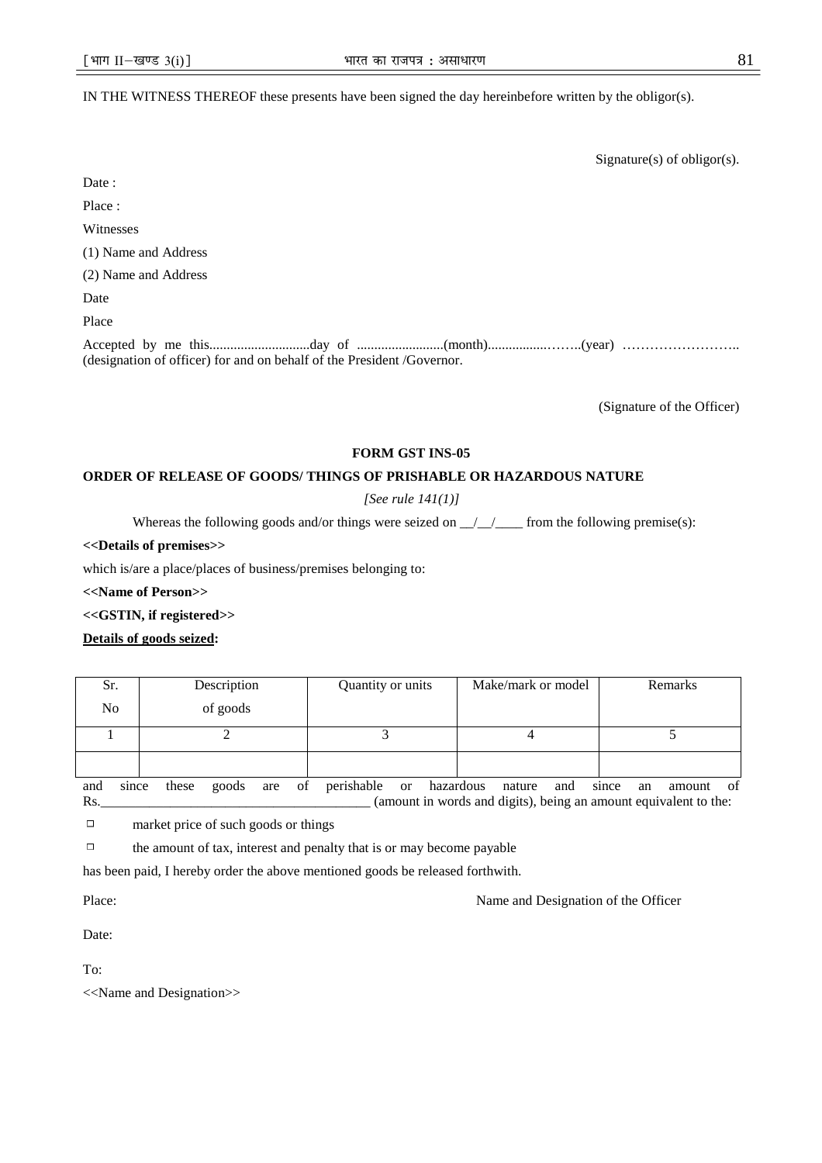## IN THE WITNESS THEREOF these presents have been signed the day hereinbefore written by the obligor(s).

|                                                                        | Signature(s) of obligor(s). |
|------------------------------------------------------------------------|-----------------------------|
| Date:                                                                  |                             |
| Place:                                                                 |                             |
| Witnesses                                                              |                             |
| (1) Name and Address                                                   |                             |
| (2) Name and Address                                                   |                             |
| Date                                                                   |                             |
| Place                                                                  |                             |
| (designation of officer) for and on behalf of the President /Governor. |                             |

(Signature of the Officer)

#### **FORM GST INS-05**

#### **ORDER OF RELEASE OF GOODS/ THINGS OF PRISHABLE OR HAZARDOUS NATURE**

*[See rule 141(1)]* 

Whereas the following goods and/or things were seized on  $\frac{1}{2}$  from the following premise(s):

#### **<<Details of premises>>**

which is/are a place/places of business/premises belonging to:

**<<Name of Person>>** 

**<<GSTIN, if registered>>** 

#### **Details of goods seized:**

| Sr.          | Description |       |     |    |            |           |           |  |        |     |       |  |    |        |     |  | Quantity or units |  |  |  | Make/mark or model |  |  |  |  | Remarks |  |
|--------------|-------------|-------|-----|----|------------|-----------|-----------|--|--------|-----|-------|--|----|--------|-----|--|-------------------|--|--|--|--------------------|--|--|--|--|---------|--|
| No           | of goods    |       |     |    |            |           |           |  |        |     |       |  |    |        |     |  |                   |  |  |  |                    |  |  |  |  |         |  |
|              |             |       |     |    |            |           |           |  |        |     |       |  |    |        |     |  |                   |  |  |  |                    |  |  |  |  |         |  |
|              |             |       |     |    |            |           |           |  |        |     |       |  |    |        |     |  |                   |  |  |  |                    |  |  |  |  |         |  |
| since<br>and | these       | goods | are | οf | perishable | <b>or</b> | hazardous |  | nature | and | since |  | an | amount | -of |  |                   |  |  |  |                    |  |  |  |  |         |  |

Rs.\_\_\_\_\_\_\_\_\_\_\_\_\_\_\_\_\_\_\_\_\_\_\_\_\_\_\_\_\_\_\_\_\_\_\_\_\_\_\_ (amount in words and digits), being an amount equivalent to the:

 $\Box$ market price of such goods or things

 $\Box$ the amount of tax, interest and penalty that is or may become payable

has been paid, I hereby order the above mentioned goods be released forthwith.

Place: Name and Designation of the Officer

Date:

To:

<<Name and Designation>>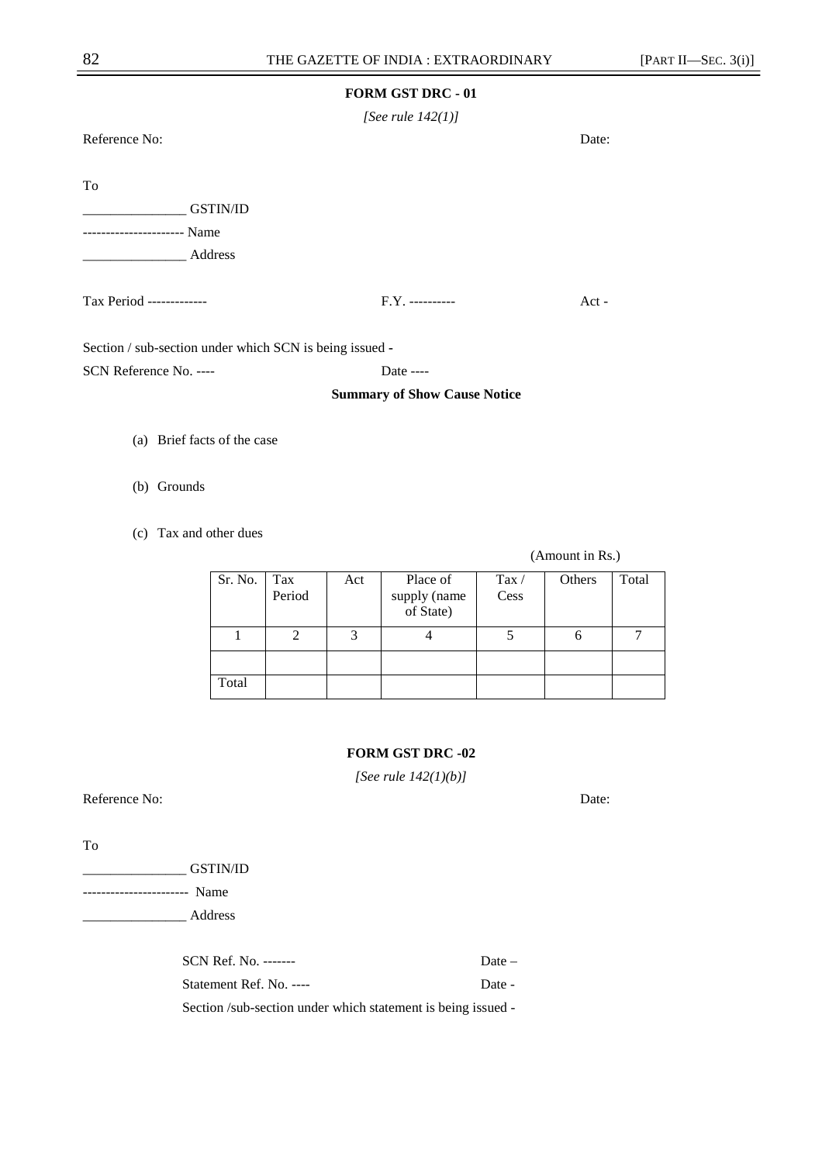*[See rule 142(1)]* 

Reference No: Date:

To

\_\_\_\_\_\_\_\_\_\_\_\_\_\_\_ GSTIN/ID

---------------------- Name

Tax Period ------------- F.Y. ---------- Act -

Section / sub-section under which SCN is being issued **-** 

SCN Reference No. ---- Date ----

## **Summary of Show Cause Notice**

(a) Brief facts of the case

\_\_\_\_\_\_\_\_\_\_\_\_\_\_\_ Address

(b) Grounds

(c) Tax and other dues

#### Sr. No. Tax Period Act Place of supply (name of State) Tax / Cess Others Total  $1 \quad 2 \quad 3 \quad 4 \quad 5 \quad 6 \quad 7$ Total

## **FORM GST DRC -02**

*[See rule 142(1)(b)]* 

Reference No: Date: Date: Date: Date: Date: Date: Date: Date: Date: Date: Date: Date: Date: Date: Date: Date: Date: Date: Date: Date: Date: Date: Date: Date: Date: Date: Date: Date: Date: Date: Date: Date: Date: Date: Date

To

\_\_\_\_\_\_\_\_\_\_\_\_\_\_\_ GSTIN/ID

----------------------- Name \_\_\_\_\_\_\_\_\_\_\_\_\_\_\_ Address

> SCN Ref. No. -------Statement Ref. No. ----Section /sub-section under which statement is being issued -

(Amount in Rs.)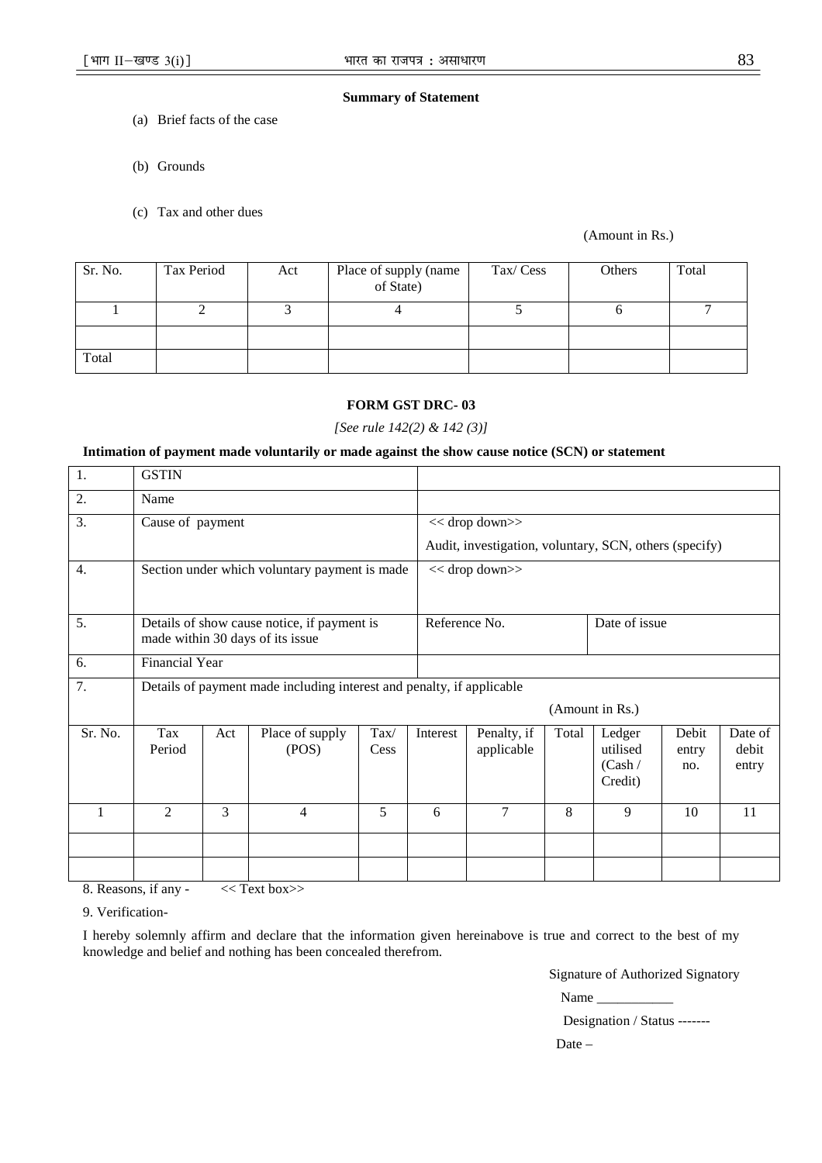## **Summary of Statement**

- (a) Brief facts of the case
- (b) Grounds
- (c) Tax and other dues

(Amount in Rs.)

| Sr. No. | Tax Period | Act | Place of supply (name<br>of State) | Tax/Cess | Others | Total |
|---------|------------|-----|------------------------------------|----------|--------|-------|
|         |            |     |                                    |          |        |       |
|         |            |     |                                    |          |        |       |
| Total   |            |     |                                    |          |        |       |

## **FORM GST DRC- 03**

#### *[See rule 142(2) & 142 (3)]*

## **Intimation of payment made voluntarily or made against the show cause notice (SCN) or statement**

| 1.      | <b>GSTIN</b>                                                                    |     |                                                                       |                       |          |                                                        |       |                                          |                       |                           |
|---------|---------------------------------------------------------------------------------|-----|-----------------------------------------------------------------------|-----------------------|----------|--------------------------------------------------------|-------|------------------------------------------|-----------------------|---------------------------|
| 2.      | Name                                                                            |     |                                                                       |                       |          |                                                        |       |                                          |                       |                           |
| 3.      | Cause of payment                                                                |     |                                                                       |                       |          | $<<$ drop down $>>$                                    |       |                                          |                       |                           |
|         |                                                                                 |     |                                                                       |                       |          | Audit, investigation, voluntary, SCN, others (specify) |       |                                          |                       |                           |
| 4.      | Section under which voluntary payment is made                                   |     |                                                                       |                       |          | $<<$ drop down $>>$                                    |       |                                          |                       |                           |
| 5.      | Details of show cause notice, if payment is<br>made within 30 days of its issue |     |                                                                       |                       |          | Reference No.                                          |       | Date of issue                            |                       |                           |
| 6.      | <b>Financial Year</b>                                                           |     |                                                                       |                       |          |                                                        |       |                                          |                       |                           |
| 7.      |                                                                                 |     | Details of payment made including interest and penalty, if applicable |                       |          |                                                        |       |                                          |                       |                           |
|         |                                                                                 |     |                                                                       |                       |          |                                                        |       | (Amount in Rs.)                          |                       |                           |
| Sr. No. | Tax<br>Period                                                                   | Act | Place of supply<br>(POS)                                              | $\text{Tax}/$<br>Cess | Interest | Penalty, if<br>applicable                              | Total | Ledger<br>utilised<br>(Cash /<br>Credit) | Debit<br>entry<br>no. | Date of<br>debit<br>entry |
| 1       | 2                                                                               | 3   | 4                                                                     | 5                     | 6        | 7                                                      | 8     | 9                                        | 10                    | 11                        |
|         |                                                                                 |     |                                                                       |                       |          |                                                        |       |                                          |                       |                           |
|         |                                                                                 |     |                                                                       |                       |          |                                                        |       |                                          |                       |                           |

8. Reasons, if any - << Text box>>

9. Verification-

I hereby solemnly affirm and declare that the information given hereinabove is true and correct to the best of my knowledge and belief and nothing has been concealed therefrom.

Signature of Authorized Signatory

| Name |  |  |
|------|--|--|
|------|--|--|

Designation / Status -------

Date –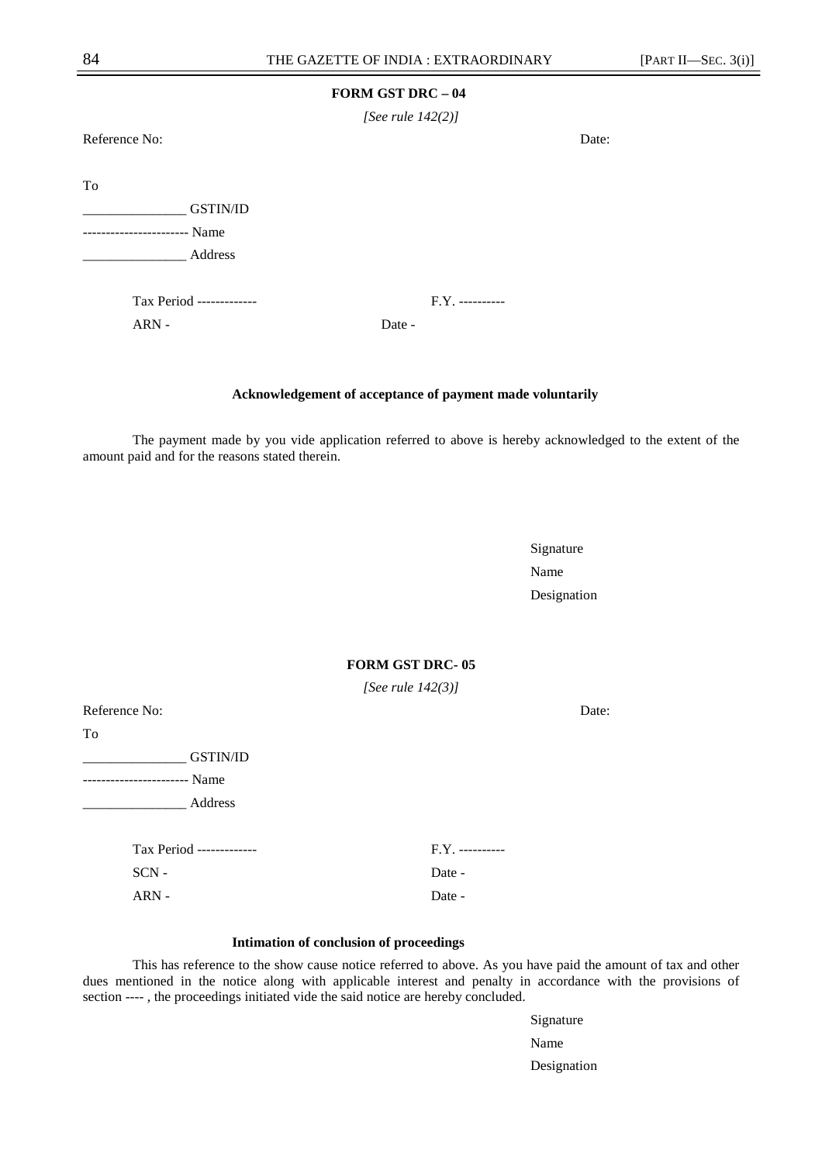*[See rule 142(2)]* 

Reference No: Date:

To

\_\_\_\_\_\_\_\_\_\_\_\_\_\_\_ GSTIN/ID

----------------------- Name \_\_\_\_\_\_\_\_\_\_\_\_\_\_\_ Address

Tax Period ------------- F.Y. ----------

ARN - Date -

#### **Acknowledgement of acceptance of payment made voluntarily**

The payment made by you vide application referred to above is hereby acknowledged to the extent of the amount paid and for the reasons stated therein.

Signature Name Name Designation

**FORM GST DRC- 05** 

*[See rule 142(3)]* 

Reference No: Date: Date: To \_\_\_\_\_\_\_\_\_\_\_\_\_\_\_ GSTIN/ID ----------------------- Name \_\_\_\_\_\_\_\_\_\_\_\_\_\_\_ Address Tax Period ------------- F.Y. ---------- SCN - Date -ARN - Date -

#### **Intimation of conclusion of proceedings**

This has reference to the show cause notice referred to above. As you have paid the amount of tax and other dues mentioned in the notice along with applicable interest and penalty in accordance with the provisions of section ---- , the proceedings initiated vide the said notice are hereby concluded.

Signature Name Name Designation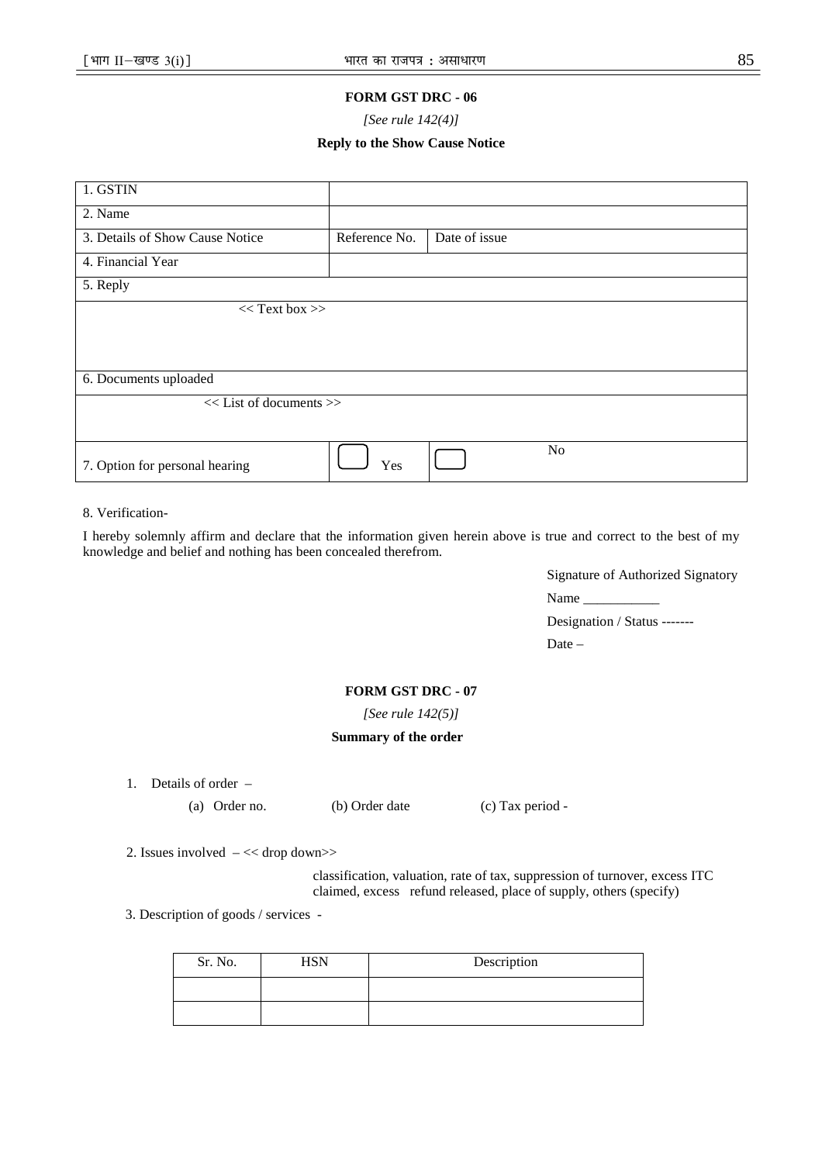*[See rule 142(4)]* 

## **Reply to the Show Cause Notice**

| 1. GSTIN                        |                             |               |                |  |  |  |  |
|---------------------------------|-----------------------------|---------------|----------------|--|--|--|--|
| 2. Name                         |                             |               |                |  |  |  |  |
| 3. Details of Show Cause Notice | Reference No.               | Date of issue |                |  |  |  |  |
| 4. Financial Year               |                             |               |                |  |  |  |  |
| 5. Reply                        |                             |               |                |  |  |  |  |
| $<<$ Text box >>                |                             |               |                |  |  |  |  |
|                                 |                             |               |                |  |  |  |  |
|                                 |                             |               |                |  |  |  |  |
| 6. Documents uploaded           |                             |               |                |  |  |  |  |
|                                 | $<<$ List of documents $>>$ |               |                |  |  |  |  |
|                                 |                             |               |                |  |  |  |  |
| 7. Option for personal hearing  | Yes                         |               | N <sub>o</sub> |  |  |  |  |

## 8. Verification-

I hereby solemnly affirm and declare that the information given herein above is true and correct to the best of my knowledge and belief and nothing has been concealed therefrom.

Signature of Authorized Signatory

Name \_\_\_\_\_\_\_\_\_\_\_

Designation / Status -------

Date –

## **FORM GST DRC - 07**

*[See rule 142(5)]* 

## **Summary of the order**

1. Details of order –

(a) Order no. (b) Order date (c) Tax period -

2. Issues involved – << drop down>>

classification, valuation, rate of tax, suppression of turnover, excess ITC claimed, excess refund released, place of supply, others (specify)

3. Description of goods / services -

| Sr. No. | <b>ISN</b> | Description |
|---------|------------|-------------|
|         |            |             |
|         |            |             |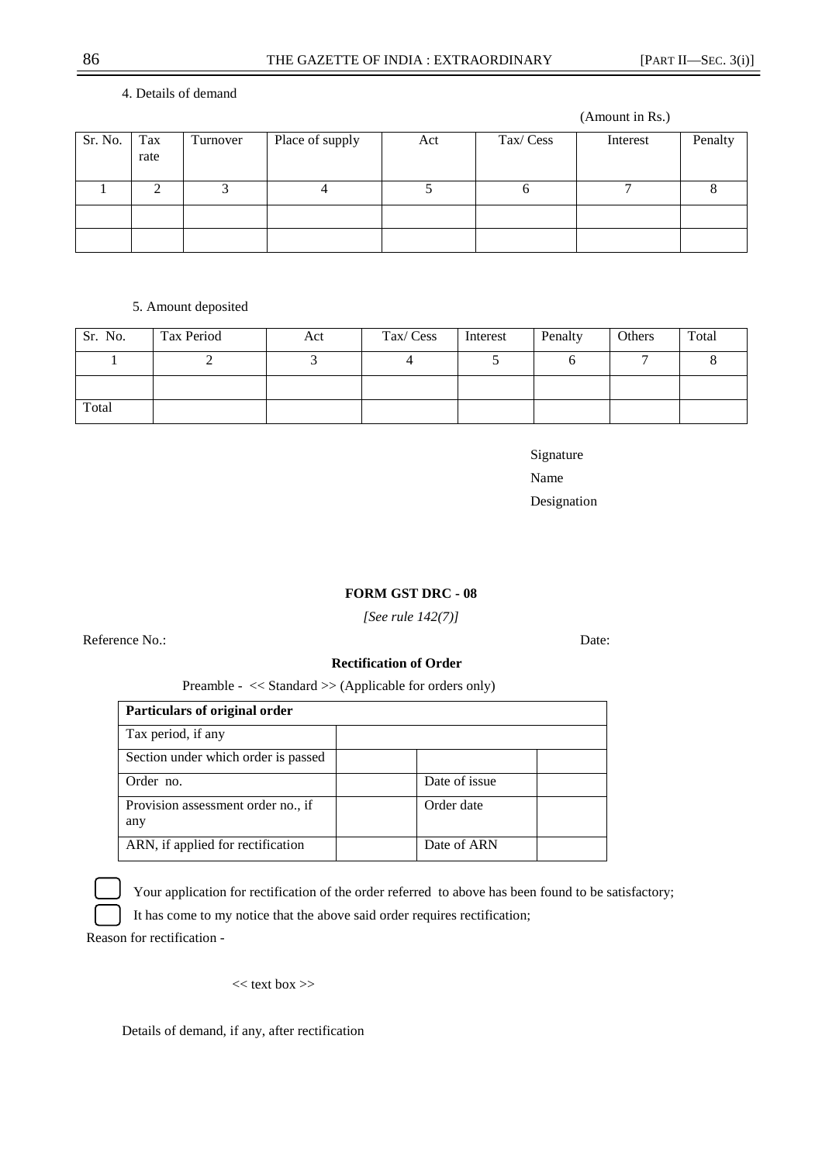## 4. Details of demand

(Amount in Rs.)

| Sr. No. | Tax<br>rate | Turnover | Place of supply | Act | Tax/Cess | Interest | Penalty |
|---------|-------------|----------|-----------------|-----|----------|----------|---------|
|         |             |          |                 |     |          |          |         |
|         |             |          |                 |     |          |          |         |
|         |             |          |                 |     |          |          |         |

## 5. Amount deposited

| Sr. No. | Tax Period | Act | Tax/Cess | Interest | Penalty | Others | Total |
|---------|------------|-----|----------|----------|---------|--------|-------|
|         |            |     |          |          |         |        |       |
|         |            |     |          |          |         |        |       |
| Total   |            |     |          |          |         |        |       |

Signature Name Name Designation

## **FORM GST DRC - 08**

*[See rule 142(7)]* 

Reference No.: Date: Date:

#### **Rectification of Order**

Preamble - << Standard >> (Applicable for orders only)

| Particulars of original order             |               |
|-------------------------------------------|---------------|
| Tax period, if any                        |               |
| Section under which order is passed       |               |
| Order no.                                 | Date of issue |
| Provision assessment order no., if<br>any | Order date    |
| ARN, if applied for rectification         | Date of ARN   |



Your application for rectification of the order referred to above has been found to be satisfactory;

It has come to my notice that the above said order requires rectification;

Reason for rectification -

 $<<$  text box  $>>$ 

Details of demand, if any, after rectification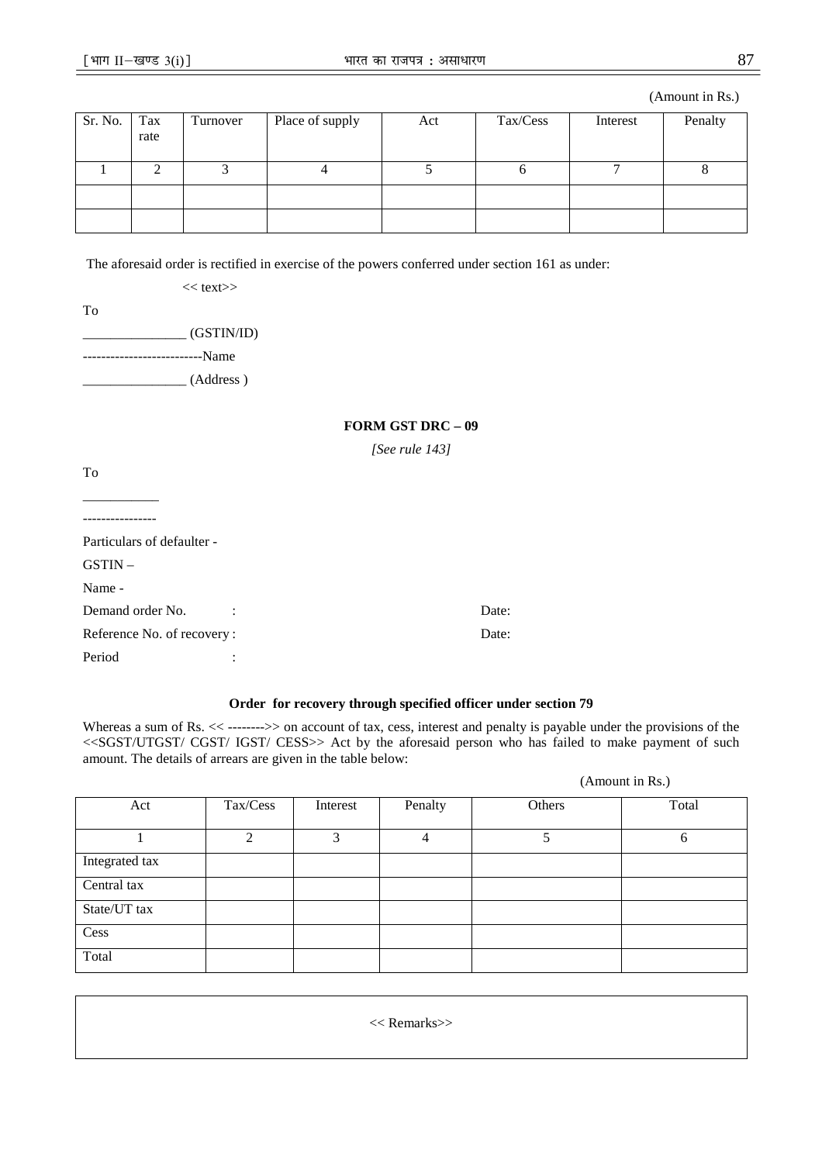(Amount in Rs.)

| Sr. No. | Tax<br>rate | Turnover | Place of supply | Act | Tax/Cess | Interest | Penalty |
|---------|-------------|----------|-----------------|-----|----------|----------|---------|
|         |             |          |                 |     |          |          |         |
|         |             |          |                 |     |          |          |         |
|         |             |          |                 |     |          |          |         |

The aforesaid order is rectified in exercise of the powers conferred under section 161 as under:

 $<<$  text $>>$ 

To

| (GSTIN/ID) |
|------------|
| --Name     |
| (Address)  |

### **FORM GST DRC – 09**

*[See rule 143]* 

| To                                       |       |
|------------------------------------------|-------|
|                                          |       |
|                                          |       |
| Particulars of defaulter -               |       |
| $GSTIN -$                                |       |
| Name -                                   |       |
| Demand order No.<br>$\ddot{\phantom{a}}$ | Date: |
| Reference No. of recovery:               | Date: |
| Period                                   |       |

## **Order for recovery through specified officer under section 79**

Whereas a sum of Rs. << ------->> on account of tax, cess, interest and penalty is payable under the provisions of the <<SGST/UTGST/ CGST/ IGST/ CESS>> Act by the aforesaid person who has failed to make payment of such amount. The details of arrears are given in the table below:

(Amount in Rs.)

| Act            | Tax/Cess | Interest      | Penalty | Others | Total |
|----------------|----------|---------------|---------|--------|-------|
|                | 2        | $\mathcal{R}$ | 4       |        | 6     |
| Integrated tax |          |               |         |        |       |
| Central tax    |          |               |         |        |       |
| State/UT tax   |          |               |         |        |       |
| Cess           |          |               |         |        |       |
| Total          |          |               |         |        |       |

<< Remarks>>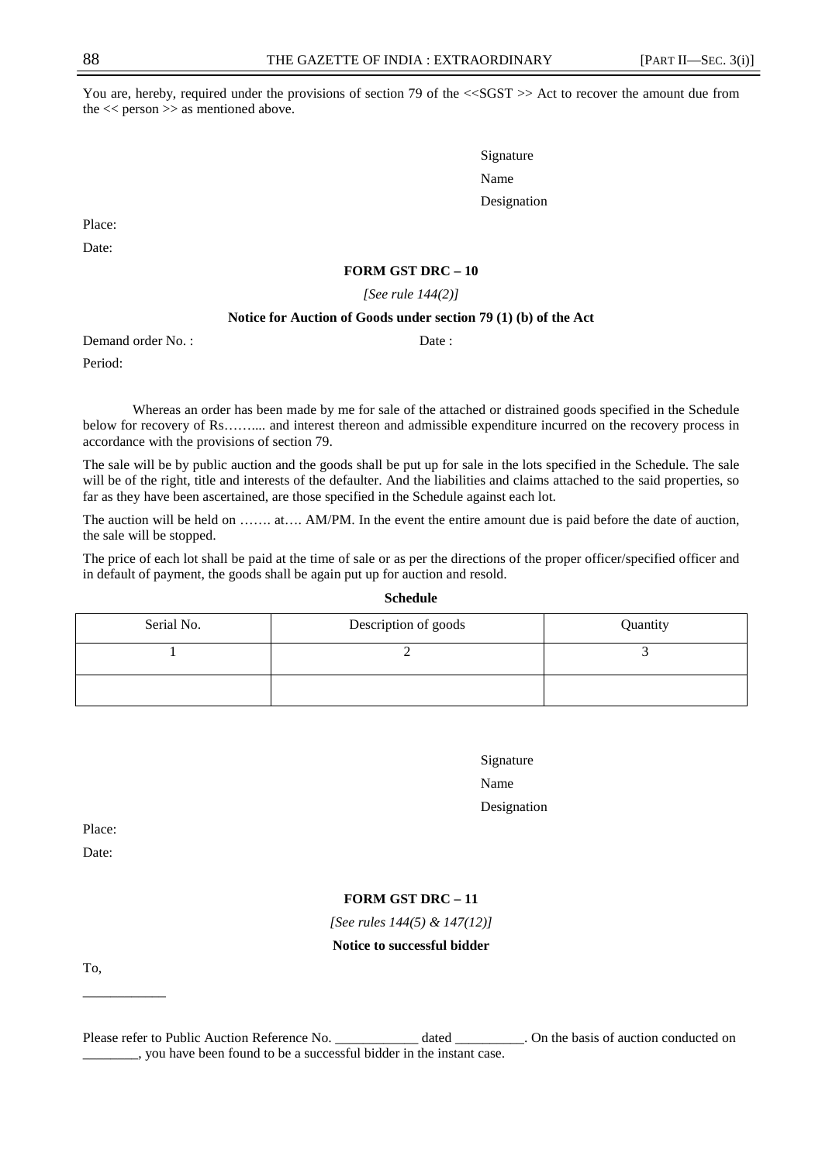You are, hereby, required under the provisions of section 79 of the  $\langle \langle SGST \rangle \rangle$  Act to recover the amount due from the  $<<$  person  $>>$  as mentioned above.

Signature Name Name and the Name of the Name of the Name of the Name of the Name of the Name of the Name of the Name of the Name of the Name of the Name of the Name of the Name of the Name of the Name of the Name of the Name of the Designation

Place:

Date:

## **FORM GST DRC – 10**

*[See rule 144(2)]* 

#### **Notice for Auction of Goods under section 79 (1) (b) of the Act**

Demand order No. : Date :

Period:

Whereas an order has been made by me for sale of the attached or distrained goods specified in the Schedule below for recovery of Rs…….... and interest thereon and admissible expenditure incurred on the recovery process in accordance with the provisions of section 79.

The sale will be by public auction and the goods shall be put up for sale in the lots specified in the Schedule. The sale will be of the right, title and interests of the defaulter. And the liabilities and claims attached to the said properties, so far as they have been ascertained, are those specified in the Schedule against each lot.

The auction will be held on ……. at…. AM/PM. In the event the entire amount due is paid before the date of auction, the sale will be stopped.

The price of each lot shall be paid at the time of sale or as per the directions of the proper officer/specified officer and in default of payment, the goods shall be again put up for auction and resold.

| Serial No. | Description of goods | Quantity |
|------------|----------------------|----------|
|            |                      |          |
|            |                      |          |

| Signature   |
|-------------|
| Name        |
| Designation |

Place:

Date:

## **FORM GST DRC – 11**

*[See rules 144(5) & 147(12)]* 

## **Notice to successful bidder**

To,

\_\_\_\_\_\_\_\_\_\_\_\_

**Schedule** 

Please refer to Public Auction Reference No. \_\_\_\_\_\_\_\_\_\_\_\_\_\_ dated \_\_\_\_\_\_\_\_. On the basis of auction conducted on \_\_\_\_\_\_\_\_, you have been found to be a successful bidder in the instant case.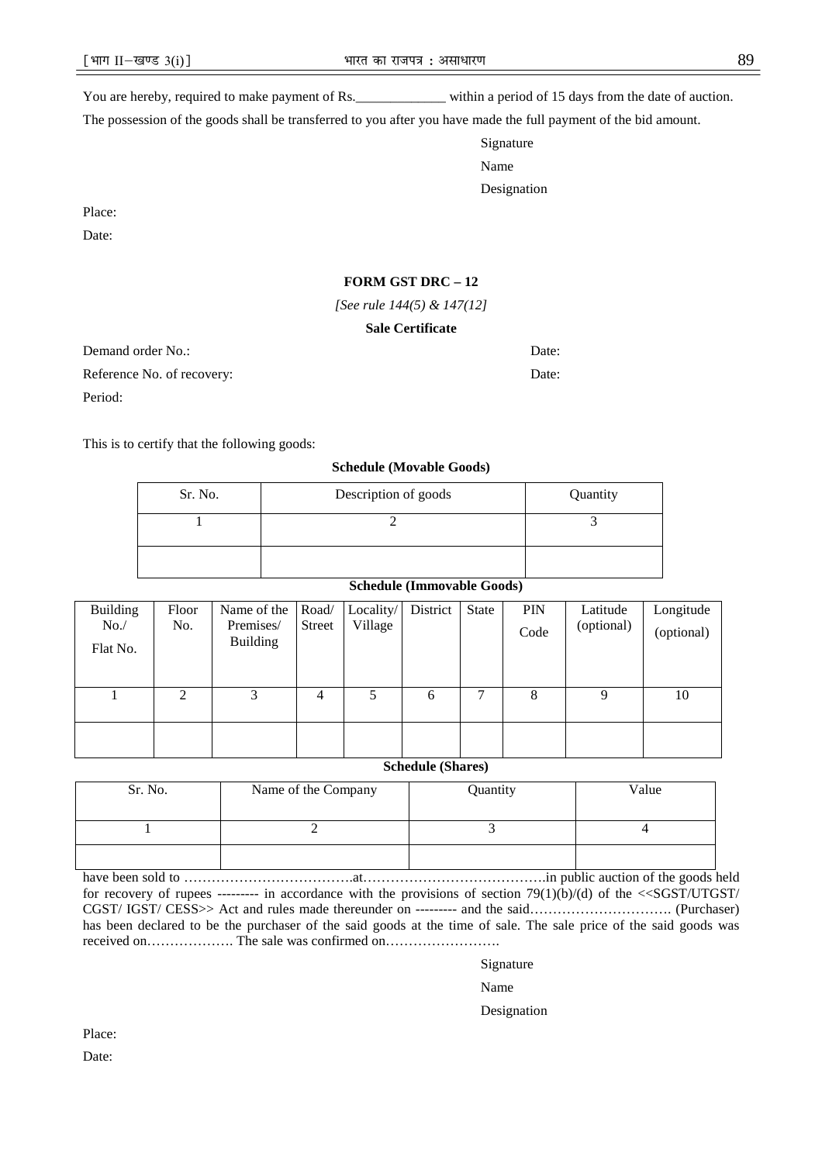You are hereby, required to make payment of Rs.\_\_\_\_\_\_\_\_\_\_\_\_\_\_\_\_\_ within a period of 15 days from the date of auction.

The possession of the goods shall be transferred to you after you have made the full payment of the bid amount.

Signature Name Name and the Name of the Name of the Name of the Name of the Name of the Name of the Name of the Name of the Name of the Name of the Name of the Name of the Name of the Name of the Name of the Name of the Name of the Designation

Place:

Date:

## **FORM GST DRC – 12**

*[See rule 144(5) & 147(12]* 

## **Sale Certificate**

Demand order No.: Date:

Period:

Reference No. of recovery: Date:

This is to certify that the following goods:

#### **Schedule (Movable Goods)**

| Sr. No. | Description of goods | Quantity |
|---------|----------------------|----------|
|         |                      |          |
|         |                      |          |

## **Schedule (Immovable Goods)**

| <b>Building</b> | Floor | Name of the     | Road/  | Locality/ | District | State | <b>PIN</b> | Latitude   | Longitude  |
|-----------------|-------|-----------------|--------|-----------|----------|-------|------------|------------|------------|
| No.             | No.   | Premises/       | Street | Village   |          |       | Code       | (optional) | (optional) |
| Flat No.        |       | <b>Building</b> |        |           |          |       |            |            |            |
|                 |       |                 |        |           |          |       |            |            |            |
|                 |       |                 |        |           |          |       |            |            |            |
|                 | 2     | 3               | 4      | 5         | 6        | ⇁     | 8          |            | 10         |
|                 |       |                 |        |           |          |       |            |            |            |
|                 |       |                 |        |           |          |       |            |            |            |
|                 |       |                 |        |           |          |       |            |            |            |

**Schedule (Shares)** 

| Sr. No. | Name of the Company | Quantity | Value |
|---------|---------------------|----------|-------|
|         |                     |          |       |
|         |                     |          |       |

have been sold to ……………………………….at………………………………….in public auction of the goods held for recovery of rupees --------- in accordance with the provisions of section 79(1)(b)/(d) of the <<SGST/UTGST/ CGST/ IGST/ CESS>> Act and rules made thereunder on --------- and the said…………………………. (Purchaser) has been declared to be the purchaser of the said goods at the time of sale. The sale price of the said goods was received on………………. The sale was confirmed on…………………….

Signature

Name Name and the Name of the Name of the Name of the Name of the Name of the Name of the Name of the Name of the Name of the Name of the Name of the Name of the Name of the Name of the Name of the Name of the Name of the

Designation

Place:

Date: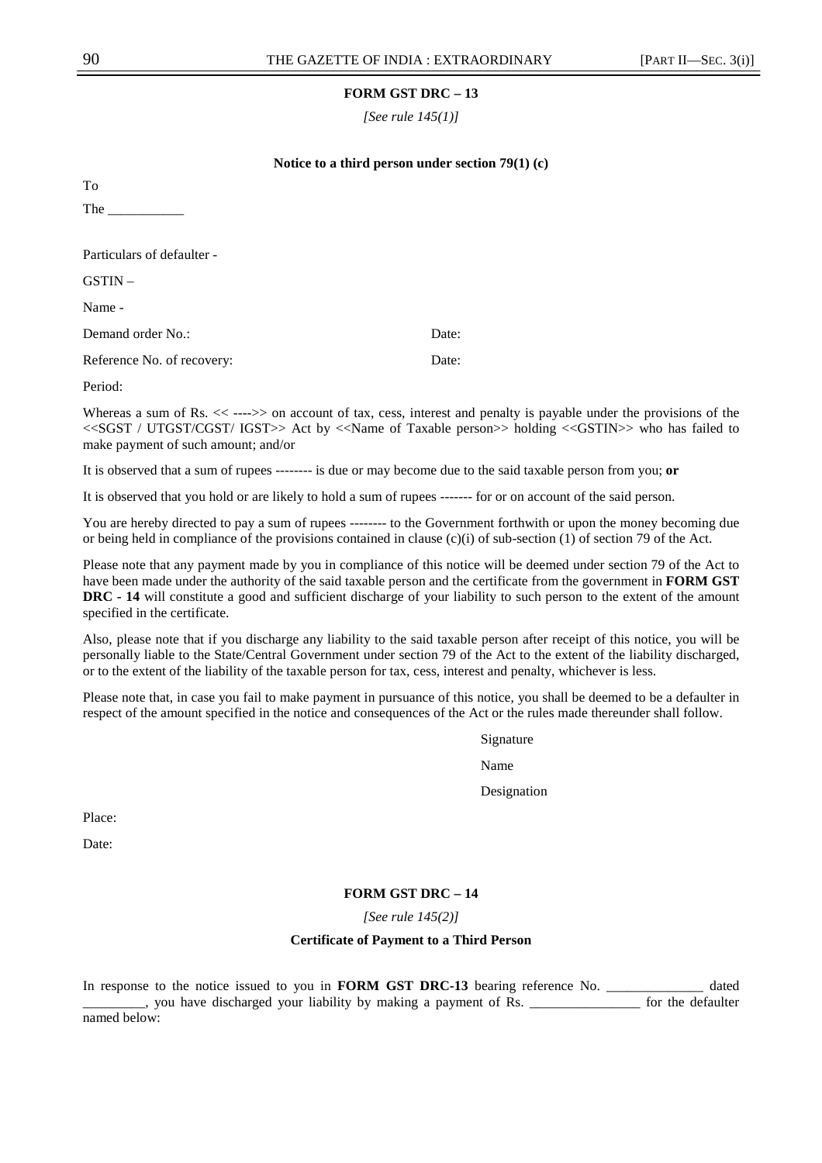*[See rule 145(1)]* 

## **Notice to a third person under section 79(1) (c)**

To

The \_\_\_\_\_\_\_\_\_\_\_

Particulars of defaulter -

GSTIN –

Name -

Demand order No.: Date:

Reference No. of recovery: Date:

Period:

Whereas a sum of Rs.  $<<$ ---->> on account of tax, cess, interest and penalty is payable under the provisions of the <<SGST / UTGST/CGST/ IGST>> Act by <<Name of Taxable person>> holding <<GSTIN>> who has failed to make payment of such amount; and/or

It is observed that a sum of rupees -------- is due or may become due to the said taxable person from you; **or**

It is observed that you hold or are likely to hold a sum of rupees ------- for or on account of the said person.

You are hereby directed to pay a sum of rupees -------- to the Government forthwith or upon the money becoming due or being held in compliance of the provisions contained in clause  $(c)(i)$  of sub-section (1) of section 79 of the Act.

Please note that any payment made by you in compliance of this notice will be deemed under section 79 of the Act to have been made under the authority of the said taxable person and the certificate from the government in **FORM GST DRC - 14** will constitute a good and sufficient discharge of your liability to such person to the extent of the amount specified in the certificate.

Also, please note that if you discharge any liability to the said taxable person after receipt of this notice, you will be personally liable to the State/Central Government under section 79 of the Act to the extent of the liability discharged, or to the extent of the liability of the taxable person for tax, cess, interest and penalty, whichever is less.

Please note that, in case you fail to make payment in pursuance of this notice, you shall be deemed to be a defaulter in respect of the amount specified in the notice and consequences of the Act or the rules made thereunder shall follow.

Signature

Name Name

Designation

Place:

Date:

## **FORM GST DRC – 14**

*[See rule 145(2)]* 

## **Certificate of Payment to a Third Person**

In response to the notice issued to you in **FORM GST DRC-13** bearing reference No. \_\_\_\_\_\_\_\_\_\_\_\_\_\_ dated \_\_\_\_\_\_\_\_\_, you have discharged your liability by making a payment of Rs. \_\_\_\_\_\_\_\_\_\_\_\_\_\_\_\_ for the defaulter named below: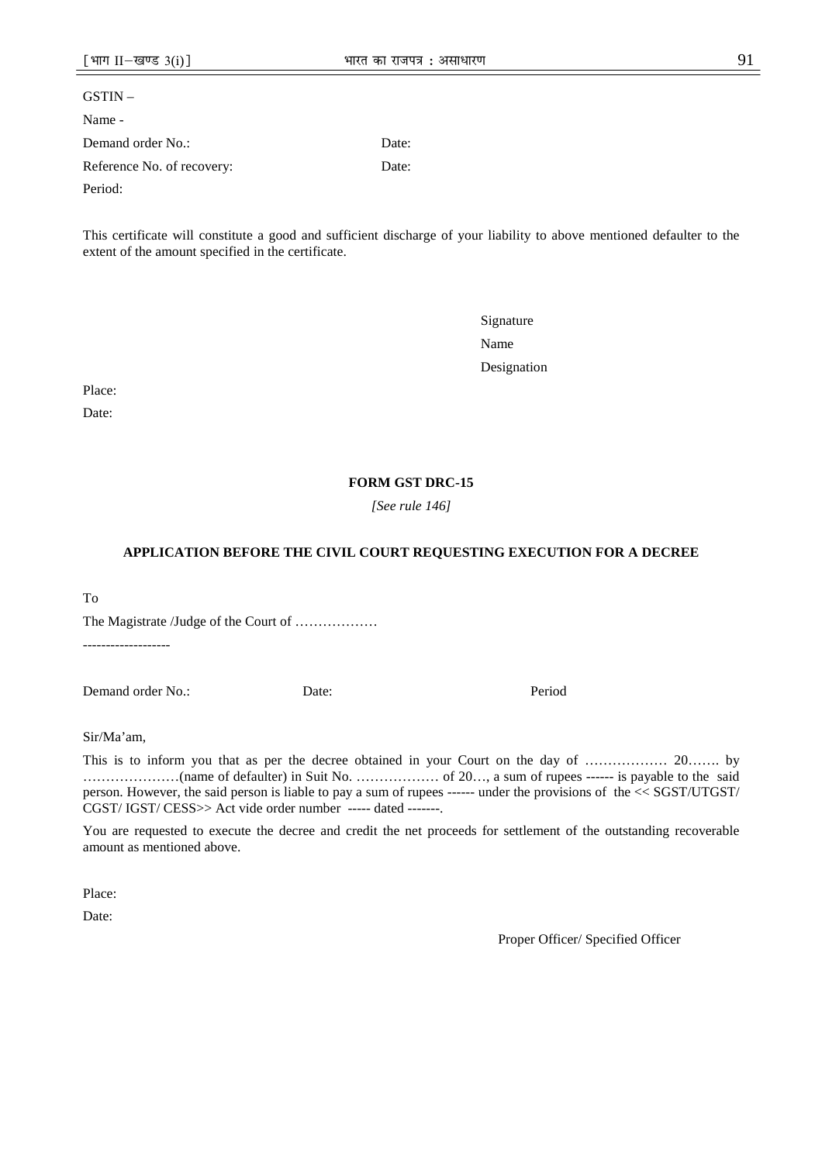| $GSTIN -$                  |       |
|----------------------------|-------|
| Name -                     |       |
| Demand order No.:          | Date: |
| Reference No. of recovery: | Date: |
| Period:                    |       |

This certificate will constitute a good and sufficient discharge of your liability to above mentioned defaulter to the extent of the amount specified in the certificate.

Signature Name Name Designation

Place:

Date:

## **FORM GST DRC-15**

*[See rule 146]* 

## **APPLICATION BEFORE THE CIVIL COURT REQUESTING EXECUTION FOR A DECREE**

To

The Magistrate /Judge of the Court of ……………… -------------------

Demand order No.: Date: Period

Sir/Ma'am,

This is to inform you that as per the decree obtained in your Court on the day of ……………… 20……. by …………………(name of defaulter) in Suit No. ……………… of 20…, a sum of rupees ------ is payable to the said person. However, the said person is liable to pay a sum of rupees ------ under the provisions of the << SGST/UTGST/ CGST/ IGST/ CESS>> Act vide order number ----- dated -------.

You are requested to execute the decree and credit the net proceeds for settlement of the outstanding recoverable amount as mentioned above.

Place:

Date:

Proper Officer/ Specified Officer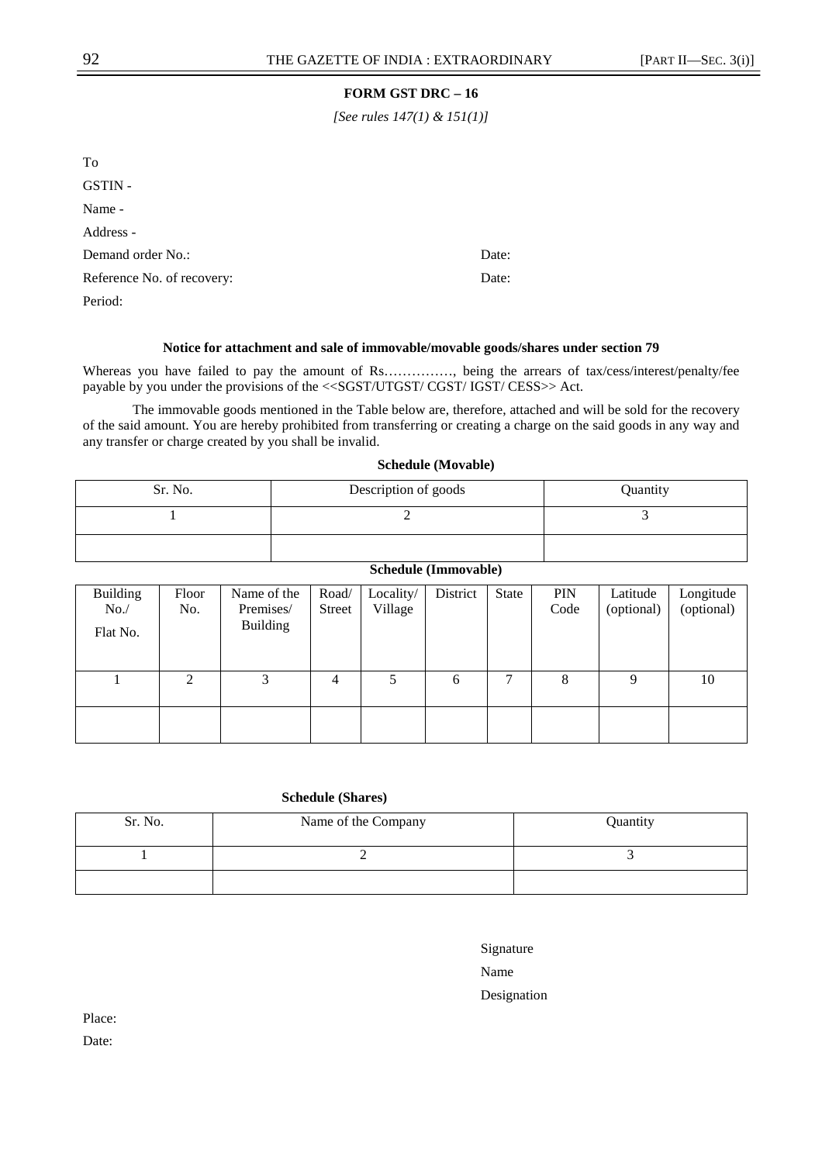*[See rules 147(1) & 151(1)]* 

| To                         |       |
|----------------------------|-------|
| GSTIN-                     |       |
| Name -                     |       |
| Address -                  |       |
| Demand order No.:          | Date: |
| Reference No. of recovery: | Date: |
| Period:                    |       |

## **Notice for attachment and sale of immovable/movable goods/shares under section 79**

Whereas you have failed to pay the amount of Rs……………, being the arrears of tax/cess/interest/penalty/fee payable by you under the provisions of the <<SGST/UTGST/ CGST/ IGST/ CESS>> Act.

The immovable goods mentioned in the Table below are, therefore, attached and will be sold for the recovery of the said amount. You are hereby prohibited from transferring or creating a charge on the said goods in any way and any transfer or charge created by you shall be invalid.

## **Schedule (Movable)**

| Sr. No. | Description of goods | Quantity |
|---------|----------------------|----------|
|         |                      |          |
|         |                      |          |

## **Schedule (Immovable)**

| <b>Building</b> | Floor | Name of the     | Road/  | Locality/ | District | State | <b>PIN</b> | Latitude   | Longitude  |
|-----------------|-------|-----------------|--------|-----------|----------|-------|------------|------------|------------|
| No.             | No.   | Premises/       | Street | Village   |          |       | Code       | (optional) | (optional) |
| Flat No.        |       | <b>Building</b> |        |           |          |       |            |            |            |
|                 |       |                 |        |           |          |       |            |            |            |
|                 |       |                 |        |           |          |       |            |            |            |
|                 | 2     | 3               | 4      |           | 6        | 7     | 8          | 9          | 10         |
|                 |       |                 |        |           |          |       |            |            |            |
|                 |       |                 |        |           |          |       |            |            |            |
|                 |       |                 |        |           |          |       |            |            |            |

## **Schedule (Shares)**

| Sr. No. | Name of the Company | Quantity |
|---------|---------------------|----------|
|         |                     |          |
|         |                     |          |

Name Name

Designation

Place:

Date: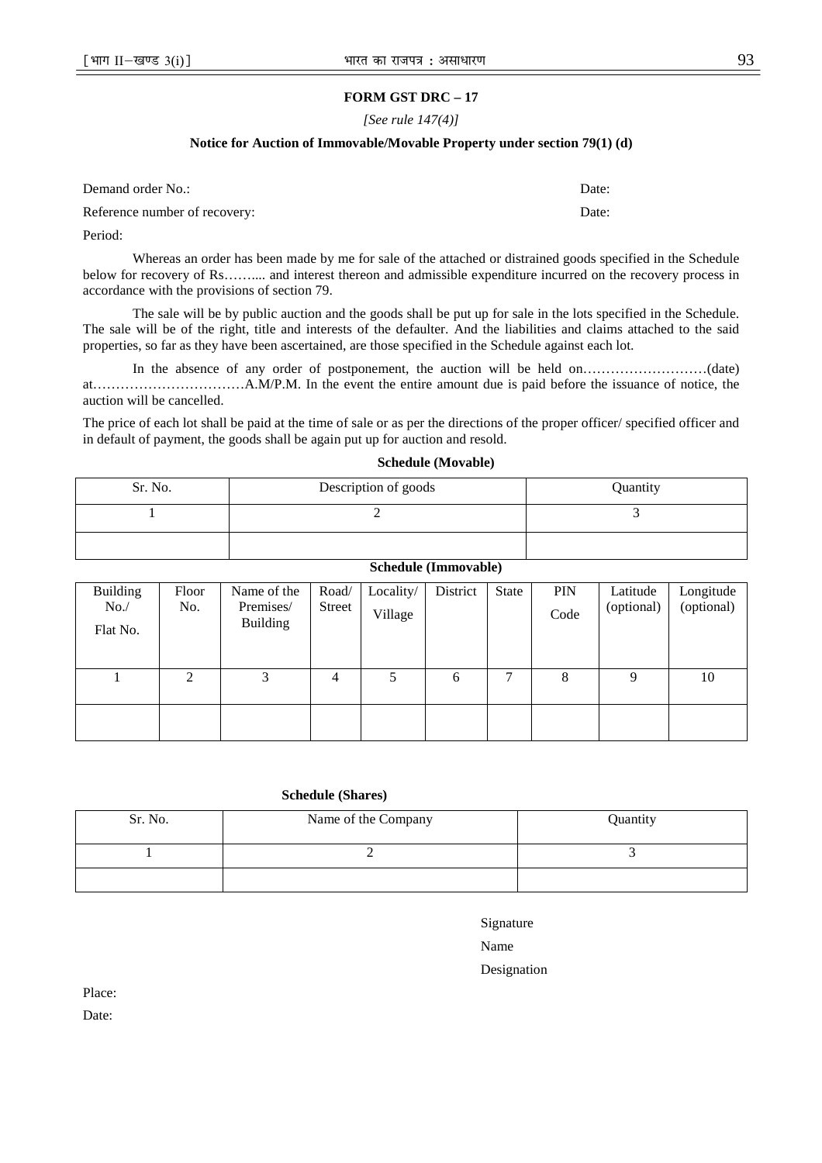#### *[See rule 147(4)]*

## **Notice for Auction of Immovable/Movable Property under section 79(1) (d)**

| Demand order No.:             | Date: |
|-------------------------------|-------|
| Reference number of recovery: | Date: |

Period:

Whereas an order has been made by me for sale of the attached or distrained goods specified in the Schedule below for recovery of Rs…….... and interest thereon and admissible expenditure incurred on the recovery process in accordance with the provisions of section 79.

The sale will be by public auction and the goods shall be put up for sale in the lots specified in the Schedule. The sale will be of the right, title and interests of the defaulter. And the liabilities and claims attached to the said properties, so far as they have been ascertained, are those specified in the Schedule against each lot.

In the absence of any order of postponement, the auction will be held on………………………(date) at……………………………A.M/P.M. In the event the entire amount due is paid before the issuance of notice, the auction will be cancelled.

The price of each lot shall be paid at the time of sale or as per the directions of the proper officer/ specified officer and in default of payment, the goods shall be again put up for auction and resold.

#### **Schedule (Movable)**

| Sr. No. | Description of goods | Quantity |
|---------|----------------------|----------|
|         |                      |          |
|         |                      |          |

## **Schedule (Immovable)**

| Building<br>No.<br>Flat No. | Floor<br>No. | Name of the<br>Premises/<br><b>Building</b> | Road/<br>Street | Locality/<br>Village | District | State | <b>PIN</b><br>Code | Latitude<br>(optional) | Longitude<br>(optional) |
|-----------------------------|--------------|---------------------------------------------|-----------------|----------------------|----------|-------|--------------------|------------------------|-------------------------|
|                             |              |                                             |                 |                      |          |       |                    |                        |                         |
|                             | 2            | 3                                           | $\overline{4}$  | 5                    | 6        | 7     | 8                  | Q                      | 10                      |
|                             |              |                                             |                 |                      |          |       |                    |                        |                         |

## **Schedule (Shares)**

| Sr. No. | Name of the Company | Quantity |
|---------|---------------------|----------|
|         |                     |          |
|         |                     |          |

| Signature  |  |
|------------|--|
| <b>A</b> T |  |

Name Name

Designation

Place:

Date: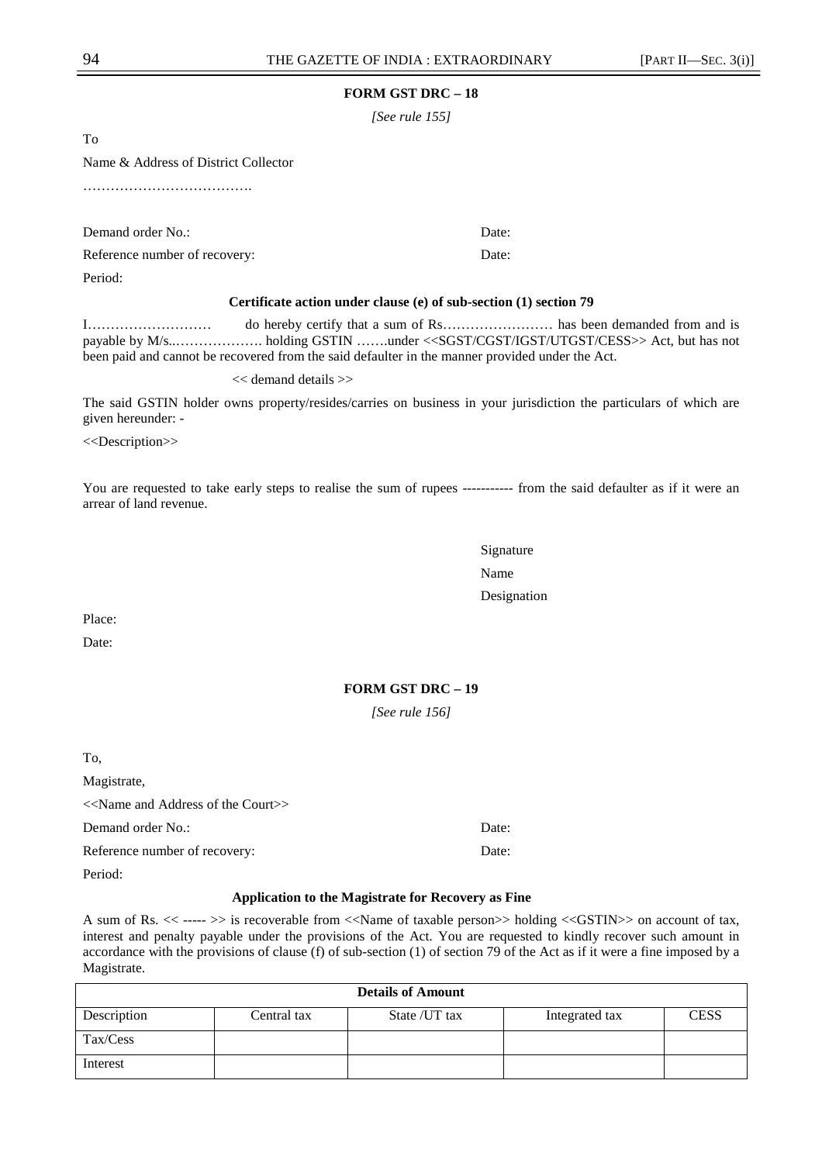*[See rule 155]* 

To

Name & Address of District Collector

……………………………….

Demand order No.: Date: Date:

Reference number of recovery: Date:

Period:

#### **Certificate action under clause (e) of sub-section (1) section 79**

I……………………… do hereby certify that a sum of Rs…………………… has been demanded from and is payable by M/s..………………. holding GSTIN …….under <<SGST/CGST/IGST/UTGST/CESS>> Act, but has not been paid and cannot be recovered from the said defaulter in the manner provided under the Act.

<< demand details >>

The said GSTIN holder owns property/resides/carries on business in your jurisdiction the particulars of which are given hereunder: -

<<Description>>

You are requested to take early steps to realise the sum of rupees ----------- from the said defaulter as if it were an arrear of land revenue.

Signature Name Name and the Name of the Name of the Name of the Name of the Name of the Name of the Name of the Name of the Name of the Name of the Name of the Name of the Name of the Name of the Name of the Name of the Name of the Designation

Place:

Date:

## **FORM GST DRC – 19**

*[See rule 156]* 

To, Magistrate, <<Name and Address of the Court>> Demand order No.: Date: Reference number of recovery: Date:

Period:

#### **Application to the Magistrate for Recovery as Fine**

A sum of Rs. << ----- >> is recoverable from <<Name of taxable person>> holding <<GSTIN>> on account of tax, interest and penalty payable under the provisions of the Act. You are requested to kindly recover such amount in accordance with the provisions of clause (f) of sub-section (1) of section 79 of the Act as if it were a fine imposed by a Magistrate.

| <b>Details of Amount</b> |             |               |                |             |
|--------------------------|-------------|---------------|----------------|-------------|
| Description              | Central tax | State /UT tax | Integrated tax | <b>CESS</b> |
| Tax/Cess                 |             |               |                |             |
| Interest                 |             |               |                |             |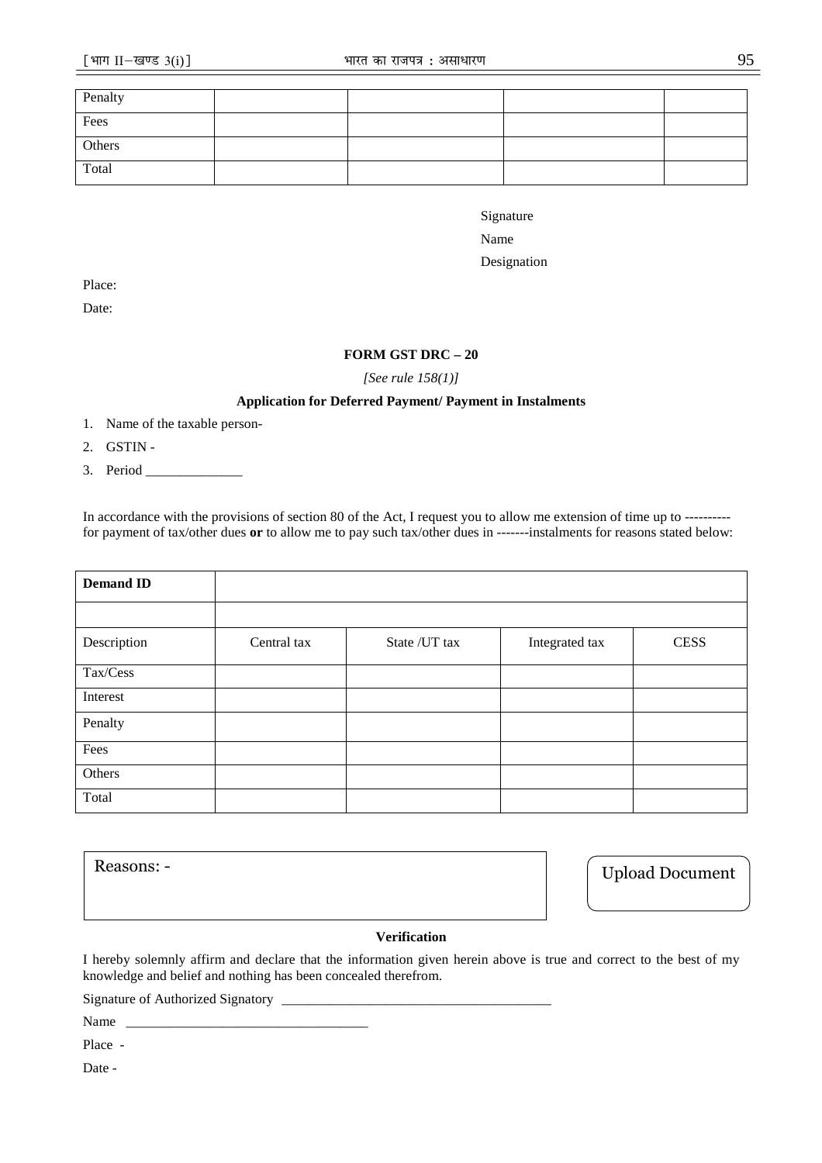| Penalty |  |  |
|---------|--|--|
| Fees    |  |  |
| Others  |  |  |
| Total   |  |  |

Signature

Name Name

Designation

Place:

Date:

## **FORM GST DRC – 20**

*[See rule 158(1)]* 

## **Application for Deferred Payment/ Payment in Instalments**

- 1. Name of the taxable person-
- 2. GSTIN -
- 3. Period \_\_\_\_\_\_\_\_\_\_\_\_\_\_

In accordance with the provisions of section 80 of the Act, I request you to allow me extension of time up to --------- for payment of tax/other dues **or** to allow me to pay such tax/other dues in -------instalments for reasons stated below:

| <b>Demand ID</b> |             |                |                |             |
|------------------|-------------|----------------|----------------|-------------|
|                  |             |                |                |             |
| Description      | Central tax | State / UT tax | Integrated tax | <b>CESS</b> |
| Tax/Cess         |             |                |                |             |
| Interest         |             |                |                |             |
| Penalty          |             |                |                |             |
| Fees             |             |                |                |             |
| Others           |             |                |                |             |
| Total            |             |                |                |             |

**Verification**  Reasons: - Upload Document

## **Verification**

I hereby solemnly affirm and declare that the information given herein above is true and correct to the best of my knowledge and belief and nothing has been concealed therefrom.

Signature of Authorized Signatory \_\_\_\_\_\_\_\_\_\_\_\_\_\_\_\_\_\_\_\_\_\_\_\_\_\_\_\_\_\_\_\_\_\_\_\_\_\_\_

Name

Place -

Date -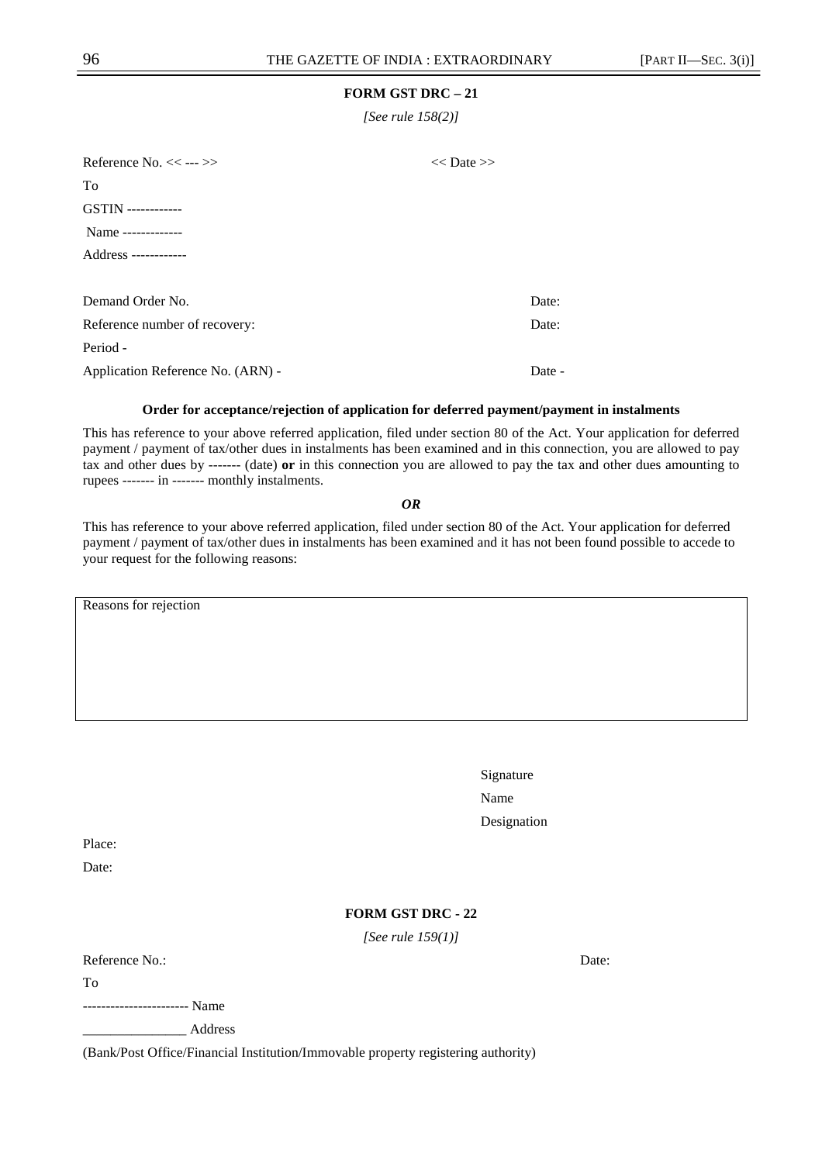*[See rule 158(2)]* 

| Reference No. $<<$ --- $>>$<br>$<<$ Date $>>$ |  |        |
|-----------------------------------------------|--|--------|
| To                                            |  |        |
| <b>GSTIN</b> -------------                    |  |        |
| Name -------------                            |  |        |
| Address ------------                          |  |        |
|                                               |  |        |
| Demand Order No.                              |  | Date:  |
| Reference number of recovery:                 |  | Date:  |
| Period -                                      |  |        |
| Application Reference No. (ARN) -             |  | Date - |

#### **Order for acceptance/rejection of application for deferred payment/payment in instalments**

This has reference to your above referred application, filed under section 80 of the Act. Your application for deferred payment / payment of tax/other dues in instalments has been examined and in this connection, you are allowed to pay tax and other dues by ------- (date) **or** in this connection you are allowed to pay the tax and other dues amounting to rupees ------- in ------- monthly instalments.

*OR* 

This has reference to your above referred application, filed under section 80 of the Act. Your application for deferred payment / payment of tax/other dues in instalments has been examined and it has not been found possible to accede to your request for the following reasons:

Reasons for rejection

| Signature   |
|-------------|
| Name        |
| Designation |

Place:

Date:

## **FORM GST DRC - 22**

*[See rule 159(1)]* 

Reference No.: Date: Date: Date: Date: Date: Date: Date: Date: Date: Date: Date: Date: Date: Date: Date: Date: Date: Date: Date: Date: Date: Date: Date: Date: Date: Date: Date: Date: Date: Date: Date: Date: Date: Date: Dat

To

----------------------- Name

\_\_\_\_\_\_\_\_\_\_\_\_\_\_\_ Address

(Bank/Post Office/Financial Institution/Immovable property registering authority)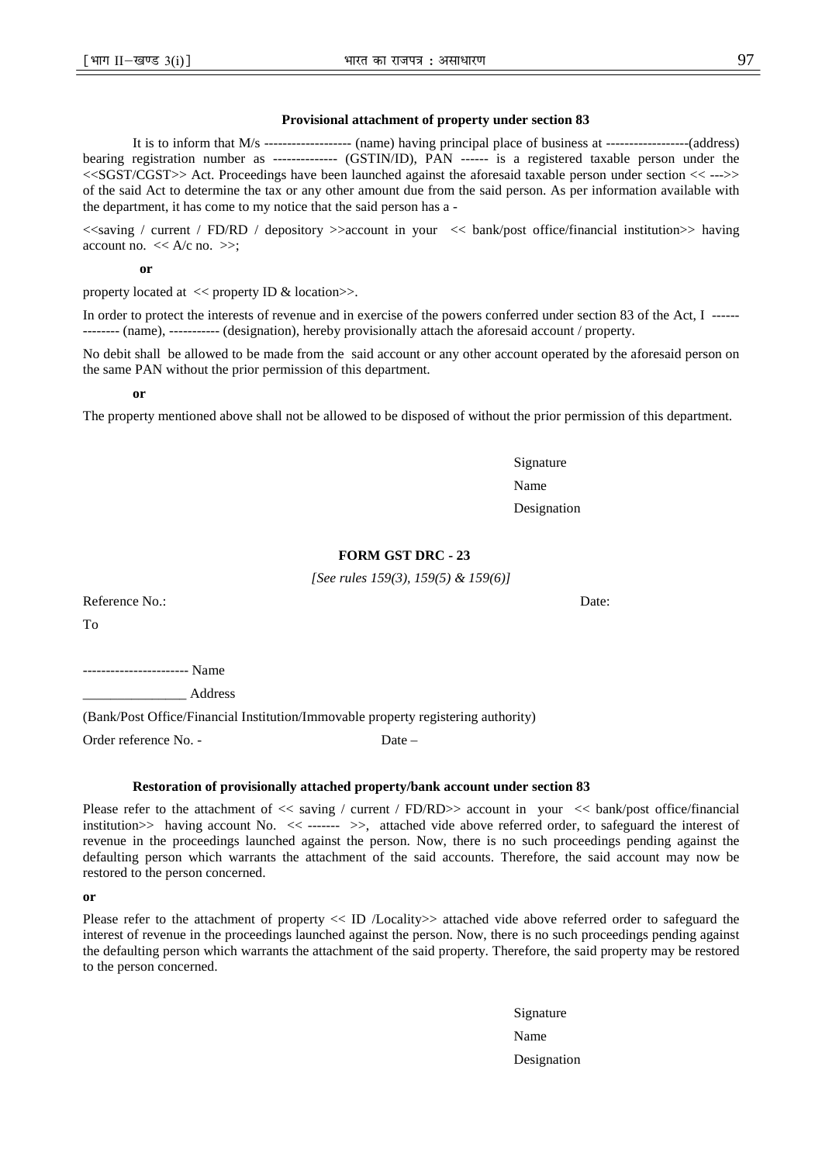#### **Provisional attachment of property under section 83**

It is to inform that M/s ------------------- (name) having principal place of business at ------------------(address) bearing registration number as -------------- (GSTIN/ID), PAN ------ is a registered taxable person under the <<SGST/CGST>> Act. Proceedings have been launched against the aforesaid taxable person under section << --->> of the said Act to determine the tax or any other amount due from the said person. As per information available with the department, it has come to my notice that the said person has a -

<<saving / current / FD/RD / depository >>account in your << bank/post office/financial institution>> having account no.  $<< A/c$  no.  $>>;$ 

**or** 

property located at  $\ll$  property ID & location $\gg$ .

In order to protect the interests of revenue and in exercise of the powers conferred under section 83 of the Act, I ------ -------- (name), ----------- (designation), hereby provisionally attach the aforesaid account / property.

No debit shall be allowed to be made from the said account or any other account operated by the aforesaid person on the same PAN without the prior permission of this department.

**or** 

The property mentioned above shall not be allowed to be disposed of without the prior permission of this department.

Signature Name Name Designation

## **FORM GST DRC - 23**

*[See rules 159(3), 159(5) & 159(6)]* 

Reference No.: Date:

To

----------------------- Name

\_\_\_\_\_\_\_\_\_\_\_\_\_\_\_ Address

(Bank/Post Office/Financial Institution/Immovable property registering authority)

Order reference No. - Date –

**Restoration of provisionally attached property/bank account under section 83** 

Please refer to the attachment of  $\langle$  saving / current / FD/RD $\rangle$  account in your  $\langle$  bank/post office/financial institution  $\gg$  having account No.  $\ll$  ------  $\gg$ , attached vide above referred order, to safeguard the interest of revenue in the proceedings launched against the person. Now, there is no such proceedings pending against the defaulting person which warrants the attachment of the said accounts. Therefore, the said account may now be restored to the person concerned.

**or**

Please refer to the attachment of property << ID /Locality>> attached vide above referred order to safeguard the interest of revenue in the proceedings launched against the person. Now, there is no such proceedings pending against the defaulting person which warrants the attachment of the said property. Therefore, the said property may be restored to the person concerned.

Signature Name Name Designation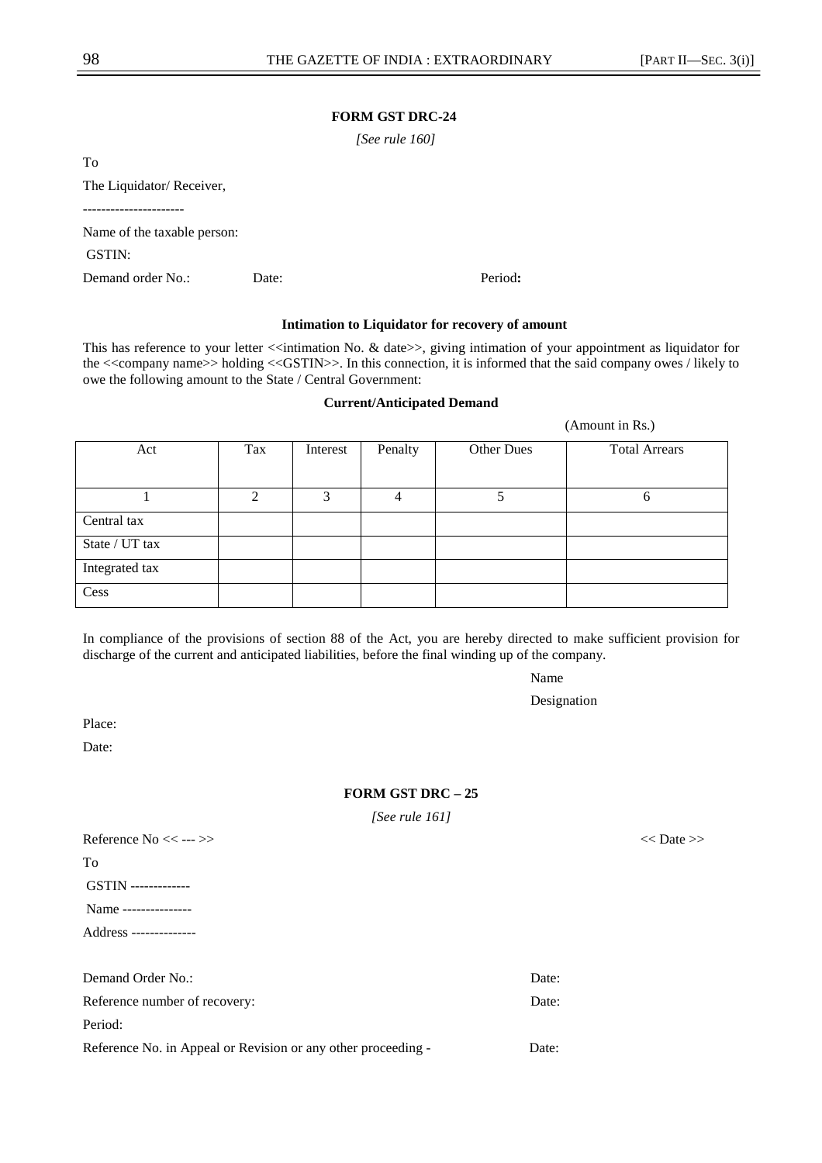## **FORM GST DRC-24**

 *[See rule 160]* 

To

The Liquidator/ Receiver,

----------------------

Name of the taxable person:

GSTIN:

Demand order No.: Date: Period**:** 

# **Intimation to Liquidator for recovery of amount**

This has reference to your letter <<intimation No. & date>>, giving intimation of your appointment as liquidator for the <<company name>> holding <<GSTIN>>. In this connection, it is informed that the said company owes / likely to owe the following amount to the State / Central Government:

## **Current/Anticipated Demand**

Act Tax Interest Penalty Other Dues Total Arrears  $1 \t 2 \t 3 \t 4 \t 5 \t 6$ Central tax State / UT tax Integrated tax Cess

In compliance of the provisions of section 88 of the Act, you are hereby directed to make sufficient provision for discharge of the current and anticipated liabilities, before the final winding up of the company.

Name

Designation

Place:

Date:

## **FORM GST DRC – 25**

*[See rule 161]* 

| Reference $No \ll \cdots \gg$ | $<<$ Date $>>$ |
|-------------------------------|----------------|
| To                            |                |
| <b>GSTIN</b> --------------   |                |
| Name ---------------          |                |
| Address ---------------       |                |
|                               |                |

| Demand Order No.:                                             | Date: |
|---------------------------------------------------------------|-------|
| Reference number of recovery:                                 | Date: |
| Period:                                                       |       |
| Reference No. in Appeal or Revision or any other proceeding - | Date: |

(Amount in Rs.)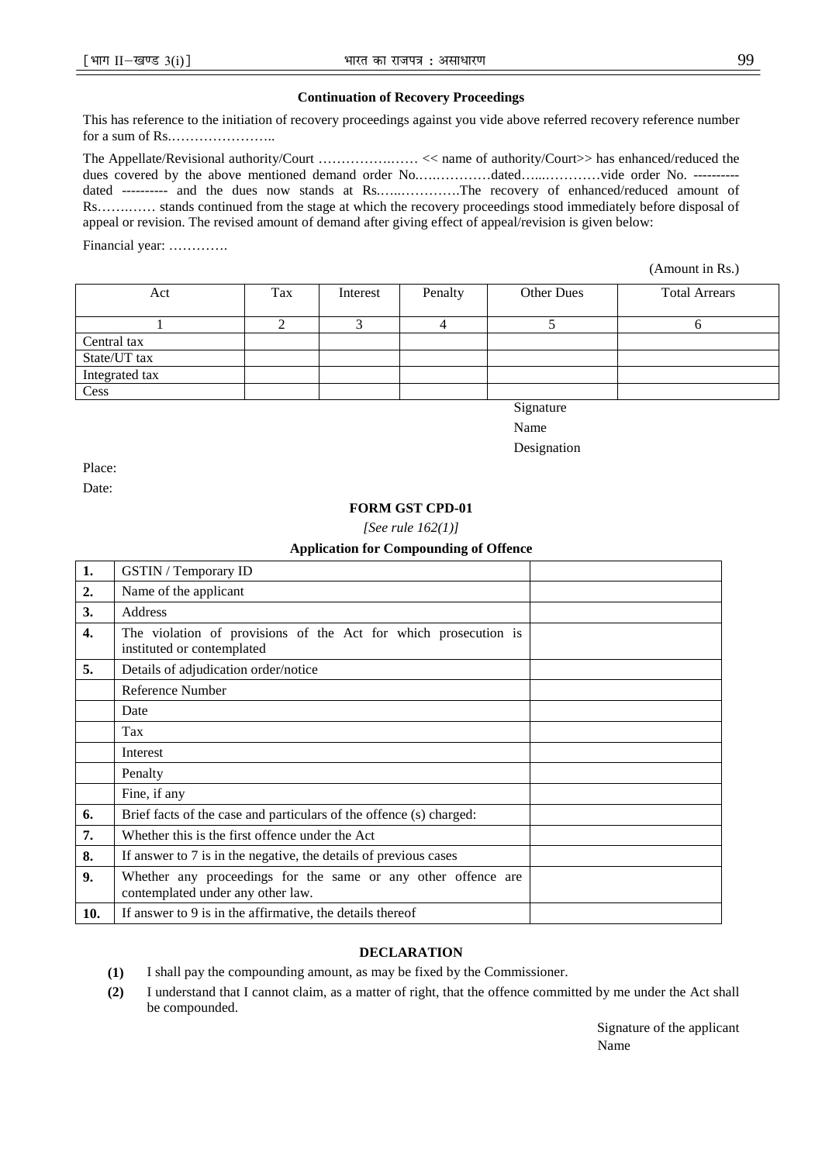## **Continuation of Recovery Proceedings**

This has reference to the initiation of recovery proceedings against you vide above referred recovery reference number for a sum of Rs.…………………..

The Appellate/Revisional authority/Court …………….…… << name of authority/Court>> has enhanced/reduced the dues covered by the above mentioned demand order No.….…………dated…...…………vide order No. --------- dated ---------- and the dues now stands at Rs.…..………….The recovery of enhanced/reduced amount of Rs…….…… stands continued from the stage at which the recovery proceedings stood immediately before disposal of appeal or revision. The revised amount of demand after giving effect of appeal/revision is given below:

Financial year: ………….

(Amount in Rs.)

| Act            | Tax | Interest | Penalty | <b>Other Dues</b> | <b>Total Arrears</b> |
|----------------|-----|----------|---------|-------------------|----------------------|
|                |     |          |         |                   |                      |
|                |     |          |         |                   |                      |
| Central tax    |     |          |         |                   |                      |
| State/UT tax   |     |          |         |                   |                      |
| Integrated tax |     |          |         |                   |                      |
| Cess           |     |          |         |                   |                      |

Signature

Name

Designation

Place:

Date:

## **FORM GST CPD-01**

*[See rule 162(1)]* 

#### **Application for Compounding of Offence**

| 1.               | <b>GSTIN</b> / Temporary ID                                                                        |  |  |
|------------------|----------------------------------------------------------------------------------------------------|--|--|
| 2.               | Name of the applicant                                                                              |  |  |
| 3.               | Address                                                                                            |  |  |
| $\overline{4}$ . | The violation of provisions of the Act for which prosecution is<br>instituted or contemplated      |  |  |
| 5.               | Details of adjudication order/notice                                                               |  |  |
|                  | <b>Reference Number</b>                                                                            |  |  |
|                  | Date                                                                                               |  |  |
|                  | Tax                                                                                                |  |  |
|                  | Interest                                                                                           |  |  |
|                  | Penalty                                                                                            |  |  |
|                  | Fine, if any                                                                                       |  |  |
| 6.               | Brief facts of the case and particulars of the offence (s) charged:                                |  |  |
| 7.               | Whether this is the first offence under the Act                                                    |  |  |
| 8.               | If answer to 7 is in the negative, the details of previous cases                                   |  |  |
| 9.               | Whether any proceedings for the same or any other offence are<br>contemplated under any other law. |  |  |
| 10.              | If answer to 9 is in the affirmative, the details thereof                                          |  |  |

#### **DECLARATION**

**(1)** I shall pay the compounding amount, as may be fixed by the Commissioner.

**(2)** I understand that I cannot claim, as a matter of right, that the offence committed by me under the Act shall be compounded.

Signature of the applicant Name Name and the Name of the Name of the Name of the Name of the Name of the Name of the Name of the Name of the Name of the Name of the Name of the Name of the Name of the Name of the Name of the Name of the Name of the